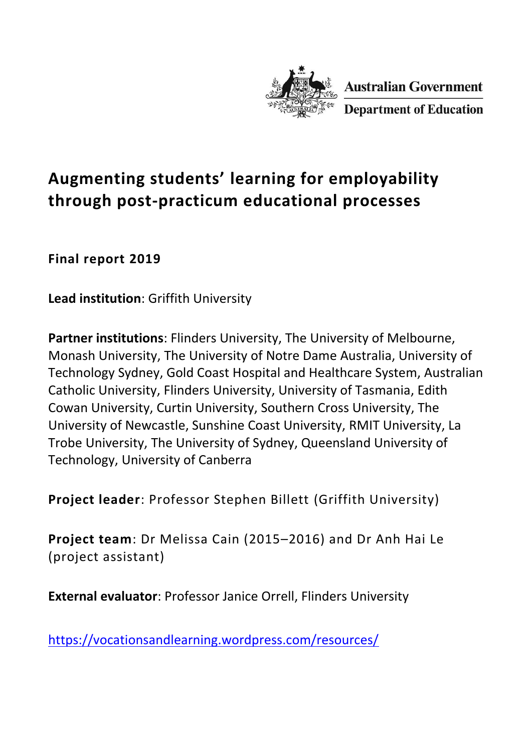

**Australian Government** 

**Department of Education** 

# **Augmenting students' learning for employability through post-practicum educational processes**

**Final report 2019**

**Lead institution**: Griffith University

**Partner institutions**: Flinders University, The University of Melbourne, Monash University, The University of Notre Dame Australia, University of Technology Sydney, Gold Coast Hospital and Healthcare System, Australian Catholic University, Flinders University, University of Tasmania, Edith Cowan University, Curtin University, Southern Cross University, The University of Newcastle, Sunshine Coast University, RMIT University, La Trobe University, The University of Sydney, Queensland University of Technology, University of Canberra

**Project leader**: Professor Stephen Billett (Griffith University)

**Project team**: Dr Melissa Cain (2015–2016) and Dr Anh Hai Le (project assistant)

**External evaluator**: Professor Janice Orrell, Flinders University

<https://vocationsandlearning.wordpress.com/resources/>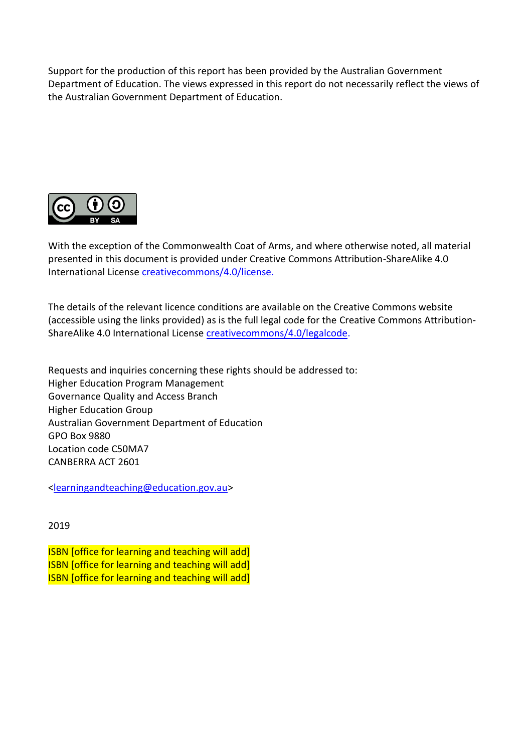Support for the production of this report has been provided by the Australian Government Department of Education. The views expressed in this report do not necessarily reflect the views of the Australian Government Department of Education.



With the exception of the Commonwealth Coat of Arms, and where otherwise noted, all material presented in this document is provided under Creative Commons Attribution-ShareAlike 4.0 International Licens[e creativecommons/4.0/license.](http://creativecommons.org/licenses/by-sa/4.0/)

The details of the relevant licence conditions are available on the Creative Commons website (accessible using the links provided) as is the full legal code for the Creative Commons Attribution-ShareAlike 4.0 International License [creativecommons/4.0/legalcode.](http://creativecommons.org/licenses/by-sa/4.0/legalcode)

Requests and inquiries concerning these rights should be addressed to: Higher Education Program Management Governance Quality and Access Branch Higher Education Group Australian Government Department of Education GPO Box 9880 Location code C50MA7 CANBERRA ACT 2601

[<learningandteaching@education.gov.au>](mailto:learningandteaching@education.gov.au)

#### 2019

ISBN [office for learning and teaching will add] ISBN [office for learning and teaching will add] ISBN [office for learning and teaching will add]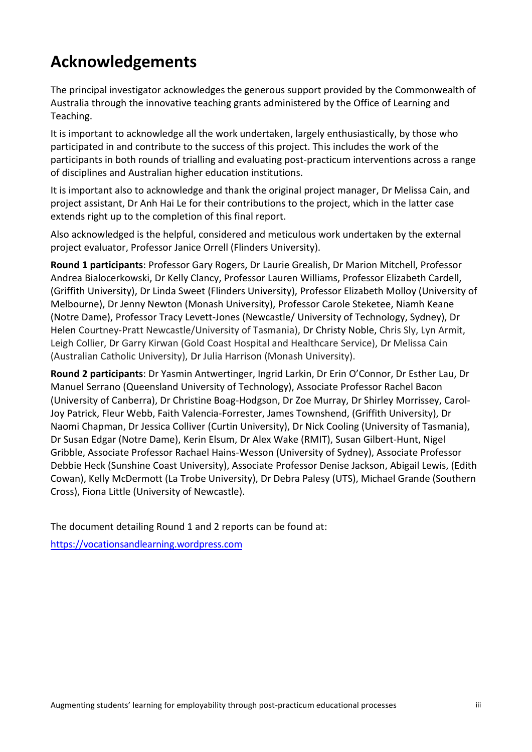# <span id="page-2-0"></span>**Acknowledgements**

The principal investigator acknowledges the generous support provided by the Commonwealth of Australia through the innovative teaching grants administered by the Office of Learning and Teaching.

It is important to acknowledge all the work undertaken, largely enthusiastically, by those who participated in and contribute to the success of this project. This includes the work of the participants in both rounds of trialling and evaluating post-practicum interventions across a range of disciplines and Australian higher education institutions.

It is important also to acknowledge and thank the original project manager, Dr Melissa Cain, and project assistant, Dr Anh Hai Le for their contributions to the project, which in the latter case extends right up to the completion of this final report.

Also acknowledged is the helpful, considered and meticulous work undertaken by the external project evaluator, Professor Janice Orrell (Flinders University).

**Round 1 participants**: Professor Gary Rogers, Dr Laurie Grealish, Dr Marion Mitchell, Professor Andrea Bialocerkowski, Dr Kelly Clancy, Professor Lauren Williams, Professor Elizabeth Cardell, (Griffith University), Dr Linda Sweet (Flinders University), Professor Elizabeth Molloy (University of Melbourne), Dr Jenny Newton (Monash University), Professor Carole Steketee, Niamh Keane (Notre Dame), Professor Tracy Levett-Jones (Newcastle/ University of Technology, Sydney), Dr Helen Courtney-Pratt Newcastle/University of Tasmania), Dr Christy Noble, Chris Sly, Lyn Armit, Leigh Collier, Dr Garry Kirwan (Gold Coast Hospital and Healthcare Service), Dr Melissa Cain (Australian Catholic University), Dr Julia Harrison (Monash University).

**Round 2 participants**: Dr Yasmin Antwertinger, Ingrid Larkin, Dr Erin O'Connor, Dr Esther Lau, Dr Manuel Serrano (Queensland University of Technology), Associate Professor Rachel Bacon (University of Canberra), Dr Christine Boag-Hodgson, Dr Zoe Murray, Dr Shirley Morrissey, Carol-Joy Patrick, Fleur Webb, Faith Valencia-Forrester, James Townshend, (Griffith University), Dr Naomi Chapman, Dr Jessica Colliver (Curtin University), Dr Nick Cooling (University of Tasmania), Dr Susan Edgar (Notre Dame), Kerin Elsum, Dr Alex Wake (RMIT), Susan Gilbert-Hunt, Nigel Gribble, Associate Professor Rachael Hains-Wesson (University of Sydney), Associate Professor Debbie Heck (Sunshine Coast University), Associate Professor Denise Jackson, Abigail Lewis, (Edith Cowan), Kelly McDermott (La Trobe University), Dr Debra Palesy (UTS), Michael Grande (Southern Cross), Fiona Little (University of Newcastle).

The document detailing Round 1 and 2 reports can be found at:

[https://vocationsandlearning.wordpress.com](https://vocationsandlearning.wordpress.com/)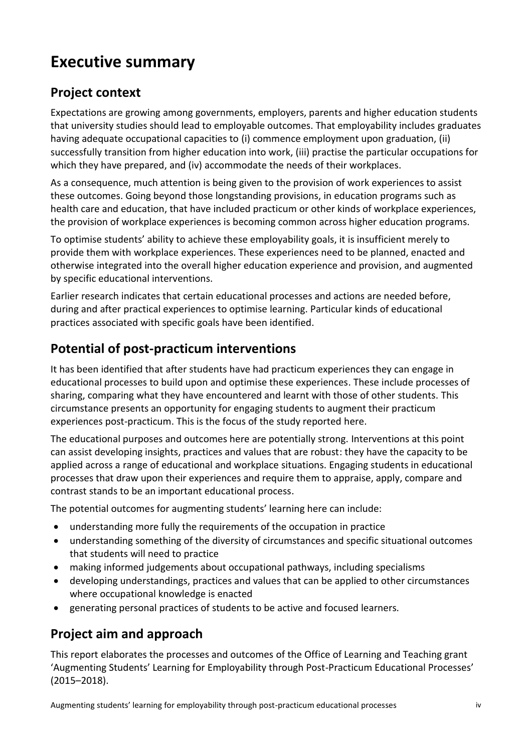# <span id="page-3-0"></span>**Executive summary**

# <span id="page-3-1"></span>**Project context**

Expectations are growing among governments, employers, parents and higher education students that university studies should lead to employable outcomes. That employability includes graduates having adequate occupational capacities to (i) commence employment upon graduation, (ii) successfully transition from higher education into work, (iii) practise the particular occupations for which they have prepared, and (iv) accommodate the needs of their workplaces.

As a consequence, much attention is being given to the provision of work experiences to assist these outcomes. Going beyond those longstanding provisions, in education programs such as health care and education, that have included practicum or other kinds of workplace experiences, the provision of workplace experiences is becoming common across higher education programs.

To optimise students' ability to achieve these employability goals, it is insufficient merely to provide them with workplace experiences. These experiences need to be planned, enacted and otherwise integrated into the overall higher education experience and provision, and augmented by specific educational interventions.

Earlier research indicates that certain educational processes and actions are needed before, during and after practical experiences to optimise learning. Particular kinds of educational practices associated with specific goals have been identified.

## <span id="page-3-2"></span>**Potential of post-practicum interventions**

It has been identified that after students have had practicum experiences they can engage in educational processes to build upon and optimise these experiences. These include processes of sharing, comparing what they have encountered and learnt with those of other students. This circumstance presents an opportunity for engaging students to augment their practicum experiences post-practicum. This is the focus of the study reported here.

The educational purposes and outcomes here are potentially strong. Interventions at this point can assist developing insights, practices and values that are robust: they have the capacity to be applied across a range of educational and workplace situations. Engaging students in educational processes that draw upon their experiences and require them to appraise, apply, compare and contrast stands to be an important educational process.

The potential outcomes for augmenting students' learning here can include:

- understanding more fully the requirements of the occupation in practice
- understanding something of the diversity of circumstances and specific situational outcomes that students will need to practice
- making informed judgements about occupational pathways, including specialisms
- developing understandings, practices and values that can be applied to other circumstances where occupational knowledge is enacted
- generating personal practices of students to be active and focused learners.

## <span id="page-3-3"></span>**Project aim and approach**

This report elaborates the processes and outcomes of the Office of Learning and Teaching grant 'Augmenting Students' Learning for Employability through Post-Practicum Educational Processes' (2015–2018).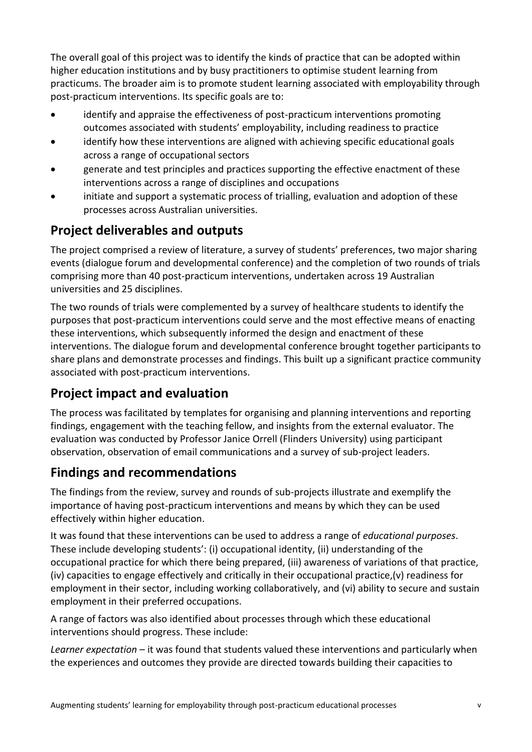The overall goal of this project was to identify the kinds of practice that can be adopted within higher education institutions and by busy practitioners to optimise student learning from practicums. The broader aim is to promote student learning associated with employability through post-practicum interventions. Its specific goals are to:

- identify and appraise the effectiveness of post-practicum interventions promoting outcomes associated with students' employability, including readiness to practice
- identify how these interventions are aligned with achieving specific educational goals across a range of occupational sectors
- generate and test principles and practices supporting the effective enactment of these interventions across a range of disciplines and occupations
- initiate and support a systematic process of trialling, evaluation and adoption of these processes across Australian universities.

# <span id="page-4-0"></span>**Project deliverables and outputs**

The project comprised a review of literature, a survey of students' preferences, two major sharing events (dialogue forum and developmental conference) and the completion of two rounds of trials comprising more than 40 post-practicum interventions, undertaken across 19 Australian universities and 25 disciplines.

The two rounds of trials were complemented by a survey of healthcare students to identify the purposes that post-practicum interventions could serve and the most effective means of enacting these interventions, which subsequently informed the design and enactment of these interventions. The dialogue forum and developmental conference brought together participants to share plans and demonstrate processes and findings. This built up a significant practice community associated with post-practicum interventions.

# <span id="page-4-1"></span>**Project impact and evaluation**

The process was facilitated by templates for organising and planning interventions and reporting findings, engagement with the teaching fellow, and insights from the external evaluator. The evaluation was conducted by Professor Janice Orrell (Flinders University) using participant observation, observation of email communications and a survey of sub-project leaders.

## <span id="page-4-2"></span>**Findings and recommendations**

The findings from the review, survey and rounds of sub-projects illustrate and exemplify the importance of having post-practicum interventions and means by which they can be used effectively within higher education.

It was found that these interventions can be used to address a range of *educational purposes*. These include developing students': (i) occupational identity, (ii) understanding of the occupational practice for which there being prepared, (iii) awareness of variations of that practice, (iv) capacities to engage effectively and critically in their occupational practice,(v) readiness for employment in their sector, including working collaboratively, and (vi) ability to secure and sustain employment in their preferred occupations.

A range of factors was also identified about processes through which these educational interventions should progress. These include:

*Learner expectation* – it was found that students valued these interventions and particularly when the experiences and outcomes they provide are directed towards building their capacities to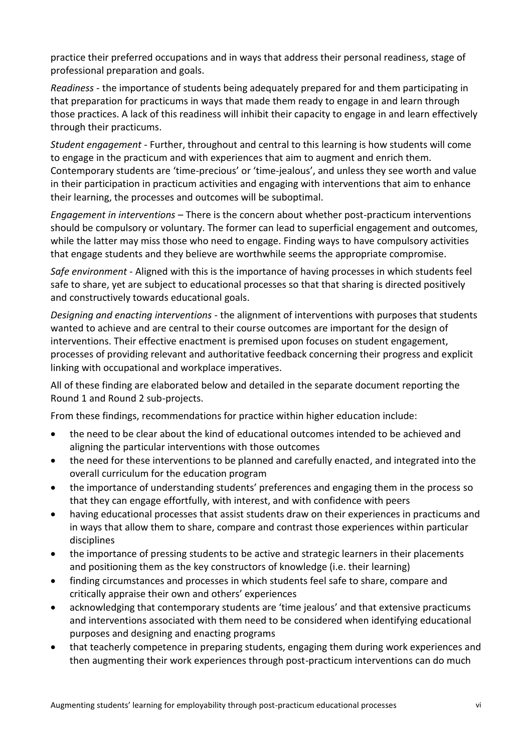practice their preferred occupations and in ways that address their personal readiness, stage of professional preparation and goals.

*Readiness* - the importance of students being adequately prepared for and them participating in that preparation for practicums in ways that made them ready to engage in and learn through those practices. A lack of this readiness will inhibit their capacity to engage in and learn effectively through their practicums.

*Student engagement* - Further, throughout and central to this learning is how students will come to engage in the practicum and with experiences that aim to augment and enrich them. Contemporary students are 'time-precious' or 'time-jealous', and unless they see worth and value in their participation in practicum activities and engaging with interventions that aim to enhance their learning, the processes and outcomes will be suboptimal.

*Engagement in interventions* – There is the concern about whether post-practicum interventions should be compulsory or voluntary. The former can lead to superficial engagement and outcomes, while the latter may miss those who need to engage. Finding ways to have compulsory activities that engage students and they believe are worthwhile seems the appropriate compromise.

*Safe environment* - Aligned with this is the importance of having processes in which students feel safe to share, yet are subject to educational processes so that that sharing is directed positively and constructively towards educational goals.

*Designing and enacting interventions* - the alignment of interventions with purposes that students wanted to achieve and are central to their course outcomes are important for the design of interventions. Their effective enactment is premised upon focuses on student engagement, processes of providing relevant and authoritative feedback concerning their progress and explicit linking with occupational and workplace imperatives.

All of these finding are elaborated below and detailed in the separate document reporting the Round 1 and Round 2 sub-projects.

From these findings, recommendations for practice within higher education include:

- the need to be clear about the kind of educational outcomes intended to be achieved and aligning the particular interventions with those outcomes
- the need for these interventions to be planned and carefully enacted, and integrated into the overall curriculum for the education program
- the importance of understanding students' preferences and engaging them in the process so that they can engage effortfully, with interest, and with confidence with peers
- having educational processes that assist students draw on their experiences in practicums and in ways that allow them to share, compare and contrast those experiences within particular disciplines
- the importance of pressing students to be active and strategic learners in their placements and positioning them as the key constructors of knowledge (i.e. their learning)
- finding circumstances and processes in which students feel safe to share, compare and critically appraise their own and others' experiences
- acknowledging that contemporary students are 'time jealous' and that extensive practicums and interventions associated with them need to be considered when identifying educational purposes and designing and enacting programs
- that teacherly competence in preparing students, engaging them during work experiences and then augmenting their work experiences through post-practicum interventions can do much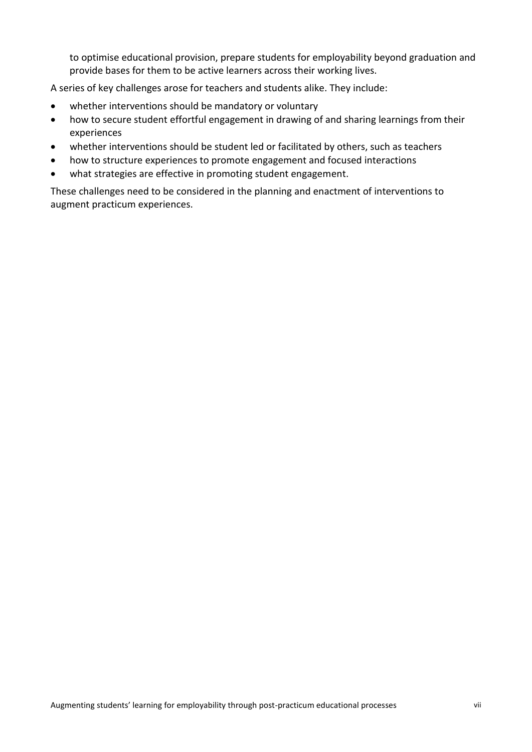to optimise educational provision, prepare students for employability beyond graduation and provide bases for them to be active learners across their working lives.

A series of key challenges arose for teachers and students alike. They include:

- whether interventions should be mandatory or voluntary
- how to secure student effortful engagement in drawing of and sharing learnings from their experiences
- whether interventions should be student led or facilitated by others, such as teachers
- how to structure experiences to promote engagement and focused interactions
- what strategies are effective in promoting student engagement.

These challenges need to be considered in the planning and enactment of interventions to augment practicum experiences.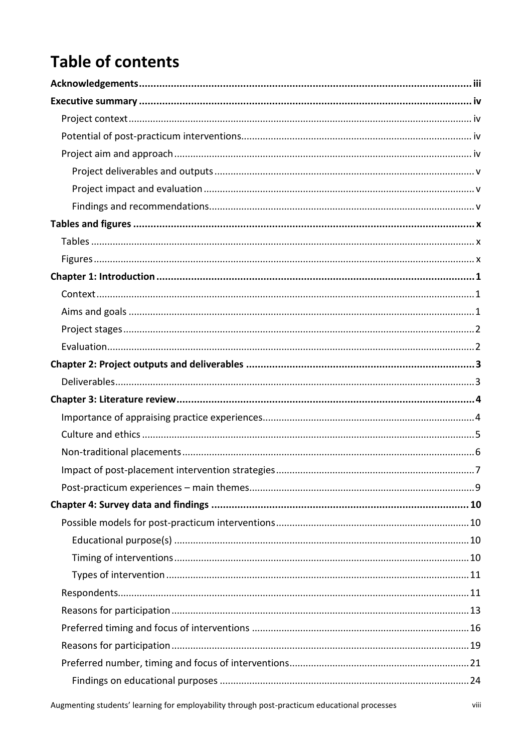# **Table of contents**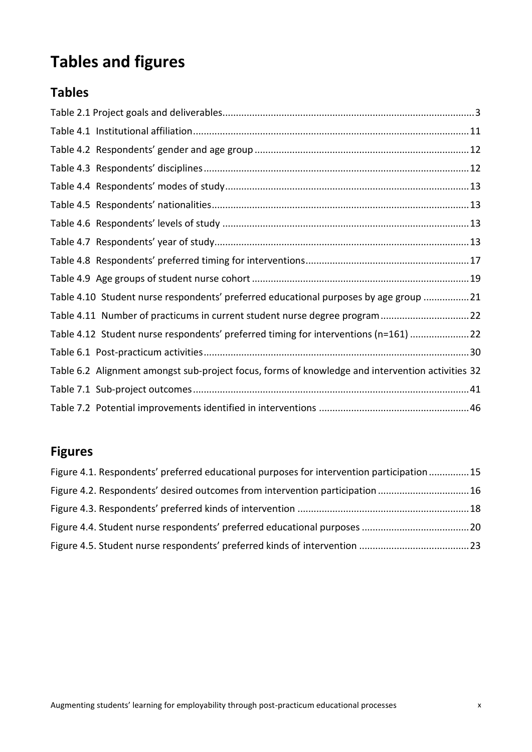# <span id="page-9-0"></span>**Tables and figures**

## <span id="page-9-1"></span>**Tables**

| Table 4.10 Student nurse respondents' preferred educational purposes by age group 21             |
|--------------------------------------------------------------------------------------------------|
| Table 4.11 Number of practicums in current student nurse degree program22                        |
| Table 4.12 Student nurse respondents' preferred timing for interventions (n=161) 22              |
|                                                                                                  |
| Table 6.2 Alignment amongst sub-project focus, forms of knowledge and intervention activities 32 |
|                                                                                                  |
|                                                                                                  |

# <span id="page-9-2"></span>**Figures**

| Figure 4.1. Respondents' preferred educational purposes for intervention participation 15 |  |
|-------------------------------------------------------------------------------------------|--|
| Figure 4.2. Respondents' desired outcomes from intervention participation 16              |  |
|                                                                                           |  |
|                                                                                           |  |
|                                                                                           |  |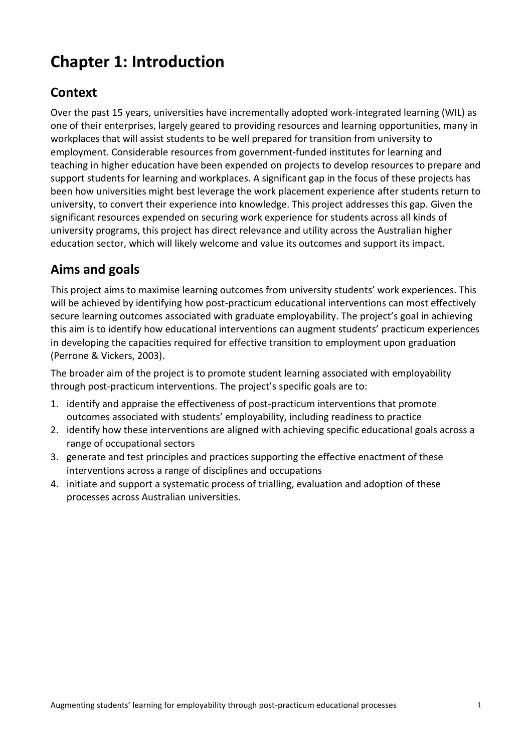# <span id="page-10-0"></span>**Chapter 1: Introduction**

## <span id="page-10-1"></span>**Context**

Over the past 15 years, universities have incrementally adopted work-integrated learning (WIL) as one of their enterprises, largely geared to providing resources and learning opportunities, many in workplaces that will assist students to be well prepared for transition from university to employment. Considerable resources from government-funded institutes for learning and teaching in higher education have been expended on projects to develop resources to prepare and support students for learning and workplaces. A significant gap in the focus of these projects has been how universities might best leverage the work placement experience after students return to university, to convert their experience into knowledge. This project addresses this gap. Given the significant resources expended on securing work experience for students across all kinds of university programs, this project has direct relevance and utility across the Australian higher education sector, which will likely welcome and value its outcomes and support its impact.

## <span id="page-10-2"></span>**Aims and goals**

This project aims to maximise learning outcomes from university students' work experiences. This will be achieved by identifying how post-practicum educational interventions can most effectively secure learning outcomes associated with graduate employability. The project's goal in achieving this aim is to identify how educational interventions can augment students' practicum experiences in developing the capacities required for effective transition to employment upon graduation (Perrone & Vickers, 2003).

The broader aim of the project is to promote student learning associated with employability through post-practicum interventions. The project's specific goals are to:

- 1. identify and appraise the effectiveness of post-practicum interventions that promote outcomes associated with students' employability, including readiness to practice
- 2. identify how these interventions are aligned with achieving specific educational goals across a range of occupational sectors
- 3. generate and test principles and practices supporting the effective enactment of these interventions across a range of disciplines and occupations
- 4. initiate and support a systematic process of trialling, evaluation and adoption of these processes across Australian universities.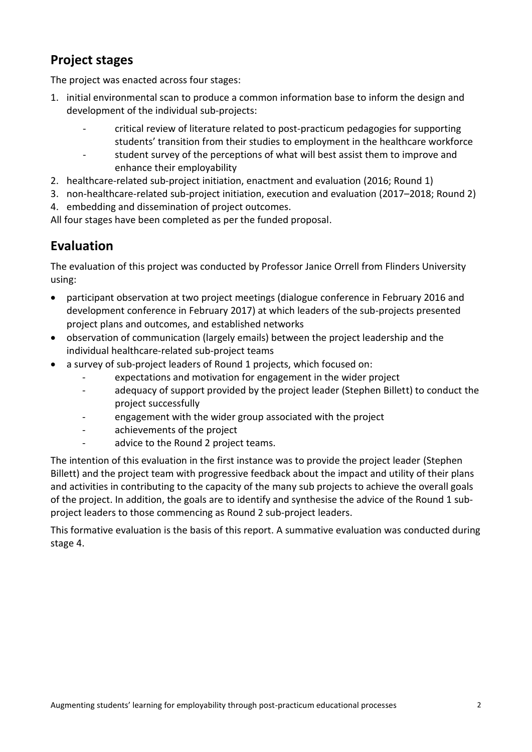## <span id="page-11-0"></span>**Project stages**

The project was enacted across four stages:

- 1. initial environmental scan to produce a common information base to inform the design and development of the individual sub-projects:
	- critical review of literature related to post-practicum pedagogies for supporting students' transition from their studies to employment in the healthcare workforce
	- student survey of the perceptions of what will best assist them to improve and enhance their employability
- 2. healthcare-related sub-project initiation, enactment and evaluation (2016; Round 1)
- 3. non-healthcare-related sub-project initiation, execution and evaluation (2017–2018; Round 2)
- 4. embedding and dissemination of project outcomes.

All four stages have been completed as per the funded proposal.

## <span id="page-11-1"></span>**Evaluation**

The evaluation of this project was conducted by Professor Janice Orrell from Flinders University using:

- participant observation at two project meetings (dialogue conference in February 2016 and development conference in February 2017) at which leaders of the sub-projects presented project plans and outcomes, and established networks
- observation of communication (largely emails) between the project leadership and the individual healthcare-related sub-project teams
- a survey of sub-project leaders of Round 1 projects, which focused on:
	- expectations and motivation for engagement in the wider project
	- adequacy of support provided by the project leader (Stephen Billett) to conduct the project successfully
	- engagement with the wider group associated with the project
	- achievements of the project
	- advice to the Round 2 project teams.

The intention of this evaluation in the first instance was to provide the project leader (Stephen Billett) and the project team with progressive feedback about the impact and utility of their plans and activities in contributing to the capacity of the many sub projects to achieve the overall goals of the project. In addition, the goals are to identify and synthesise the advice of the Round 1 subproject leaders to those commencing as Round 2 sub-project leaders.

This formative evaluation is the basis of this report. A summative evaluation was conducted during stage 4.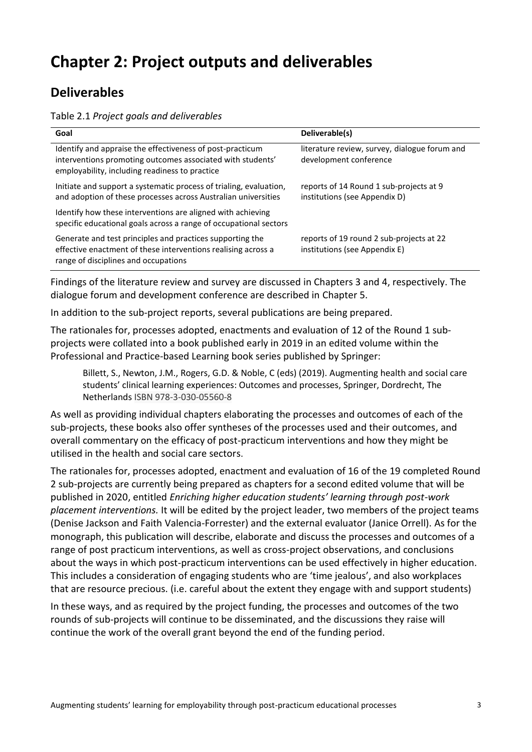# <span id="page-12-0"></span>**Chapter 2: Project outputs and deliverables**

## <span id="page-12-1"></span>**Deliverables**

<span id="page-12-2"></span>Table 2.1 *Project goals and deliverables*

| Goal                                                                                                                                                                      | Deliverable(s)                                                            |
|---------------------------------------------------------------------------------------------------------------------------------------------------------------------------|---------------------------------------------------------------------------|
| Identify and appraise the effectiveness of post-practicum<br>interventions promoting outcomes associated with students'<br>employability, including readiness to practice | literature review, survey, dialogue forum and<br>development conference   |
| Initiate and support a systematic process of trialing, evaluation,<br>and adoption of these processes across Australian universities                                      | reports of 14 Round 1 sub-projects at 9<br>institutions (see Appendix D)  |
| Identify how these interventions are aligned with achieving<br>specific educational goals across a range of occupational sectors                                          |                                                                           |
| Generate and test principles and practices supporting the<br>effective enactment of these interventions realising across a<br>range of disciplines and occupations        | reports of 19 round 2 sub-projects at 22<br>institutions (see Appendix E) |

Findings of the literature review and survey are discussed in Chapters 3 and 4, respectively. The dialogue forum and development conference are described in Chapter 5.

In addition to the sub-project reports, several publications are being prepared.

The rationales for, processes adopted, enactments and evaluation of 12 of the Round 1 subprojects were collated into a book published early in 2019 in an edited volume within the Professional and Practice-based Learning book series published by Springer:

Billett, S., Newton, J.M., Rogers, G.D. & Noble, C (eds) (2019). Augmenting health and social care students' clinical learning experiences: Outcomes and processes, Springer, Dordrecht, The Netherlands ISBN 978-3-030-05560-8

As well as providing individual chapters elaborating the processes and outcomes of each of the sub-projects, these books also offer syntheses of the processes used and their outcomes, and overall commentary on the efficacy of post-practicum interventions and how they might be utilised in the health and social care sectors.

The rationales for, processes adopted, enactment and evaluation of 16 of the 19 completed Round 2 sub-projects are currently being prepared as chapters for a second edited volume that will be published in 2020, entitled *Enriching higher education students' learning through post-work placement interventions.* It will be edited by the project leader, two members of the project teams (Denise Jackson and Faith Valencia-Forrester) and the external evaluator (Janice Orrell). As for the monograph, this publication will describe, elaborate and discuss the processes and outcomes of a range of post practicum interventions, as well as cross-project observations, and conclusions about the ways in which post-practicum interventions can be used effectively in higher education. This includes a consideration of engaging students who are 'time jealous', and also workplaces that are resource precious. (i.e. careful about the extent they engage with and support students)

In these ways, and as required by the project funding, the processes and outcomes of the two rounds of sub-projects will continue to be disseminated, and the discussions they raise will continue the work of the overall grant beyond the end of the funding period.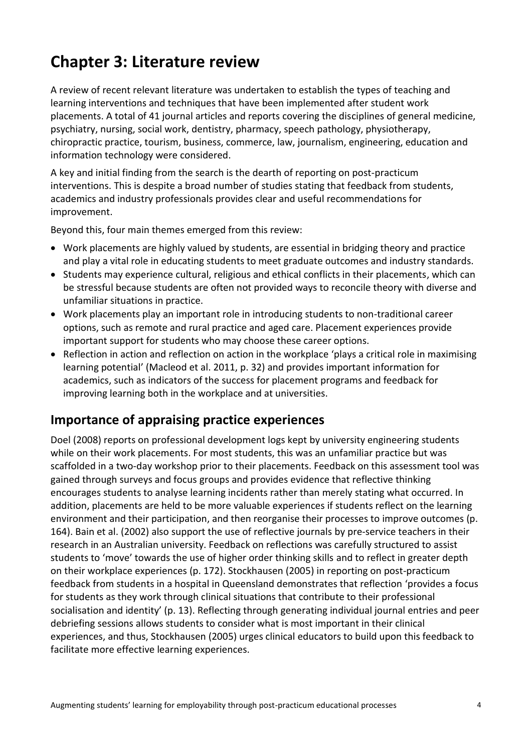# <span id="page-13-0"></span>**Chapter 3: Literature review**

A review of recent relevant literature was undertaken to establish the types of teaching and learning interventions and techniques that have been implemented after student work placements. A total of 41 journal articles and reports covering the disciplines of general medicine, psychiatry, nursing, social work, dentistry, pharmacy, speech pathology, physiotherapy, chiropractic practice, tourism, business, commerce, law, journalism, engineering, education and information technology were considered.

A key and initial finding from the search is the dearth of reporting on post-practicum interventions. This is despite a broad number of studies stating that feedback from students, academics and industry professionals provides clear and useful recommendations for improvement.

Beyond this, four main themes emerged from this review:

- Work placements are highly valued by students, are essential in bridging theory and practice and play a vital role in educating students to meet graduate outcomes and industry standards.
- Students may experience cultural, religious and ethical conflicts in their placements, which can be stressful because students are often not provided ways to reconcile theory with diverse and unfamiliar situations in practice.
- Work placements play an important role in introducing students to non-traditional career options, such as remote and rural practice and aged care. Placement experiences provide important support for students who may choose these career options.
- Reflection in action and reflection on action in the workplace 'plays a critical role in maximising learning potential' (Macleod et al. 2011, p. 32) and provides important information for academics, such as indicators of the success for placement programs and feedback for improving learning both in the workplace and at universities.

## <span id="page-13-1"></span>**Importance of appraising practice experiences**

Doel (2008) reports on professional development logs kept by university engineering students while on their work placements. For most students, this was an unfamiliar practice but was scaffolded in a two-day workshop prior to their placements. Feedback on this assessment tool was gained through surveys and focus groups and provides evidence that reflective thinking encourages students to analyse learning incidents rather than merely stating what occurred. In addition, placements are held to be more valuable experiences if students reflect on the learning environment and their participation, and then reorganise their processes to improve outcomes (p. 164). Bain et al. (2002) also support the use of reflective journals by pre-service teachers in their research in an Australian university. Feedback on reflections was carefully structured to assist students to 'move' towards the use of higher order thinking skills and to reflect in greater depth on their workplace experiences (p. 172). Stockhausen (2005) in reporting on post-practicum feedback from students in a hospital in Queensland demonstrates that reflection 'provides a focus for students as they work through clinical situations that contribute to their professional socialisation and identity' (p. 13). Reflecting through generating individual journal entries and peer debriefing sessions allows students to consider what is most important in their clinical experiences, and thus, Stockhausen (2005) urges clinical educators to build upon this feedback to facilitate more effective learning experiences.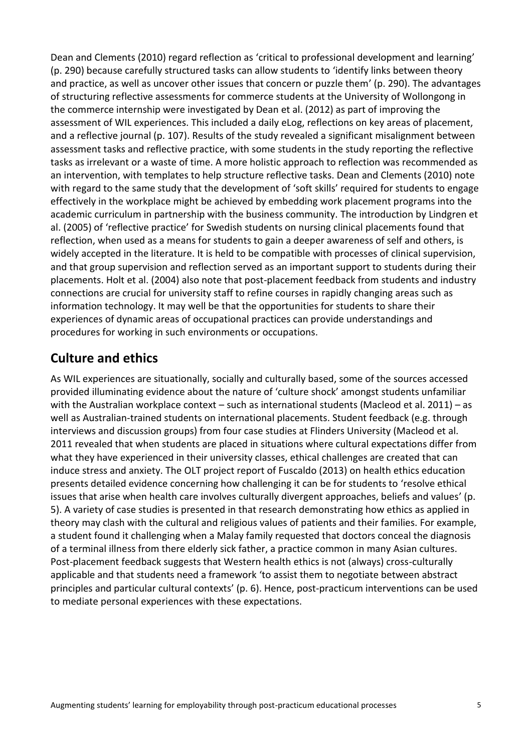Dean and Clements (2010) regard reflection as 'critical to professional development and learning' (p. 290) because carefully structured tasks can allow students to 'identify links between theory and practice, as well as uncover other issues that concern or puzzle them' (p. 290). The advantages of structuring reflective assessments for commerce students at the University of Wollongong in the commerce internship were investigated by Dean et al. (2012) as part of improving the assessment of WIL experiences. This included a daily eLog, reflections on key areas of placement, and a reflective journal (p. 107). Results of the study revealed a significant misalignment between assessment tasks and reflective practice, with some students in the study reporting the reflective tasks as irrelevant or a waste of time. A more holistic approach to reflection was recommended as an intervention, with templates to help structure reflective tasks. Dean and Clements (2010) note with regard to the same study that the development of 'soft skills' required for students to engage effectively in the workplace might be achieved by embedding work placement programs into the academic curriculum in partnership with the business community. The introduction by Lindgren et al. (2005) of 'reflective practice' for Swedish students on nursing clinical placements found that reflection, when used as a means for students to gain a deeper awareness of self and others, is widely accepted in the literature. It is held to be compatible with processes of clinical supervision, and that group supervision and reflection served as an important support to students during their placements. Holt et al. (2004) also note that post-placement feedback from students and industry connections are crucial for university staff to refine courses in rapidly changing areas such as information technology. It may well be that the opportunities for students to share their experiences of dynamic areas of occupational practices can provide understandings and procedures for working in such environments or occupations.

### <span id="page-14-0"></span>**Culture and ethics**

As WIL experiences are situationally, socially and culturally based, some of the sources accessed provided illuminating evidence about the nature of 'culture shock' amongst students unfamiliar with the Australian workplace context – such as international students (Macleod et al. 2011) – as well as Australian-trained students on international placements. Student feedback (e.g. through interviews and discussion groups) from four case studies at Flinders University (Macleod et al. 2011 revealed that when students are placed in situations where cultural expectations differ from what they have experienced in their university classes, ethical challenges are created that can induce stress and anxiety. The OLT project report of Fuscaldo (2013) on health ethics education presents detailed evidence concerning how challenging it can be for students to 'resolve ethical issues that arise when health care involves culturally divergent approaches, beliefs and values' (p. 5). A variety of case studies is presented in that research demonstrating how ethics as applied in theory may clash with the cultural and religious values of patients and their families. For example, a student found it challenging when a Malay family requested that doctors conceal the diagnosis of a terminal illness from there elderly sick father, a practice common in many Asian cultures. Post-placement feedback suggests that Western health ethics is not (always) cross-culturally applicable and that students need a framework 'to assist them to negotiate between abstract principles and particular cultural contexts' (p. 6). Hence, post-practicum interventions can be used to mediate personal experiences with these expectations.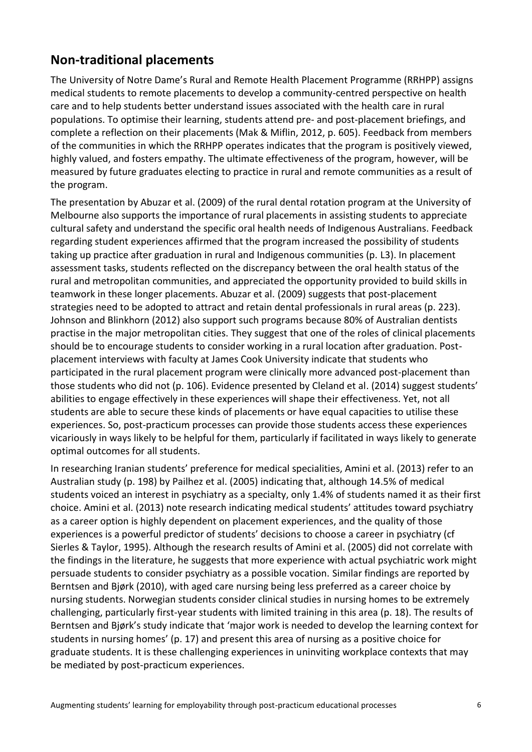## <span id="page-15-0"></span>**Non-traditional placements**

The University of Notre Dame's Rural and Remote Health Placement Programme (RRHPP) assigns medical students to remote placements to develop a community-centred perspective on health care and to help students better understand issues associated with the health care in rural populations. To optimise their learning, students attend pre- and post-placement briefings, and complete a reflection on their placements (Mak & Miflin, 2012, p. 605). Feedback from members of the communities in which the RRHPP operates indicates that the program is positively viewed, highly valued, and fosters empathy. The ultimate effectiveness of the program, however, will be measured by future graduates electing to practice in rural and remote communities as a result of the program.

The presentation by Abuzar et al. (2009) of the rural dental rotation program at the University of Melbourne also supports the importance of rural placements in assisting students to appreciate cultural safety and understand the specific oral health needs of Indigenous Australians. Feedback regarding student experiences affirmed that the program increased the possibility of students taking up practice after graduation in rural and Indigenous communities (p. L3). In placement assessment tasks, students reflected on the discrepancy between the oral health status of the rural and metropolitan communities, and appreciated the opportunity provided to build skills in teamwork in these longer placements. Abuzar et al. (2009) suggests that post-placement strategies need to be adopted to attract and retain dental professionals in rural areas (p. 223). Johnson and Blinkhorn (2012) also support such programs because 80% of Australian dentists practise in the major metropolitan cities. They suggest that one of the roles of clinical placements should be to encourage students to consider working in a rural location after graduation. Postplacement interviews with faculty at James Cook University indicate that students who participated in the rural placement program were clinically more advanced post-placement than those students who did not (p. 106). Evidence presented by Cleland et al. (2014) suggest students' abilities to engage effectively in these experiences will shape their effectiveness. Yet, not all students are able to secure these kinds of placements or have equal capacities to utilise these experiences. So, post-practicum processes can provide those students access these experiences vicariously in ways likely to be helpful for them, particularly if facilitated in ways likely to generate optimal outcomes for all students.

In researching Iranian students' preference for medical specialities, Amini et al. (2013) refer to an Australian study (p. 198) by Pailhez et al. (2005) indicating that, although 14.5% of medical students voiced an interest in psychiatry as a specialty, only 1.4% of students named it as their first choice. Amini et al. (2013) note research indicating medical students' attitudes toward psychiatry as a career option is highly dependent on placement experiences, and the quality of those experiences is a powerful predictor of students' decisions to choose a career in psychiatry (cf Sierles & Taylor, 1995). Although the research results of Amini et al. (2005) did not correlate with the findings in the literature, he suggests that more experience with actual psychiatric work might persuade students to consider psychiatry as a possible vocation. Similar findings are reported by Berntsen and Bjørk (2010), with aged care nursing being less preferred as a career choice by nursing students. Norwegian students consider clinical studies in nursing homes to be extremely challenging, particularly first-year students with limited training in this area (p. 18). The results of Berntsen and Bjørk's study indicate that 'major work is needed to develop the learning context for students in nursing homes' (p. 17) and present this area of nursing as a positive choice for graduate students. It is these challenging experiences in uninviting workplace contexts that may be mediated by post-practicum experiences.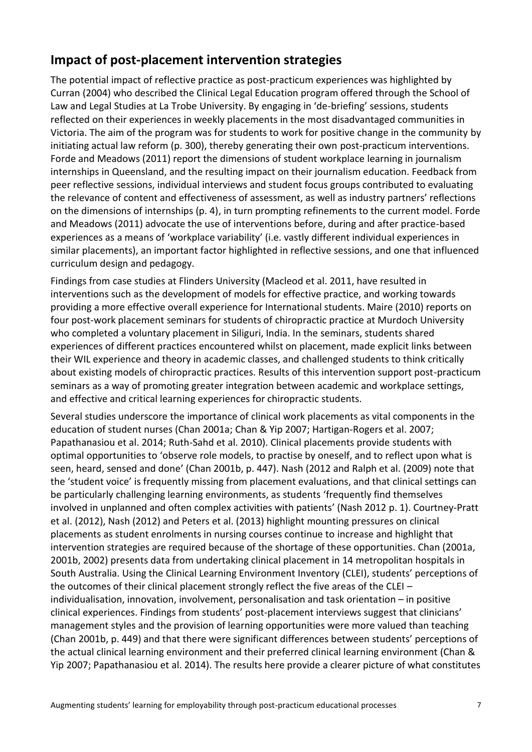## <span id="page-16-0"></span>**Impact of post-placement intervention strategies**

The potential impact of reflective practice as post-practicum experiences was highlighted by Curran (2004) who described the Clinical Legal Education program offered through the School of Law and Legal Studies at La Trobe University. By engaging in 'de-briefing' sessions, students reflected on their experiences in weekly placements in the most disadvantaged communities in Victoria. The aim of the program was for students to work for positive change in the community by initiating actual law reform (p. 300), thereby generating their own post-practicum interventions. Forde and Meadows (2011) report the dimensions of student workplace learning in journalism internships in Queensland, and the resulting impact on their journalism education. Feedback from peer reflective sessions, individual interviews and student focus groups contributed to evaluating the relevance of content and effectiveness of assessment, as well as industry partners' reflections on the dimensions of internships (p. 4), in turn prompting refinements to the current model. Forde and Meadows (2011) advocate the use of interventions before, during and after practice-based experiences as a means of 'workplace variability' (i.e. vastly different individual experiences in similar placements), an important factor highlighted in reflective sessions, and one that influenced curriculum design and pedagogy.

Findings from case studies at Flinders University (Macleod et al. 2011, have resulted in interventions such as the development of models for effective practice, and working towards providing a more effective overall experience for International students. Maire (2010) reports on four post-work placement seminars for students of chiropractic practice at Murdoch University who completed a voluntary placement in Siliguri, India. In the seminars, students shared experiences of different practices encountered whilst on placement, made explicit links between their WIL experience and theory in academic classes, and challenged students to think critically about existing models of chiropractic practices. Results of this intervention support post-practicum seminars as a way of promoting greater integration between academic and workplace settings, and effective and critical learning experiences for chiropractic students.

Several studies underscore the importance of clinical work placements as vital components in the education of student nurses (Chan 2001a; Chan & Yip 2007; Hartigan-Rogers et al. 2007; Papathanasiou et al. 2014; Ruth-Sahd et al. 2010). Clinical placements provide students with optimal opportunities to 'observe role models, to practise by oneself, and to reflect upon what is seen, heard, sensed and done' (Chan 2001b, p. 447). Nash (2012 and Ralph et al. (2009) note that the 'student voice' is frequently missing from placement evaluations, and that clinical settings can be particularly challenging learning environments, as students 'frequently find themselves involved in unplanned and often complex activities with patients' (Nash 2012 p. 1). Courtney-Pratt et al. (2012), Nash (2012) and Peters et al. (2013) highlight mounting pressures on clinical placements as student enrolments in nursing courses continue to increase and highlight that intervention strategies are required because of the shortage of these opportunities. Chan (2001a, 2001b, 2002) presents data from undertaking clinical placement in 14 metropolitan hospitals in South Australia. Using the Clinical Learning Environment Inventory (CLEI), students' perceptions of the outcomes of their clinical placement strongly reflect the five areas of the CLEI – individualisation, innovation, involvement, personalisation and task orientation – in positive clinical experiences. Findings from students' post-placement interviews suggest that clinicians' management styles and the provision of learning opportunities were more valued than teaching (Chan 2001b, p. 449) and that there were significant differences between students' perceptions of the actual clinical learning environment and their preferred clinical learning environment (Chan & Yip 2007; Papathanasiou et al. 2014). The results here provide a clearer picture of what constitutes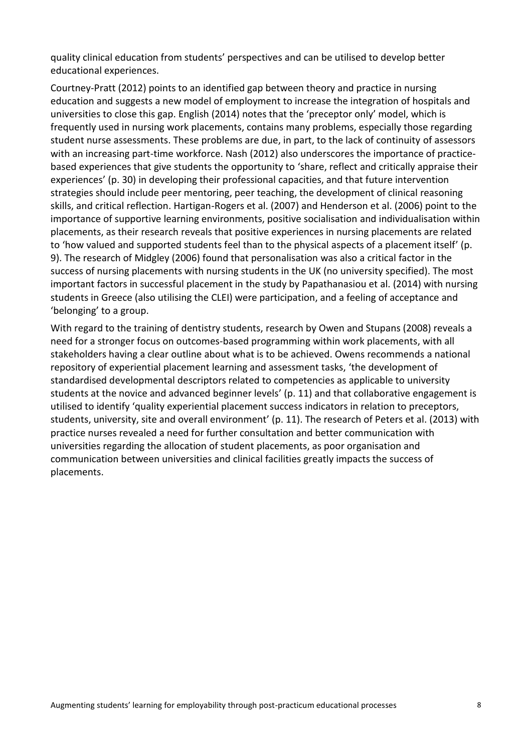quality clinical education from students' perspectives and can be utilised to develop better educational experiences.

Courtney-Pratt (2012) points to an identified gap between theory and practice in nursing education and suggests a new model of employment to increase the integration of hospitals and universities to close this gap. English (2014) notes that the 'preceptor only' model, which is frequently used in nursing work placements, contains many problems, especially those regarding student nurse assessments. These problems are due, in part, to the lack of continuity of assessors with an increasing part-time workforce. Nash (2012) also underscores the importance of practicebased experiences that give students the opportunity to 'share, reflect and critically appraise their experiences' (p. 30) in developing their professional capacities, and that future intervention strategies should include peer mentoring, peer teaching, the development of clinical reasoning skills, and critical reflection. Hartigan-Rogers et al. (2007) and Henderson et al. (2006) point to the importance of supportive learning environments, positive socialisation and individualisation within placements, as their research reveals that positive experiences in nursing placements are related to 'how valued and supported students feel than to the physical aspects of a placement itself' (p. 9). The research of Midgley (2006) found that personalisation was also a critical factor in the success of nursing placements with nursing students in the UK (no university specified). The most important factors in successful placement in the study by Papathanasiou et al. (2014) with nursing students in Greece (also utilising the CLEI) were participation, and a feeling of acceptance and 'belonging' to a group.

With regard to the training of dentistry students, research by Owen and Stupans (2008) reveals a need for a stronger focus on outcomes-based programming within work placements, with all stakeholders having a clear outline about what is to be achieved. Owens recommends a national repository of experiential placement learning and assessment tasks, 'the development of standardised developmental descriptors related to competencies as applicable to university students at the novice and advanced beginner levels' (p. 11) and that collaborative engagement is utilised to identify 'quality experiential placement success indicators in relation to preceptors, students, university, site and overall environment' (p. 11). The research of Peters et al. (2013) with practice nurses revealed a need for further consultation and better communication with universities regarding the allocation of student placements, as poor organisation and communication between universities and clinical facilities greatly impacts the success of placements.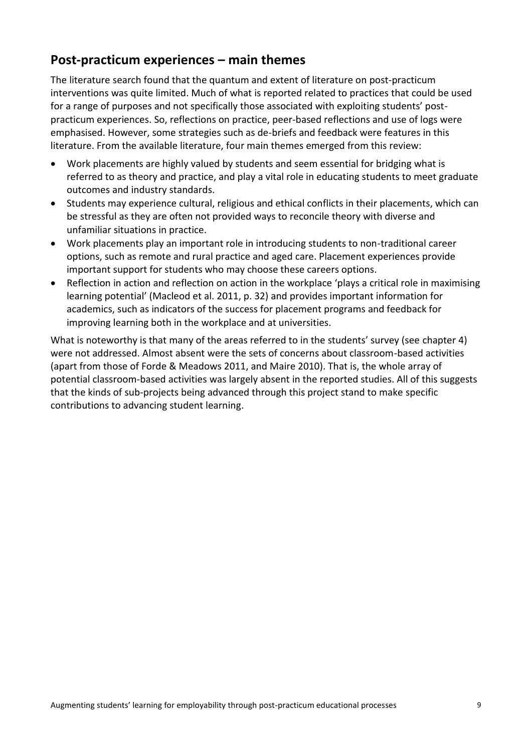## <span id="page-18-0"></span>**Post-practicum experiences – main themes**

The literature search found that the quantum and extent of literature on post-practicum interventions was quite limited. Much of what is reported related to practices that could be used for a range of purposes and not specifically those associated with exploiting students' postpracticum experiences. So, reflections on practice, peer-based reflections and use of logs were emphasised. However, some strategies such as de-briefs and feedback were features in this literature. From the available literature, four main themes emerged from this review:

- Work placements are highly valued by students and seem essential for bridging what is referred to as theory and practice, and play a vital role in educating students to meet graduate outcomes and industry standards.
- Students may experience cultural, religious and ethical conflicts in their placements, which can be stressful as they are often not provided ways to reconcile theory with diverse and unfamiliar situations in practice.
- Work placements play an important role in introducing students to non-traditional career options, such as remote and rural practice and aged care. Placement experiences provide important support for students who may choose these careers options.
- Reflection in action and reflection on action in the workplace 'plays a critical role in maximising learning potential' (Macleod et al. 2011, p. 32) and provides important information for academics, such as indicators of the success for placement programs and feedback for improving learning both in the workplace and at universities.

What is noteworthy is that many of the areas referred to in the students' survey (see chapter 4) were not addressed. Almost absent were the sets of concerns about classroom-based activities (apart from those of Forde & Meadows 2011, and Maire 2010). That is, the whole array of potential classroom-based activities was largely absent in the reported studies. All of this suggests that the kinds of sub-projects being advanced through this project stand to make specific contributions to advancing student learning.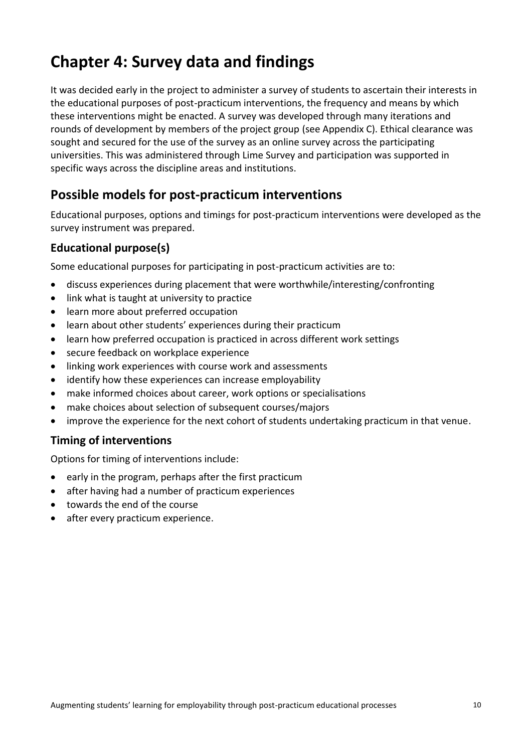# <span id="page-19-0"></span>**Chapter 4: Survey data and findings**

It was decided early in the project to administer a survey of students to ascertain their interests in the educational purposes of post-practicum interventions, the frequency and means by which these interventions might be enacted. A survey was developed through many iterations and rounds of development by members of the project group (see Appendix C). Ethical clearance was sought and secured for the use of the survey as an online survey across the participating universities. This was administered through Lime Survey and participation was supported in specific ways across the discipline areas and institutions.

## <span id="page-19-1"></span>**Possible models for post-practicum interventions**

Educational purposes, options and timings for post-practicum interventions were developed as the survey instrument was prepared.

#### <span id="page-19-2"></span>**Educational purpose(s)**

Some educational purposes for participating in post-practicum activities are to:

- discuss experiences during placement that were worthwhile/interesting/confronting
- link what is taught at university to practice
- learn more about preferred occupation
- learn about other students' experiences during their practicum
- learn how preferred occupation is practiced in across different work settings
- secure feedback on workplace experience
- linking work experiences with course work and assessments
- identify how these experiences can increase employability
- make informed choices about career, work options or specialisations
- make choices about selection of subsequent courses/majors
- improve the experience for the next cohort of students undertaking practicum in that venue.

#### <span id="page-19-3"></span>**Timing of interventions**

Options for timing of interventions include:

- early in the program, perhaps after the first practicum
- after having had a number of practicum experiences
- towards the end of the course
- after every practicum experience.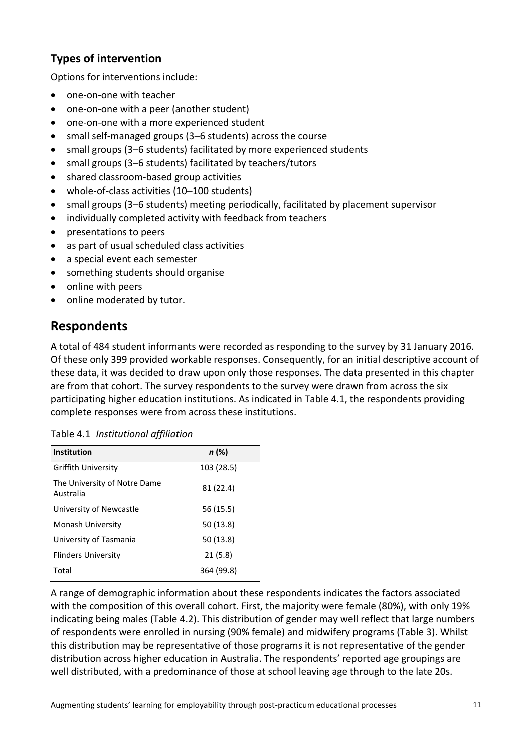### <span id="page-20-0"></span>**Types of intervention**

Options for interventions include:

- one-on-one with teacher
- one-on-one with a peer (another student)
- one-on-one with a more experienced student
- small self-managed groups (3–6 students) across the course
- small groups (3–6 students) facilitated by more experienced students
- small groups (3–6 students) facilitated by teachers/tutors
- shared classroom-based group activities
- whole-of-class activities (10–100 students)
- small groups (3–6 students) meeting periodically, facilitated by placement supervisor
- individually completed activity with feedback from teachers
- presentations to peers
- as part of usual scheduled class activities
- a special event each semester
- something students should organise
- online with peers
- online moderated by tutor.

## <span id="page-20-1"></span>**Respondents**

A total of 484 student informants were recorded as responding to the survey by 31 January 2016. Of these only 399 provided workable responses. Consequently, for an initial descriptive account of these data, it was decided to draw upon only those responses. The data presented in this chapter are from that cohort. The survey respondents to the survey were drawn from across the six participating higher education institutions. As indicated in Table 4.1, the respondents providing complete responses were from across these institutions.

| <b>Institution</b>                        | n (%)      |  |
|-------------------------------------------|------------|--|
| Griffith University                       | 103 (28.5) |  |
| The University of Notre Dame<br>Australia | 81 (22.4)  |  |
| University of Newcastle                   | 56 (15.5)  |  |
| Monash University                         | 50 (13.8)  |  |
| University of Tasmania                    | 50 (13.8)  |  |
| <b>Flinders University</b>                | 21 (5.8)   |  |
| Total                                     | 364 (99.8) |  |
|                                           |            |  |

<span id="page-20-2"></span>

A range of demographic information about these respondents indicates the factors associated with the composition of this overall cohort. First, the majority were female (80%), with only 19% indicating being males (Table 4.2). This distribution of gender may well reflect that large numbers of respondents were enrolled in nursing (90% female) and midwifery programs (Table 3). Whilst this distribution may be representative of those programs it is not representative of the gender distribution across higher education in Australia. The respondents' reported age groupings are well distributed, with a predominance of those at school leaving age through to the late 20s.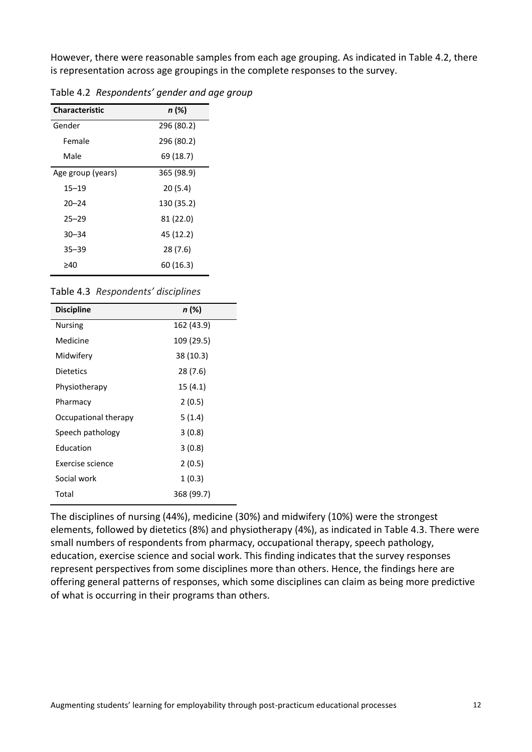However, there were reasonable samples from each age grouping. As indicated in Table 4.2, there is representation across age groupings in the complete responses to the survey.

| <b>Characteristic</b> | n (%)      |
|-----------------------|------------|
| Gender                | 296 (80.2) |
| Female                | 296 (80.2) |
| Male                  | 69 (18.7)  |
| Age group (years)     | 365 (98.9) |
| $15 - 19$             | 20 (5.4)   |
| $20 - 24$             | 130 (35.2) |
| $25 - 29$             | 81 (22.0)  |
| 30–34                 | 45 (12.2)  |
| $35 - 39$             | 28 (7.6)   |
| $\geq 40$             | 60 (16.3)  |

<span id="page-21-0"></span>Table 4.23*Respondents' gender and age group*

<span id="page-21-1"></span>

|  | Table 4.3 Respondents' disciplines |  |
|--|------------------------------------|--|
|--|------------------------------------|--|

| <b>Discipline</b>    | n (%)      |
|----------------------|------------|
| <b>Nursing</b>       | 162 (43.9) |
| Medicine             | 109 (29.5) |
| Midwifery            | 38 (10.3)  |
| <b>Dietetics</b>     | 28 (7.6)   |
| Physiotherapy        | 15(4.1)    |
| Pharmacy             | 2(0.5)     |
| Occupational therapy | 5(1.4)     |
| Speech pathology     | 3(0.8)     |
| Education            | 3(0.8)     |
| Exercise science     | 2(0.5)     |
| Social work          | 1(0.3)     |
| Total                | 368 (99.7) |

The disciplines of nursing (44%), medicine (30%) and midwifery (10%) were the strongest elements, followed by dietetics (8%) and physiotherapy (4%), as indicated in Table 4.3. There were small numbers of respondents from pharmacy, occupational therapy, speech pathology, education, exercise science and social work. This finding indicates that the survey responses represent perspectives from some disciplines more than others. Hence, the findings here are offering general patterns of responses, which some disciplines can claim as being more predictive of what is occurring in their programs than others.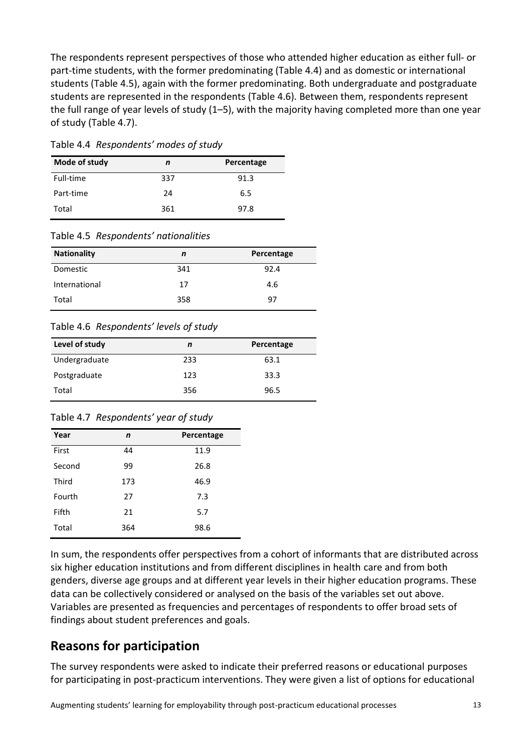The respondents represent perspectives of those who attended higher education as either full- or part-time students, with the former predominating (Table 4.4) and as domestic or international students (Table 4.5), again with the former predominating. Both undergraduate and postgraduate students are represented in the respondents (Table 4.6). Between them, respondents represent the full range of year levels of study (1–5), with the majority having completed more than one year of study (Table 4.7).

<span id="page-22-1"></span>Table 4.45*Respondents' modes of study*

| Mode of study | n   | Percentage |
|---------------|-----|------------|
| Full-time     | 337 | 91.3       |
| Part-time     | 24  | 6.5        |
| Total         | 361 | 97.8       |

<span id="page-22-2"></span>Table 4.56*Respondents' nationalities*

| <b>Nationality</b> | n   | Percentage |
|--------------------|-----|------------|
| Domestic           | 341 | 92.4       |
| International      | 17  | 4.6        |
| Total              | 358 | 97         |

#### <span id="page-22-3"></span>Table 4.67*Respondents' levels of study*

| Level of study | n   | Percentage |
|----------------|-----|------------|
| Undergraduate  | 233 | 63.1       |
| Postgraduate   | 123 | 33.3       |
| Total          | 356 | 96.5       |

#### <span id="page-22-4"></span>Table 4.78*Respondents' year of study*

| Year   | n   | Percentage |
|--------|-----|------------|
| First  | 44  | 11.9       |
| Second | 99  | 26.8       |
| Third  | 173 | 46.9       |
| Fourth | 27  | 7.3        |
| Fifth  | 21  | 5.7        |
| Total  | 364 | 98.6       |

In sum, the respondents offer perspectives from a cohort of informants that are distributed across six higher education institutions and from different disciplines in health care and from both genders, diverse age groups and at different year levels in their higher education programs. These data can be collectively considered or analysed on the basis of the variables set out above. Variables are presented as frequencies and percentages of respondents to offer broad sets of findings about student preferences and goals.

### <span id="page-22-0"></span>**Reasons for participation**

The survey respondents were asked to indicate their preferred reasons or educational purposes for participating in post-practicum interventions. They were given a list of options for educational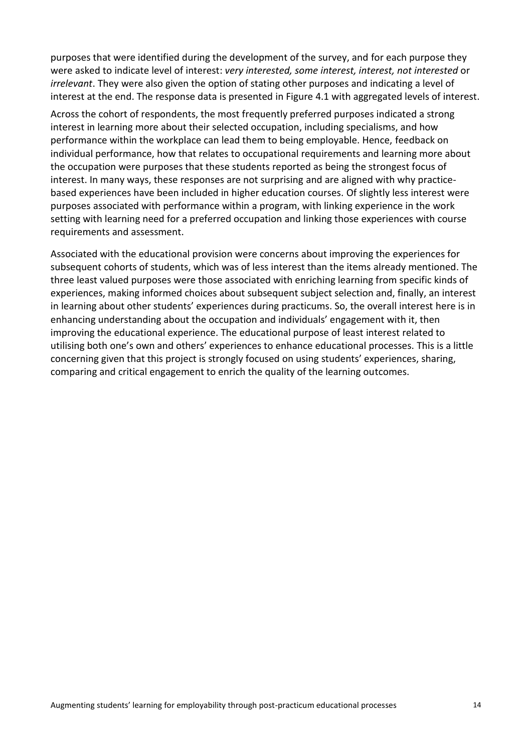purposes that were identified during the development of the survey, and for each purpose they were asked to indicate level of interest: *very interested, some interest, interest, not interested* or *irrelevant*. They were also given the option of stating other purposes and indicating a level of interest at the end. The response data is presented in Figure 4.1 with aggregated levels of interest.

Across the cohort of respondents, the most frequently preferred purposes indicated a strong interest in learning more about their selected occupation, including specialisms, and how performance within the workplace can lead them to being employable. Hence, feedback on individual performance, how that relates to occupational requirements and learning more about the occupation were purposes that these students reported as being the strongest focus of interest. In many ways, these responses are not surprising and are aligned with why practicebased experiences have been included in higher education courses. Of slightly less interest were purposes associated with performance within a program, with linking experience in the work setting with learning need for a preferred occupation and linking those experiences with course requirements and assessment.

Associated with the educational provision were concerns about improving the experiences for subsequent cohorts of students, which was of less interest than the items already mentioned. The three least valued purposes were those associated with enriching learning from specific kinds of experiences, making informed choices about subsequent subject selection and, finally, an interest in learning about other students' experiences during practicums. So, the overall interest here is in enhancing understanding about the occupation and individuals' engagement with it, then improving the educational experience. The educational purpose of least interest related to utilising both one's own and others' experiences to enhance educational processes. This is a little concerning given that this project is strongly focused on using students' experiences, sharing, comparing and critical engagement to enrich the quality of the learning outcomes.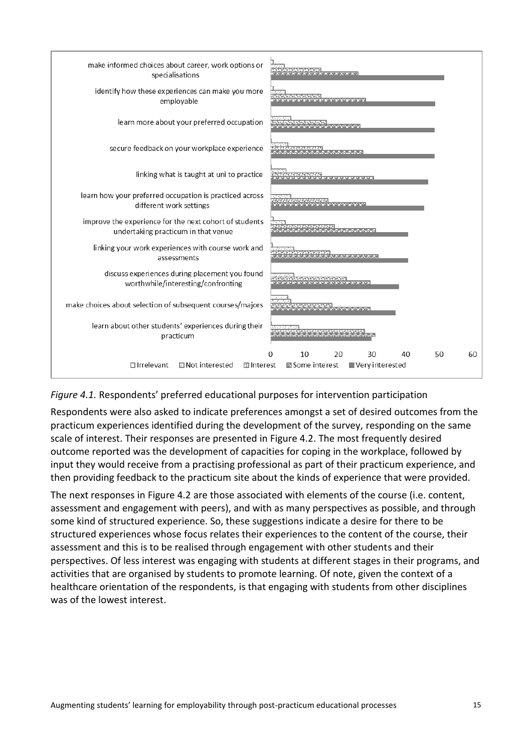

<span id="page-24-0"></span>*Figure 4.1.* Respondents' preferred educational purposes for intervention participation

Respondents were also asked to indicate preferences amongst a set of desired outcomes from the practicum experiences identified during the development of the survey, responding on the same scale of interest. Their responses are presented in Figure 4.2. The most frequently desired outcome reported was the development of capacities for coping in the workplace, followed by input they would receive from a practising professional as part of their practicum experience, and then providing feedback to the practicum site about the kinds of experience that were provided.

The next responses in Figure 4.2 are those associated with elements of the course (i.e. content, assessment and engagement with peers), and with as many perspectives as possible, and through some kind of structured experience. So, these suggestions indicate a desire for there to be structured experiences whose focus relates their experiences to the content of the course, their assessment and this is to be realised through engagement with other students and their perspectives. Of less interest was engaging with students at different stages in their programs, and activities that are organised by students to promote learning. Of note, given the context of a healthcare orientation of the respondents, is that engaging with students from other disciplines was of the lowest interest.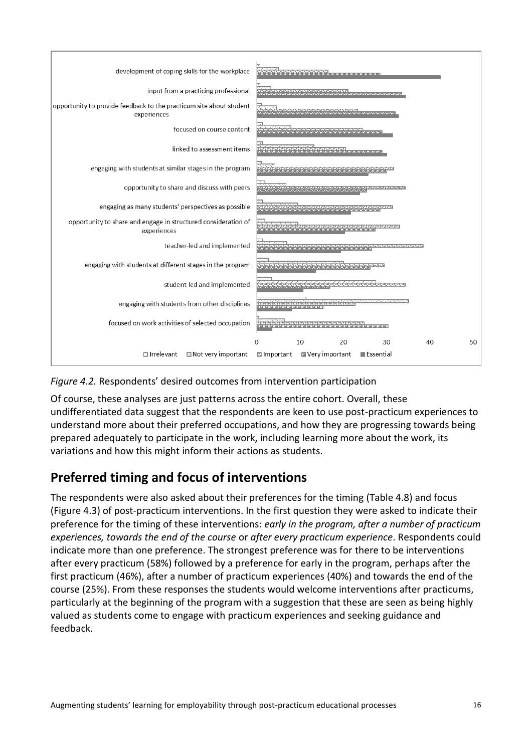

<span id="page-25-1"></span>*Figure 4.2.* Respondents' desired outcomes from intervention participation

Of course, these analyses are just patterns across the entire cohort. Overall, these undifferentiated data suggest that the respondents are keen to use post-practicum experiences to understand more about their preferred occupations, and how they are progressing towards being prepared adequately to participate in the work, including learning more about the work, its variations and how this might inform their actions as students.

## <span id="page-25-0"></span>**Preferred timing and focus of interventions**

The respondents were also asked about their preferences for the timing (Table 4.8) and focus (Figure 4.3) of post-practicum interventions. In the first question they were asked to indicate their preference for the timing of these interventions: *early in the program, after a number of practicum experiences, towards the end of the course* or *after every practicum experience*. Respondents could indicate more than one preference. The strongest preference was for there to be interventions after every practicum (58%) followed by a preference for early in the program, perhaps after the first practicum (46%), after a number of practicum experiences (40%) and towards the end of the course (25%). From these responses the students would welcome interventions after practicums, particularly at the beginning of the program with a suggestion that these are seen as being highly valued as students come to engage with practicum experiences and seeking guidance and feedback.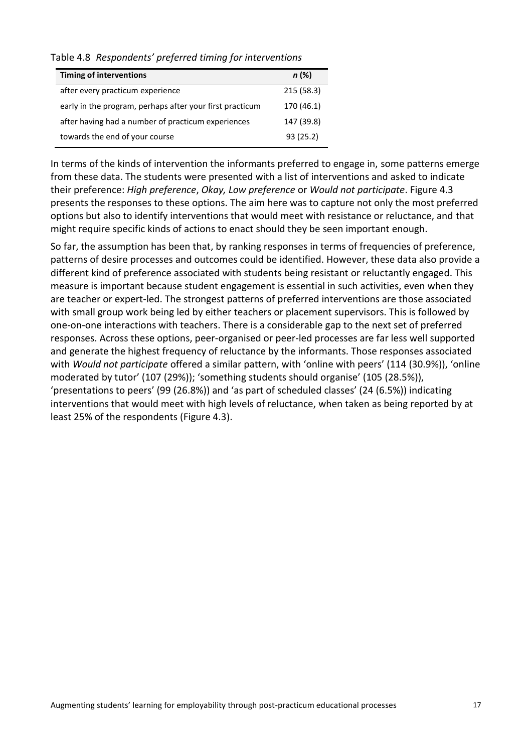<span id="page-26-0"></span>Table 4.89*Respondents' preferred timing for interventions*

| <b>Timing of interventions</b>                           | n (%)      |
|----------------------------------------------------------|------------|
| after every practicum experience                         | 215(58.3)  |
| early in the program, perhaps after your first practicum | 170 (46.1) |
| after having had a number of practicum experiences       | 147 (39.8) |
| towards the end of your course                           | 93(25.2)   |

In terms of the kinds of intervention the informants preferred to engage in, some patterns emerge from these data. The students were presented with a list of interventions and asked to indicate their preference: *High preference*, *Okay, Low preference* or *Would not participate*. Figure 4.3 presents the responses to these options. The aim here was to capture not only the most preferred options but also to identify interventions that would meet with resistance or reluctance, and that might require specific kinds of actions to enact should they be seen important enough.

So far, the assumption has been that, by ranking responses in terms of frequencies of preference, patterns of desire processes and outcomes could be identified. However, these data also provide a different kind of preference associated with students being resistant or reluctantly engaged. This measure is important because student engagement is essential in such activities, even when they are teacher or expert-led. The strongest patterns of preferred interventions are those associated with small group work being led by either teachers or placement supervisors. This is followed by one-on-one interactions with teachers. There is a considerable gap to the next set of preferred responses. Across these options, peer-organised or peer-led processes are far less well supported and generate the highest frequency of reluctance by the informants. Those responses associated with *Would not participate* offered a similar pattern, with 'online with peers' (114 (30.9%)), 'online moderated by tutor' (107 (29%)); 'something students should organise' (105 (28.5%)), 'presentations to peers' (99 (26.8%)) and 'as part of scheduled classes' (24 (6.5%)) indicating interventions that would meet with high levels of reluctance, when taken as being reported by at least 25% of the respondents (Figure 4.3).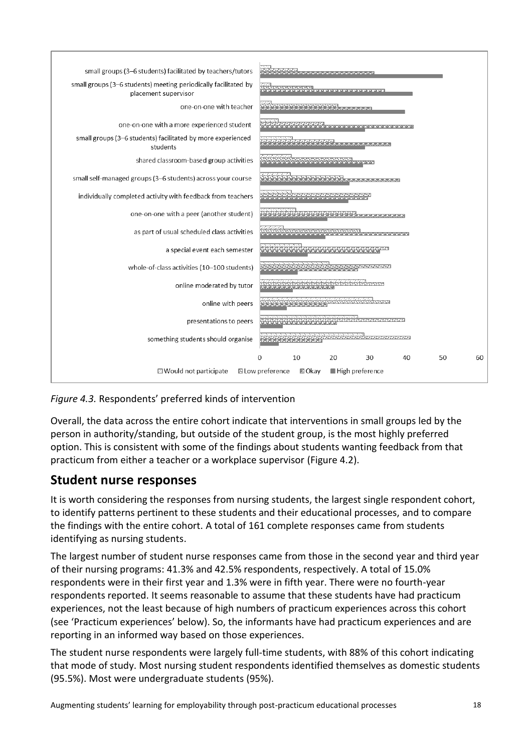

<span id="page-27-0"></span>*Figure 4.3.* Respondents' preferred kinds of intervention

Overall, the data across the entire cohort indicate that interventions in small groups led by the person in authority/standing, but outside of the student group, is the most highly preferred option. This is consistent with some of the findings about students wanting feedback from that practicum from either a teacher or a workplace supervisor (Figure 4.2).

### **Student nurse responses**

It is worth considering the responses from nursing students, the largest single respondent cohort, to identify patterns pertinent to these students and their educational processes, and to compare the findings with the entire cohort. A total of 161 complete responses came from students identifying as nursing students.

The largest number of student nurse responses came from those in the second year and third year of their nursing programs: 41.3% and 42.5% respondents, respectively. A total of 15.0% respondents were in their first year and 1.3% were in fifth year. There were no fourth-year respondents reported. It seems reasonable to assume that these students have had practicum experiences, not the least because of high numbers of practicum experiences across this cohort (see 'Practicum experiences' below). So, the informants have had practicum experiences and are reporting in an informed way based on those experiences.

The student nurse respondents were largely full-time students, with 88% of this cohort indicating that mode of study. Most nursing student respondents identified themselves as domestic students (95.5%). Most were undergraduate students (95%).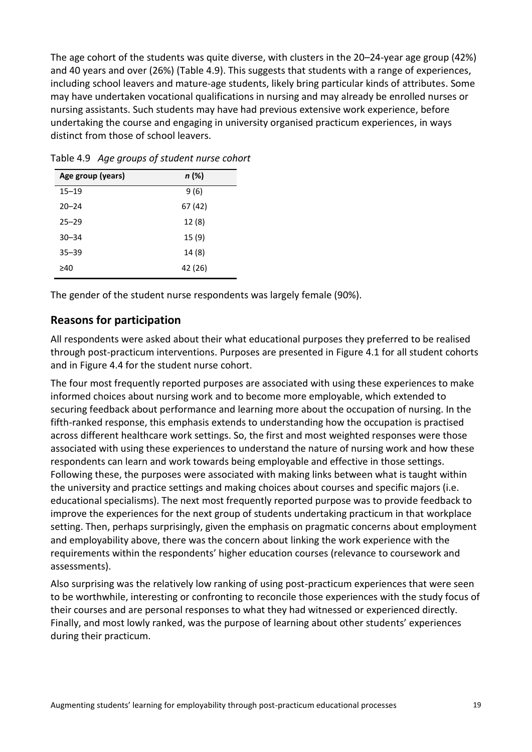The age cohort of the students was quite diverse, with clusters in the 20–24-year age group (42%) and 40 years and over (26%) (Table 4.9). This suggests that students with a range of experiences, including school leavers and mature-age students, likely bring particular kinds of attributes. Some may have undertaken vocational qualifications in nursing and may already be enrolled nurses or nursing assistants. Such students may have had previous extensive work experience, before undertaking the course and engaging in university organised practicum experiences, in ways distinct from those of school leavers.

| Age group (years) | n (%)   |
|-------------------|---------|
| $15 - 19$         | 9(6)    |
| $20 - 24$         | 67 (42) |
| $25 - 29$         | 12(8)   |
| $30 - 34$         | 15(9)   |
| $35 - 39$         | 14 (8)  |
| $\geq 40$         | 42 (26) |

<span id="page-28-1"></span>Table 4.910*Age groups of student nurse cohort*

The gender of the student nurse respondents was largely female (90%).

#### <span id="page-28-0"></span>**Reasons for participation**

All respondents were asked about their what educational purposes they preferred to be realised through post-practicum interventions. Purposes are presented in Figure 4.1 for all student cohorts and in Figure 4.4 for the student nurse cohort.

The four most frequently reported purposes are associated with using these experiences to make informed choices about nursing work and to become more employable, which extended to securing feedback about performance and learning more about the occupation of nursing. In the fifth-ranked response, this emphasis extends to understanding how the occupation is practised across different healthcare work settings. So, the first and most weighted responses were those associated with using these experiences to understand the nature of nursing work and how these respondents can learn and work towards being employable and effective in those settings. Following these, the purposes were associated with making links between what is taught within the university and practice settings and making choices about courses and specific majors (i.e. educational specialisms). The next most frequently reported purpose was to provide feedback to improve the experiences for the next group of students undertaking practicum in that workplace setting. Then, perhaps surprisingly, given the emphasis on pragmatic concerns about employment and employability above, there was the concern about linking the work experience with the requirements within the respondents' higher education courses (relevance to coursework and assessments).

Also surprising was the relatively low ranking of using post-practicum experiences that were seen to be worthwhile, interesting or confronting to reconcile those experiences with the study focus of their courses and are personal responses to what they had witnessed or experienced directly. Finally, and most lowly ranked, was the purpose of learning about other students' experiences during their practicum.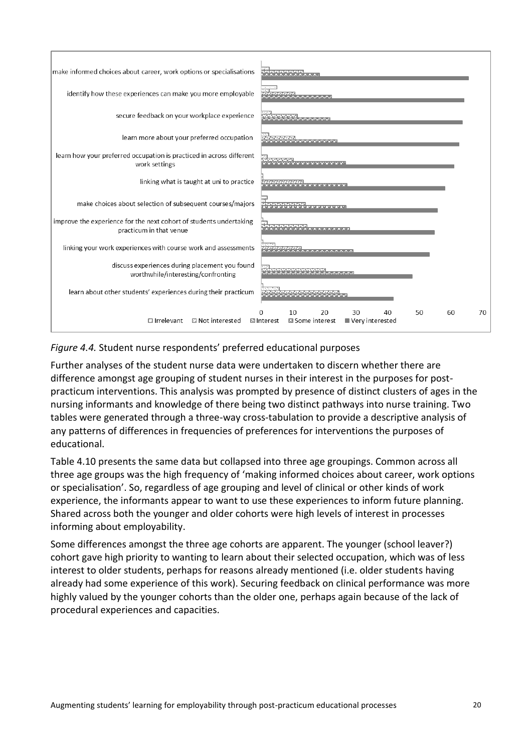

#### <span id="page-29-0"></span>*Figure 4.4.* Student nurse respondents' preferred educational purposes

Further analyses of the student nurse data were undertaken to discern whether there are difference amongst age grouping of student nurses in their interest in the purposes for postpracticum interventions. This analysis was prompted by presence of distinct clusters of ages in the nursing informants and knowledge of there being two distinct pathways into nurse training. Two tables were generated through a three-way cross-tabulation to provide a descriptive analysis of any patterns of differences in frequencies of preferences for interventions the purposes of educational.

Table 4.10 presents the same data but collapsed into three age groupings. Common across all three age groups was the high frequency of 'making informed choices about career, work options or specialisation'. So, regardless of age grouping and level of clinical or other kinds of work experience, the informants appear to want to use these experiences to inform future planning. Shared across both the younger and older cohorts were high levels of interest in processes informing about employability.

Some differences amongst the three age cohorts are apparent. The younger (school leaver?) cohort gave high priority to wanting to learn about their selected occupation, which was of less interest to older students, perhaps for reasons already mentioned (i.e. older students having already had some experience of this work). Securing feedback on clinical performance was more highly valued by the younger cohorts than the older one, perhaps again because of the lack of procedural experiences and capacities.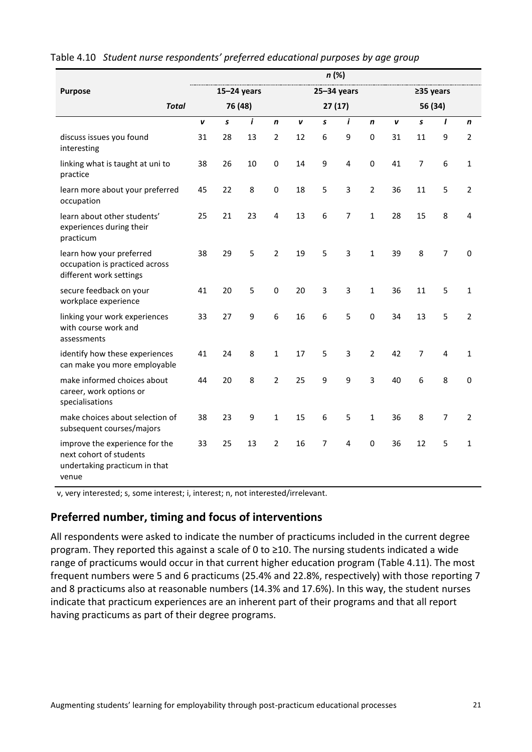|                                                                                                     | n (%)       |               |    |                |             |                 |   |                |    |                 |          |                |
|-----------------------------------------------------------------------------------------------------|-------------|---------------|----|----------------|-------------|-----------------|---|----------------|----|-----------------|----------|----------------|
| <b>Purpose</b>                                                                                      |             | $15-24$ years |    |                |             | $25 - 34$ years |   |                |    | $\geq$ 35 years |          |                |
| <b>Total</b>                                                                                        |             | 76 (48)       |    |                |             | 27(17)          |   |                |    | 56 (34)         |          |                |
|                                                                                                     | $\mathbf v$ | S             | i  | $\mathbf n$    | $\mathbf v$ | s               | i | $\mathbf n$    | v  | S               | $\prime$ | $\mathbf n$    |
| discuss issues you found<br>interesting                                                             | 31          | 28            | 13 | 2              | 12          | 6               | 9 | $\pmb{0}$      | 31 | 11              | 9        | 2              |
| linking what is taught at uni to<br>practice                                                        | 38          | 26            | 10 | $\pmb{0}$      | 14          | 9               | 4 | $\mathbf 0$    | 41 | $\overline{7}$  | 6        | 1              |
| learn more about your preferred<br>occupation                                                       | 45          | 22            | 8  | $\pmb{0}$      | 18          | 5               | 3 | $\overline{2}$ | 36 | 11              | 5        | 2              |
| learn about other students'<br>experiences during their<br>practicum                                | 25          | 21            | 23 | 4              | 13          | 6               | 7 | $\mathbf{1}$   | 28 | 15              | 8        | 4              |
| learn how your preferred<br>occupation is practiced across<br>different work settings               | 38          | 29            | 5  | $\overline{2}$ | 19          | 5               | 3 | $\mathbf{1}$   | 39 | 8               | 7        | $\mathbf 0$    |
| secure feedback on your<br>workplace experience                                                     | 41          | 20            | 5  | $\pmb{0}$      | 20          | $\overline{3}$  | 3 | $\mathbf{1}$   | 36 | 11              | 5        | 1              |
| linking your work experiences<br>with course work and<br>assessments                                | 33          | 27            | 9  | 6              | 16          | 6               | 5 | $\mathbf 0$    | 34 | 13              | 5        | $\overline{2}$ |
| identify how these experiences<br>can make you more employable                                      | 41          | 24            | 8  | $\mathbf{1}$   | 17          | 5               | 3 | $\overline{2}$ | 42 | 7               | 4        | 1              |
| make informed choices about<br>career, work options or<br>specialisations                           | 44          | 20            | 8  | $\overline{2}$ | 25          | 9               | 9 | 3              | 40 | 6               | 8        | $\pmb{0}$      |
| make choices about selection of<br>subsequent courses/majors                                        | 38          | 23            | 9  | $\mathbf{1}$   | 15          | 6               | 5 | $\mathbf{1}$   | 36 | 8               | 7        | $\overline{2}$ |
| improve the experience for the<br>next cohort of students<br>undertaking practicum in that<br>venue | 33          | 25            | 13 | $\overline{2}$ | 16          | 7               | 4 | $\mathbf 0$    | 36 | 12              | 5        | 1              |

#### <span id="page-30-1"></span>Table 4.1011*Student nurse respondents' preferred educational purposes by age group*

v, very interested; s, some interest; i, interest; n, not interested/irrelevant.

#### <span id="page-30-0"></span>**Preferred number, timing and focus of interventions**

All respondents were asked to indicate the number of practicums included in the current degree program. They reported this against a scale of 0 to ≥10. The nursing students indicated a wide range of practicums would occur in that current higher education program (Table 4.11). The most frequent numbers were 5 and 6 practicums (25.4% and 22.8%, respectively) with those reporting 7 and 8 practicums also at reasonable numbers (14.3% and 17.6%). In this way, the student nurses indicate that practicum experiences are an inherent part of their programs and that all report having practicums as part of their degree programs.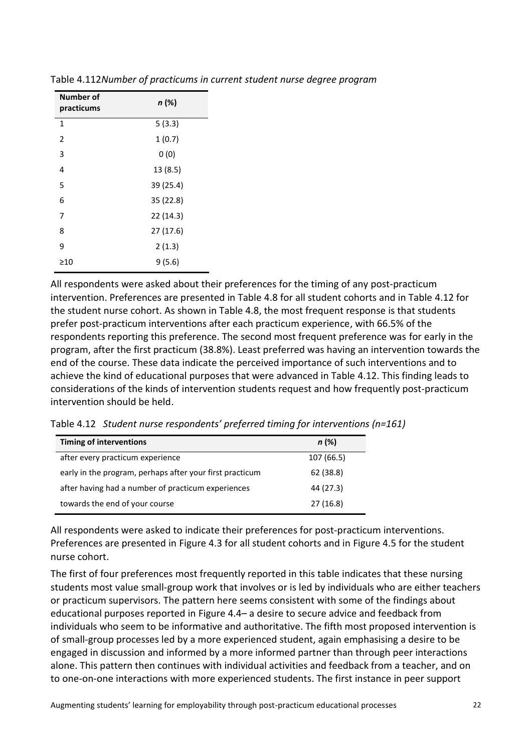| Number of<br>practicums | n (%)     |
|-------------------------|-----------|
| $\mathbf{1}$            | 5(3.3)    |
| $\overline{2}$          | 1(0.7)    |
| 3                       | 0(0)      |
| 4                       | 13 (8.5)  |
| 5                       | 39 (25.4) |
| 6                       | 35 (22.8) |
| 7                       | 22 (14.3) |
| 8                       | 27 (17.6) |
| 9                       | 2(1.3)    |
| $\geq 10$               | 9(5.6)    |

<span id="page-31-0"></span>Table 4.112*Number of practicums in current student nurse degree program*

All respondents were asked about their preferences for the timing of any post-practicum intervention. Preferences are presented in Table 4.8 for all student cohorts and in Table 4.12 for the student nurse cohort. As shown in Table 4.8, the most frequent response is that students prefer post-practicum interventions after each practicum experience, with 66.5% of the respondents reporting this preference. The second most frequent preference was for early in the program, after the first practicum (38.8%). Least preferred was having an intervention towards the end of the course. These data indicate the perceived importance of such interventions and to achieve the kind of educational purposes that were advanced in Table 4.12. This finding leads to considerations of the kinds of intervention students request and how frequently post-practicum intervention should be held.

<span id="page-31-1"></span>Table 4.1213*Student nurse respondents' preferred timing for interventions (n=161)*

| <b>Timing of interventions</b>                           | $n$ (%)    |
|----------------------------------------------------------|------------|
| after every practicum experience                         | 107 (66.5) |
| early in the program, perhaps after your first practicum | 62 (38.8)  |
| after having had a number of practicum experiences       | 44 (27.3)  |
| towards the end of your course                           | 27(16.8)   |

All respondents were asked to indicate their preferences for post-practicum interventions. Preferences are presented in Figure 4.3 for all student cohorts and in Figure 4.5 for the student nurse cohort.

The first of four preferences most frequently reported in this table indicates that these nursing students most value small-group work that involves or is led by individuals who are either teachers or practicum supervisors. The pattern here seems consistent with some of the findings about educational purposes reported in Figure 4.4– a desire to secure advice and feedback from individuals who seem to be informative and authoritative. The fifth most proposed intervention is of small-group processes led by a more experienced student, again emphasising a desire to be engaged in discussion and informed by a more informed partner than through peer interactions alone. This pattern then continues with individual activities and feedback from a teacher, and on to one-on-one interactions with more experienced students. The first instance in peer support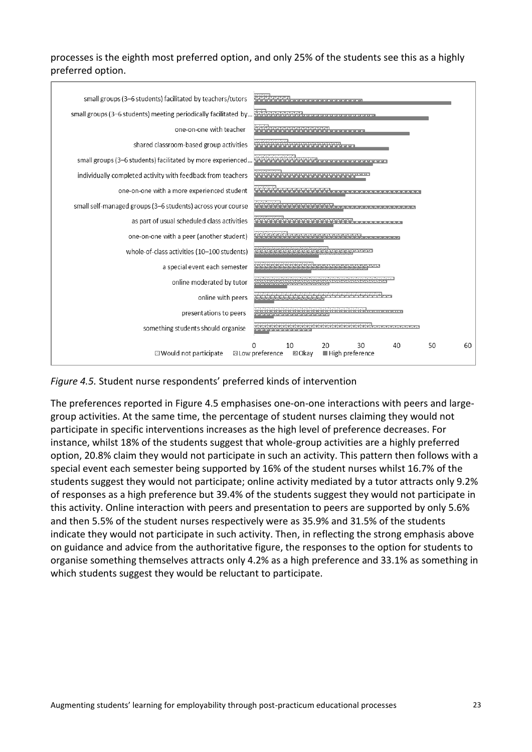processes is the eighth most preferred option, and only 25% of the students see this as a highly preferred option.



<span id="page-32-0"></span>*Figure 4.5.* Student nurse respondents' preferred kinds of intervention

The preferences reported in Figure 4.5 emphasises one-on-one interactions with peers and largegroup activities. At the same time, the percentage of student nurses claiming they would not participate in specific interventions increases as the high level of preference decreases. For instance, whilst 18% of the students suggest that whole-group activities are a highly preferred option, 20.8% claim they would not participate in such an activity. This pattern then follows with a special event each semester being supported by 16% of the student nurses whilst 16.7% of the students suggest they would not participate; online activity mediated by a tutor attracts only 9.2% of responses as a high preference but 39.4% of the students suggest they would not participate in this activity. Online interaction with peers and presentation to peers are supported by only 5.6% and then 5.5% of the student nurses respectively were as 35.9% and 31.5% of the students indicate they would not participate in such activity. Then, in reflecting the strong emphasis above on guidance and advice from the authoritative figure, the responses to the option for students to organise something themselves attracts only 4.2% as a high preference and 33.1% as something in which students suggest they would be reluctant to participate.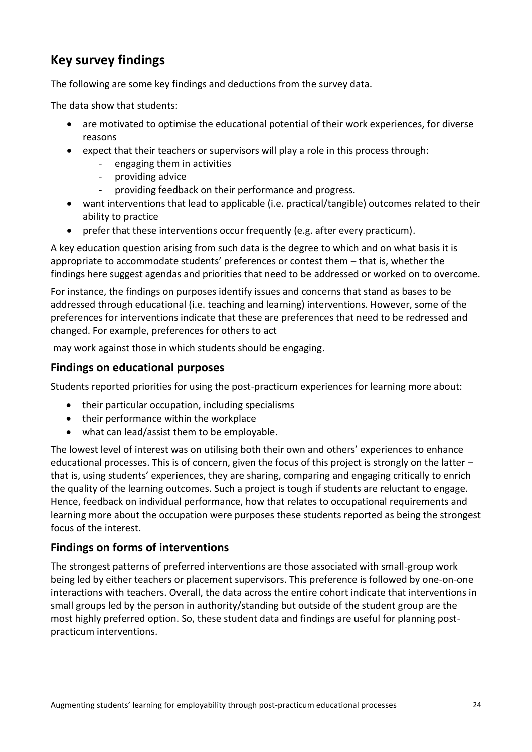## **Key survey findings**

The following are some key findings and deductions from the survey data.

The data show that students:

- are motivated to optimise the educational potential of their work experiences, for diverse reasons
- expect that their teachers or supervisors will play a role in this process through:
	- engaging them in activities
	- providing advice
	- providing feedback on their performance and progress.
- want interventions that lead to applicable (i.e. practical/tangible) outcomes related to their ability to practice
- prefer that these interventions occur frequently (e.g. after every practicum).

A key education question arising from such data is the degree to which and on what basis it is appropriate to accommodate students' preferences or contest them – that is, whether the findings here suggest agendas and priorities that need to be addressed or worked on to overcome.

For instance, the findings on purposes identify issues and concerns that stand as bases to be addressed through educational (i.e. teaching and learning) interventions. However, some of the preferences for interventions indicate that these are preferences that need to be redressed and changed. For example, preferences for others to act

may work against those in which students should be engaging.

### <span id="page-33-0"></span>**Findings on educational purposes**

Students reported priorities for using the post-practicum experiences for learning more about:

- their particular occupation, including specialisms
- their performance within the workplace
- what can lead/assist them to be employable.

The lowest level of interest was on utilising both their own and others' experiences to enhance educational processes. This is of concern, given the focus of this project is strongly on the latter – that is, using students' experiences, they are sharing, comparing and engaging critically to enrich the quality of the learning outcomes. Such a project is tough if students are reluctant to engage. Hence, feedback on individual performance, how that relates to occupational requirements and learning more about the occupation were purposes these students reported as being the strongest focus of the interest.

#### <span id="page-33-1"></span>**Findings on forms of interventions**

The strongest patterns of preferred interventions are those associated with small-group work being led by either teachers or placement supervisors. This preference is followed by one-on-one interactions with teachers. Overall, the data across the entire cohort indicate that interventions in small groups led by the person in authority/standing but outside of the student group are the most highly preferred option. So, these student data and findings are useful for planning postpracticum interventions.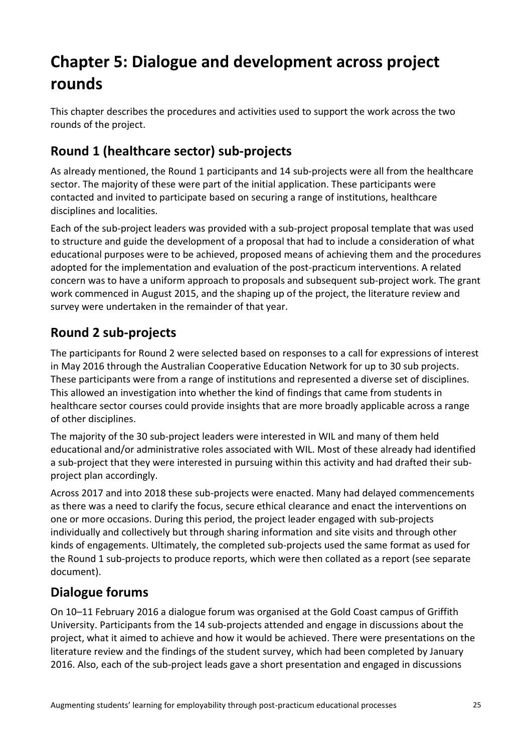# <span id="page-34-0"></span>**Chapter 5: Dialogue and development across project rounds**

This chapter describes the procedures and activities used to support the work across the two rounds of the project.

# <span id="page-34-1"></span>**Round 1 (healthcare sector) sub-projects**

As already mentioned, the Round 1 participants and 14 sub-projects were all from the healthcare sector. The majority of these were part of the initial application. These participants were contacted and invited to participate based on securing a range of institutions, healthcare disciplines and localities.

Each of the sub-project leaders was provided with a sub-project proposal template that was used to structure and guide the development of a proposal that had to include a consideration of what educational purposes were to be achieved, proposed means of achieving them and the procedures adopted for the implementation and evaluation of the post-practicum interventions. A related concern was to have a uniform approach to proposals and subsequent sub-project work. The grant work commenced in August 2015, and the shaping up of the project, the literature review and survey were undertaken in the remainder of that year.

# <span id="page-34-2"></span>**Round 2 sub-projects**

The participants for Round 2 were selected based on responses to a call for expressions of interest in May 2016 through the Australian Cooperative Education Network for up to 30 sub projects. These participants were from a range of institutions and represented a diverse set of disciplines. This allowed an investigation into whether the kind of findings that came from students in healthcare sector courses could provide insights that are more broadly applicable across a range of other disciplines.

The majority of the 30 sub-project leaders were interested in WIL and many of them held educational and/or administrative roles associated with WIL. Most of these already had identified a sub-project that they were interested in pursuing within this activity and had drafted their subproject plan accordingly.

Across 2017 and into 2018 these sub-projects were enacted. Many had delayed commencements as there was a need to clarify the focus, secure ethical clearance and enact the interventions on one or more occasions. During this period, the project leader engaged with sub-projects individually and collectively but through sharing information and site visits and through other kinds of engagements. Ultimately, the completed sub-projects used the same format as used for the Round 1 sub-projects to produce reports, which were then collated as a report (see separate document).

## <span id="page-34-3"></span>**Dialogue forums**

On 10–11 February 2016 a dialogue forum was organised at the Gold Coast campus of Griffith University. Participants from the 14 sub-projects attended and engage in discussions about the project, what it aimed to achieve and how it would be achieved. There were presentations on the literature review and the findings of the student survey, which had been completed by January 2016. Also, each of the sub-project leads gave a short presentation and engaged in discussions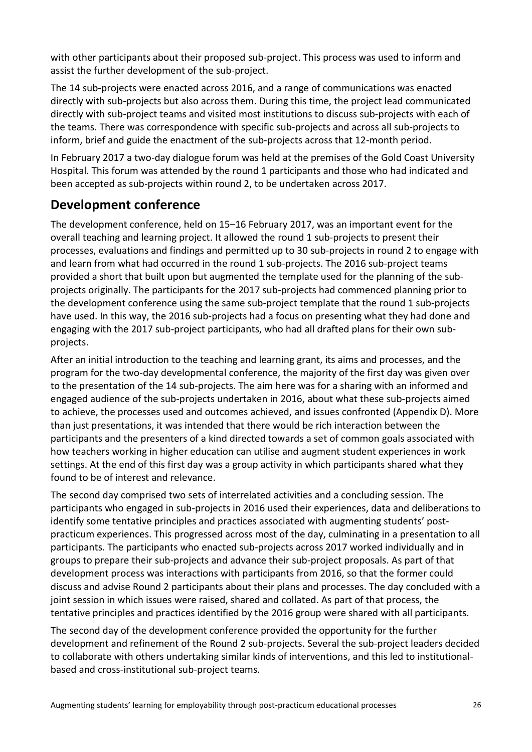with other participants about their proposed sub-project. This process was used to inform and assist the further development of the sub-project.

The 14 sub-projects were enacted across 2016, and a range of communications was enacted directly with sub-projects but also across them. During this time, the project lead communicated directly with sub-project teams and visited most institutions to discuss sub-projects with each of the teams. There was correspondence with specific sub-projects and across all sub-projects to inform, brief and guide the enactment of the sub-projects across that 12-month period.

In February 2017 a two-day dialogue forum was held at the premises of the Gold Coast University Hospital. This forum was attended by the round 1 participants and those who had indicated and been accepted as sub-projects within round 2, to be undertaken across 2017.

## <span id="page-35-0"></span>**Development conference**

The development conference, held on 15–16 February 2017, was an important event for the overall teaching and learning project. It allowed the round 1 sub-projects to present their processes, evaluations and findings and permitted up to 30 sub-projects in round 2 to engage with and learn from what had occurred in the round 1 sub-projects. The 2016 sub-project teams provided a short that built upon but augmented the template used for the planning of the subprojects originally. The participants for the 2017 sub-projects had commenced planning prior to the development conference using the same sub-project template that the round 1 sub-projects have used. In this way, the 2016 sub-projects had a focus on presenting what they had done and engaging with the 2017 sub-project participants, who had all drafted plans for their own subprojects.

After an initial introduction to the teaching and learning grant, its aims and processes, and the program for the two-day developmental conference, the majority of the first day was given over to the presentation of the 14 sub-projects. The aim here was for a sharing with an informed and engaged audience of the sub-projects undertaken in 2016, about what these sub-projects aimed to achieve, the processes used and outcomes achieved, and issues confronted (Appendix D). More than just presentations, it was intended that there would be rich interaction between the participants and the presenters of a kind directed towards a set of common goals associated with how teachers working in higher education can utilise and augment student experiences in work settings. At the end of this first day was a group activity in which participants shared what they found to be of interest and relevance.

The second day comprised two sets of interrelated activities and a concluding session. The participants who engaged in sub-projects in 2016 used their experiences, data and deliberations to identify some tentative principles and practices associated with augmenting students' postpracticum experiences. This progressed across most of the day, culminating in a presentation to all participants. The participants who enacted sub-projects across 2017 worked individually and in groups to prepare their sub-projects and advance their sub-project proposals. As part of that development process was interactions with participants from 2016, so that the former could discuss and advise Round 2 participants about their plans and processes. The day concluded with a joint session in which issues were raised, shared and collated. As part of that process, the tentative principles and practices identified by the 2016 group were shared with all participants.

The second day of the development conference provided the opportunity for the further development and refinement of the Round 2 sub-projects. Several the sub-project leaders decided to collaborate with others undertaking similar kinds of interventions, and this led to institutionalbased and cross-institutional sub-project teams.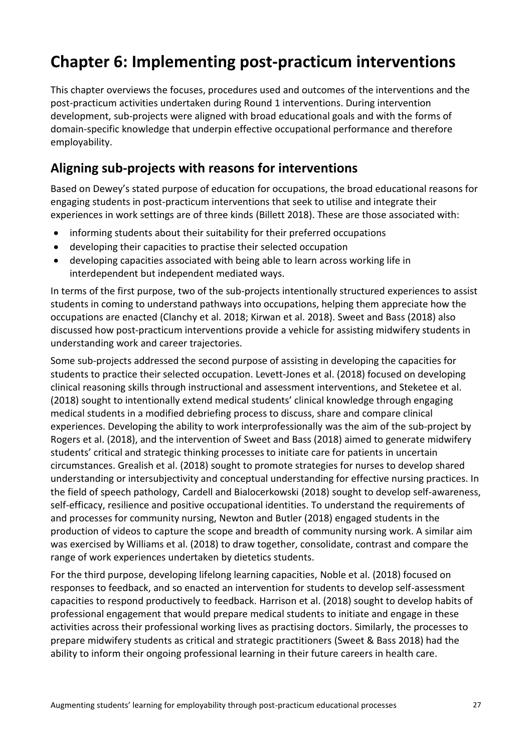# **Chapter 6: Implementing post-practicum interventions**

This chapter overviews the focuses, procedures used and outcomes of the interventions and the post-practicum activities undertaken during Round 1 interventions. During intervention development, sub-projects were aligned with broad educational goals and with the forms of domain-specific knowledge that underpin effective occupational performance and therefore employability.

# **Aligning sub-projects with reasons for interventions**

Based on Dewey's stated purpose of education for occupations, the broad educational reasons for engaging students in post-practicum interventions that seek to utilise and integrate their experiences in work settings are of three kinds (Billett 2018). These are those associated with:

- informing students about their suitability for their preferred occupations
- developing their capacities to practise their selected occupation
- developing capacities associated with being able to learn across working life in interdependent but independent mediated ways.

In terms of the first purpose, two of the sub-projects intentionally structured experiences to assist students in coming to understand pathways into occupations, helping them appreciate how the occupations are enacted (Clanchy et al. 2018; Kirwan et al. 2018). Sweet and Bass (2018) also discussed how post-practicum interventions provide a vehicle for assisting midwifery students in understanding work and career trajectories.

Some sub-projects addressed the second purpose of assisting in developing the capacities for students to practice their selected occupation. Levett-Jones et al. (2018) focused on developing clinical reasoning skills through instructional and assessment interventions, and Steketee et al. (2018) sought to intentionally extend medical students' clinical knowledge through engaging medical students in a modified debriefing process to discuss, share and compare clinical experiences. Developing the ability to work interprofessionally was the aim of the sub-project by Rogers et al. (2018), and the intervention of Sweet and Bass (2018) aimed to generate midwifery students' critical and strategic thinking processes to initiate care for patients in uncertain circumstances. Grealish et al. (2018) sought to promote strategies for nurses to develop shared understanding or intersubjectivity and conceptual understanding for effective nursing practices. In the field of speech pathology, Cardell and Bialocerkowski (2018) sought to develop self-awareness, self-efficacy, resilience and positive occupational identities. To understand the requirements of and processes for community nursing, Newton and Butler (2018) engaged students in the production of videos to capture the scope and breadth of community nursing work. A similar aim was exercised by Williams et al. (2018) to draw together, consolidate, contrast and compare the range of work experiences undertaken by dietetics students.

For the third purpose, developing lifelong learning capacities, Noble et al. (2018) focused on responses to feedback, and so enacted an intervention for students to develop self-assessment capacities to respond productively to feedback. Harrison et al. (2018) sought to develop habits of professional engagement that would prepare medical students to initiate and engage in these activities across their professional working lives as practising doctors. Similarly, the processes to prepare midwifery students as critical and strategic practitioners (Sweet & Bass 2018) had the ability to inform their ongoing professional learning in their future careers in health care.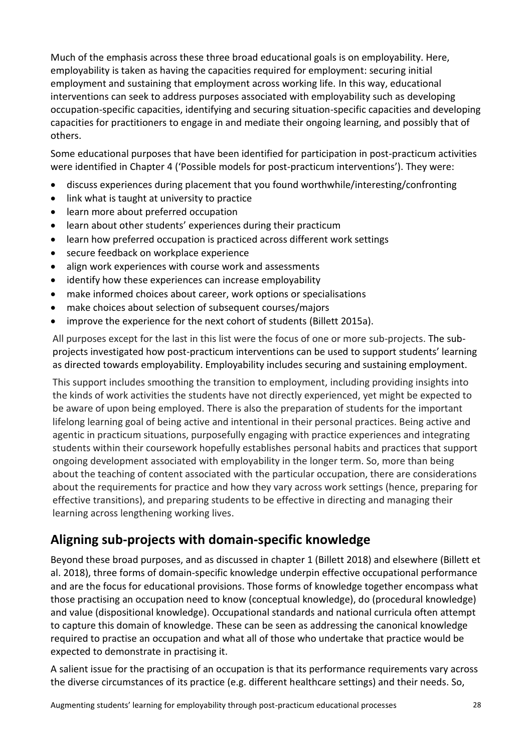Much of the emphasis across these three broad educational goals is on employability. Here, employability is taken as having the capacities required for employment: securing initial employment and sustaining that employment across working life. In this way, educational interventions can seek to address purposes associated with employability such as developing occupation-specific capacities, identifying and securing situation-specific capacities and developing capacities for practitioners to engage in and mediate their ongoing learning, and possibly that of others.

Some educational purposes that have been identified for participation in post-practicum activities were identified in Chapter 4 ('Possible models for post-practicum interventions'). They were:

- discuss experiences during placement that you found worthwhile/interesting/confronting
- link what is taught at university to practice
- learn more about preferred occupation
- learn about other students' experiences during their practicum
- learn how preferred occupation is practiced across different work settings
- secure feedback on workplace experience
- align work experiences with course work and assessments
- identify how these experiences can increase employability
- make informed choices about career, work options or specialisations
- make choices about selection of subsequent courses/majors
- improve the experience for the next cohort of students (Billett 2015a).

All purposes except for the last in this list were the focus of one or more sub-projects. The subprojects investigated how post-practicum interventions can be used to support students' learning as directed towards employability. Employability includes securing and sustaining employment.

This support includes smoothing the transition to employment, including providing insights into the kinds of work activities the students have not directly experienced, yet might be expected to be aware of upon being employed. There is also the preparation of students for the important lifelong learning goal of being active and intentional in their personal practices. Being active and agentic in practicum situations, purposefully engaging with practice experiences and integrating students within their coursework hopefully establishes personal habits and practices that support ongoing development associated with employability in the longer term. So, more than being about the teaching of content associated with the particular occupation, there are considerations about the requirements for practice and how they vary across work settings (hence, preparing for effective transitions), and preparing students to be effective in directing and managing their learning across lengthening working lives.

# **Aligning sub-projects with domain-specific knowledge**

Beyond these broad purposes, and as discussed in chapter 1 (Billett 2018) and elsewhere (Billett et al. 2018), three forms of domain-specific knowledge underpin effective occupational performance and are the focus for educational provisions. Those forms of knowledge together encompass what those practising an occupation need to know (conceptual knowledge), do (procedural knowledge) and value (dispositional knowledge). Occupational standards and national curricula often attempt to capture this domain of knowledge. These can be seen as addressing the canonical knowledge required to practise an occupation and what all of those who undertake that practice would be expected to demonstrate in practising it.

A salient issue for the practising of an occupation is that its performance requirements vary across the diverse circumstances of its practice (e.g. different healthcare settings) and their needs. So,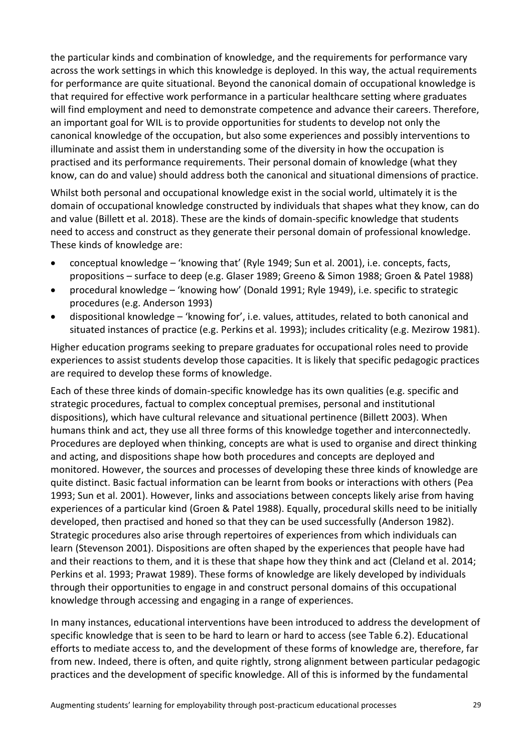the particular kinds and combination of knowledge, and the requirements for performance vary across the work settings in which this knowledge is deployed. In this way, the actual requirements for performance are quite situational. Beyond the canonical domain of occupational knowledge is that required for effective work performance in a particular healthcare setting where graduates will find employment and need to demonstrate competence and advance their careers. Therefore, an important goal for WIL is to provide opportunities for students to develop not only the canonical knowledge of the occupation, but also some experiences and possibly interventions to illuminate and assist them in understanding some of the diversity in how the occupation is practised and its performance requirements. Their personal domain of knowledge (what they know, can do and value) should address both the canonical and situational dimensions of practice.

Whilst both personal and occupational knowledge exist in the social world, ultimately it is the domain of occupational knowledge constructed by individuals that shapes what they know, can do and value (Billett et al. 2018). These are the kinds of domain-specific knowledge that students need to access and construct as they generate their personal domain of professional knowledge. These kinds of knowledge are:

- conceptual knowledge 'knowing that' (Ryle 1949; Sun et al. 2001), i.e. concepts, facts, propositions – surface to deep (e.g. Glaser 1989; Greeno & Simon 1988; Groen & Patel 1988)
- procedural knowledge 'knowing how' (Donald 1991; Ryle 1949), i.e. specific to strategic procedures (e.g. Anderson 1993)
- dispositional knowledge 'knowing for', i.e. values, attitudes, related to both canonical and situated instances of practice (e.g. Perkins et al. 1993); includes criticality (e.g. Mezirow 1981).

Higher education programs seeking to prepare graduates for occupational roles need to provide experiences to assist students develop those capacities. It is likely that specific pedagogic practices are required to develop these forms of knowledge.

Each of these three kinds of domain-specific knowledge has its own qualities (e.g. specific and strategic procedures, factual to complex conceptual premises, personal and institutional dispositions), which have cultural relevance and situational pertinence (Billett 2003). When humans think and act, they use all three forms of this knowledge together and interconnectedly. Procedures are deployed when thinking, concepts are what is used to organise and direct thinking and acting, and dispositions shape how both procedures and concepts are deployed and monitored. However, the sources and processes of developing these three kinds of knowledge are quite distinct. Basic factual information can be learnt from books or interactions with others (Pea 1993; Sun et al. 2001). However, links and associations between concepts likely arise from having experiences of a particular kind (Groen & Patel 1988). Equally, procedural skills need to be initially developed, then practised and honed so that they can be used successfully (Anderson 1982). Strategic procedures also arise through repertoires of experiences from which individuals can learn (Stevenson 2001). Dispositions are often shaped by the experiences that people have had and their reactions to them, and it is these that shape how they think and act (Cleland et al. 2014; Perkins et al. 1993; Prawat 1989). These forms of knowledge are likely developed by individuals through their opportunities to engage in and construct personal domains of this occupational knowledge through accessing and engaging in a range of experiences.

In many instances, educational interventions have been introduced to address the development of specific knowledge that is seen to be hard to learn or hard to access (see Table 6.2). Educational efforts to mediate access to, and the development of these forms of knowledge are, therefore, far from new. Indeed, there is often, and quite rightly, strong alignment between particular pedagogic practices and the development of specific knowledge. All of this is informed by the fundamental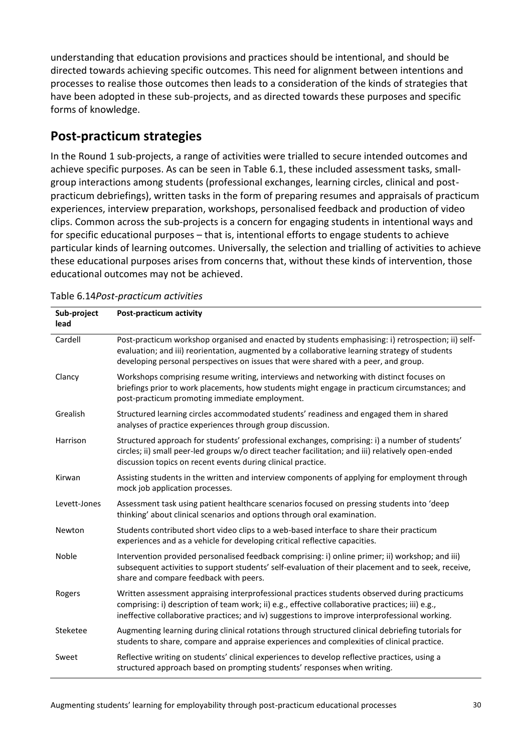understanding that education provisions and practices should be intentional, and should be directed towards achieving specific outcomes. This need for alignment between intentions and processes to realise those outcomes then leads to a consideration of the kinds of strategies that have been adopted in these sub-projects, and as directed towards these purposes and specific forms of knowledge.

# **Post-practicum strategies**

In the Round 1 sub-projects, a range of activities were trialled to secure intended outcomes and achieve specific purposes. As can be seen in Table 6.1, these included assessment tasks, smallgroup interactions among students (professional exchanges, learning circles, clinical and postpracticum debriefings), written tasks in the form of preparing resumes and appraisals of practicum experiences, interview preparation, workshops, personalised feedback and production of video clips. Common across the sub-projects is a concern for engaging students in intentional ways and for specific educational purposes – that is, intentional efforts to engage students to achieve particular kinds of learning outcomes. Universally, the selection and trialling of activities to achieve these educational purposes arises from concerns that, without these kinds of intervention, those educational outcomes may not be achieved.

| Sub-project<br>lead | Post-practicum activity                                                                                                                                                                                                                                                                             |
|---------------------|-----------------------------------------------------------------------------------------------------------------------------------------------------------------------------------------------------------------------------------------------------------------------------------------------------|
| Cardell             | Post-practicum workshop organised and enacted by students emphasising: i) retrospection; ii) self-<br>evaluation; and iii) reorientation, augmented by a collaborative learning strategy of students<br>developing personal perspectives on issues that were shared with a peer, and group.         |
| Clancy              | Workshops comprising resume writing, interviews and networking with distinct focuses on<br>briefings prior to work placements, how students might engage in practicum circumstances; and<br>post-practicum promoting immediate employment.                                                          |
| Grealish            | Structured learning circles accommodated students' readiness and engaged them in shared<br>analyses of practice experiences through group discussion.                                                                                                                                               |
| Harrison            | Structured approach for students' professional exchanges, comprising: i) a number of students'<br>circles; ii) small peer-led groups w/o direct teacher facilitation; and iii) relatively open-ended<br>discussion topics on recent events during clinical practice.                                |
| Kirwan              | Assisting students in the written and interview components of applying for employment through<br>mock job application processes.                                                                                                                                                                    |
| Levett-Jones        | Assessment task using patient healthcare scenarios focused on pressing students into 'deep<br>thinking' about clinical scenarios and options through oral examination.                                                                                                                              |
| Newton              | Students contributed short video clips to a web-based interface to share their practicum<br>experiences and as a vehicle for developing critical reflective capacities.                                                                                                                             |
| Noble               | Intervention provided personalised feedback comprising: i) online primer; ii) workshop; and iii)<br>subsequent activities to support students' self-evaluation of their placement and to seek, receive,<br>share and compare feedback with peers.                                                   |
| Rogers              | Written assessment appraising interprofessional practices students observed during practicums<br>comprising: i) description of team work; ii) e.g., effective collaborative practices; iii) e.g.,<br>ineffective collaborative practices; and iv) suggestions to improve interprofessional working. |
| Steketee            | Augmenting learning during clinical rotations through structured clinical debriefing tutorials for<br>students to share, compare and appraise experiences and complexities of clinical practice.                                                                                                    |
| Sweet               | Reflective writing on students' clinical experiences to develop reflective practices, using a<br>structured approach based on prompting students' responses when writing.                                                                                                                           |

| Table 6.14Post-practicum activities |  |  |  |  |  |
|-------------------------------------|--|--|--|--|--|
|-------------------------------------|--|--|--|--|--|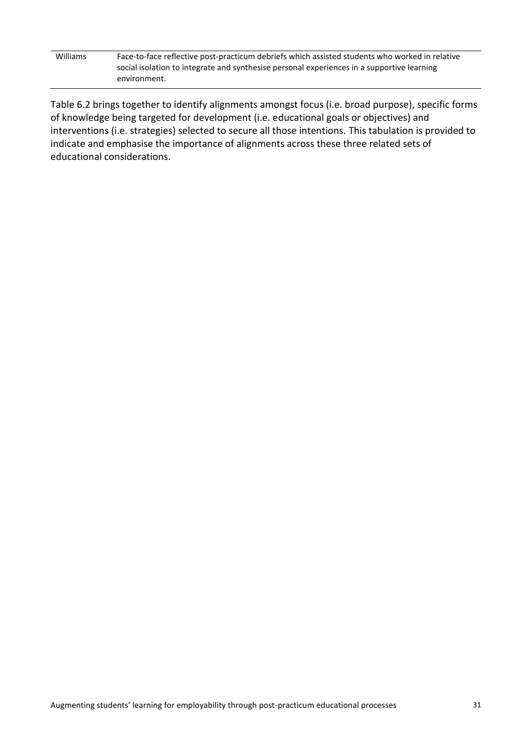| Williams | Face-to-face reflective post-practicum debriefs which assisted students who worked in relative |
|----------|------------------------------------------------------------------------------------------------|
|          | social isolation to integrate and synthesise personal experiences in a supportive learning     |
|          | environment.                                                                                   |

Table 6.2 brings together to identify alignments amongst focus (i.e. broad purpose), specific forms of knowledge being targeted for development (i.e. educational goals or objectives) and interventions (i.e. strategies) selected to secure all those intentions. This tabulation is provided to indicate and emphasise the importance of alignments across these three related sets of educational considerations.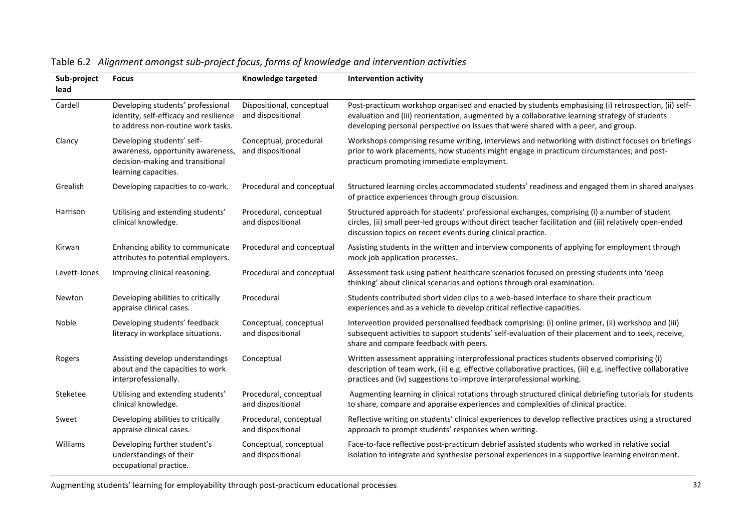| Sub-project<br>lead | <b>Focus</b>                                                                                                                | Knowledge targeted                             | <b>Intervention activity</b>                                                                                                                                                                                                                                                                |
|---------------------|-----------------------------------------------------------------------------------------------------------------------------|------------------------------------------------|---------------------------------------------------------------------------------------------------------------------------------------------------------------------------------------------------------------------------------------------------------------------------------------------|
| Cardell             | Developing students' professional<br>identity, self-efficacy and resilience<br>to address non-routine work tasks.           | Dispositional, conceptual<br>and dispositional | Post-practicum workshop organised and enacted by students emphasising (i) retrospection, (ii) self-<br>evaluation and (iii) reorientation, augmented by a collaborative learning strategy of students<br>developing personal perspective on issues that were shared with a peer, and group. |
| Clancy              | Developing students' self-<br>awareness, opportunity awareness,<br>decision-making and transitional<br>learning capacities. | Conceptual, procedural<br>and dispositional    | Workshops comprising resume writing, interviews and networking with distinct focuses on briefings<br>prior to work placements, how students might engage in practicum circumstances; and post-<br>practicum promoting immediate employment.                                                 |
| Grealish            | Developing capacities to co-work.                                                                                           | Procedural and conceptual                      | Structured learning circles accommodated students' readiness and engaged them in shared analyses<br>of practice experiences through group discussion.                                                                                                                                       |
| Harrison            | Utilising and extending students'<br>clinical knowledge.                                                                    | Procedural, conceptual<br>and dispositional    | Structured approach for students' professional exchanges, comprising (i) a number of student<br>circles, (ii) small peer-led groups without direct teacher facilitation and (iii) relatively open-ended<br>discussion topics on recent events during clinical practice.                     |
| Kirwan              | Enhancing ability to communicate<br>attributes to potential employers.                                                      | Procedural and conceptual                      | Assisting students in the written and interview components of applying for employment through<br>mock job application processes.                                                                                                                                                            |
| Levett-Jones        | Improving clinical reasoning.                                                                                               | Procedural and conceptual                      | Assessment task using patient healthcare scenarios focused on pressing students into 'deep<br>thinking' about clinical scenarios and options through oral examination.                                                                                                                      |
| Newton              | Developing abilities to critically<br>appraise clinical cases.                                                              | Procedural                                     | Students contributed short video clips to a web-based interface to share their practicum<br>experiences and as a vehicle to develop critical reflective capacities.                                                                                                                         |
| Noble               | Developing students' feedback<br>literacy in workplace situations.                                                          | Conceptual, conceptual<br>and dispositional    | Intervention provided personalised feedback comprising: (i) online primer, (ii) workshop and (iii)<br>subsequent activities to support students' self-evaluation of their placement and to seek, receive,<br>share and compare feedback with peers.                                         |
| Rogers              | Assisting develop understandings<br>about and the capacities to work<br>interprofessionally.                                | Conceptual                                     | Written assessment appraising interprofessional practices students observed comprising (i)<br>description of team work, (ii) e.g. effective collaborative practices, (iii) e.g. ineffective collaborative<br>practices and (iv) suggestions to improve interprofessional working.           |
| Steketee            | Utilising and extending students'<br>clinical knowledge.                                                                    | Procedural, conceptual<br>and dispositional    | Augmenting learning in clinical rotations through structured clinical debriefing tutorials for students<br>to share, compare and appraise experiences and complexities of clinical practice.                                                                                                |
| Sweet               | Developing abilities to critically<br>appraise clinical cases.                                                              | Procedural, conceptual<br>and dispositional    | Reflective writing on students' clinical experiences to develop reflective practices using a structured<br>approach to prompt students' responses when writing.                                                                                                                             |
| Williams            | Developing further student's<br>understandings of their<br>occupational practice.                                           | Conceptual, conceptual<br>and dispositional    | Face-to-face reflective post-practicum debrief assisted students who worked in relative social<br>isolation to integrate and synthesise personal experiences in a supportive learning environment.                                                                                          |

### Table 6.215*Alignment amongst sub-project focus, forms of knowledge and intervention activities*

Augmenting students' learning for employability through post-practicum educational processes 32 SOS and the students' learning for employability through post-practicum educational processes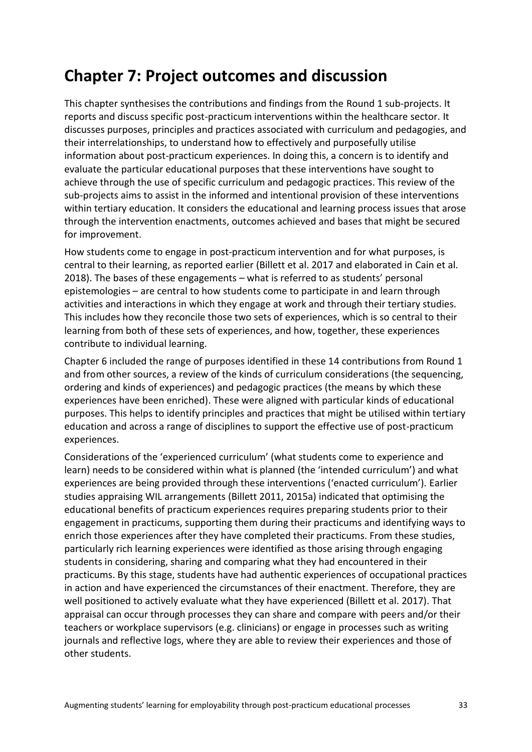# **Chapter 7: Project outcomes and discussion**

This chapter synthesises the contributions and findings from the Round 1 sub-projects. It reports and discuss specific post-practicum interventions within the healthcare sector. It discusses purposes, principles and practices associated with curriculum and pedagogies, and their interrelationships, to understand how to effectively and purposefully utilise information about post-practicum experiences. In doing this, a concern is to identify and evaluate the particular educational purposes that these interventions have sought to achieve through the use of specific curriculum and pedagogic practices. This review of the sub-projects aims to assist in the informed and intentional provision of these interventions within tertiary education. It considers the educational and learning process issues that arose through the intervention enactments, outcomes achieved and bases that might be secured for improvement.

How students come to engage in post-practicum intervention and for what purposes, is central to their learning, as reported earlier (Billett et al. 2017 and elaborated in Cain et al. 2018). The bases of these engagements – what is referred to as students' personal epistemologies – are central to how students come to participate in and learn through activities and interactions in which they engage at work and through their tertiary studies. This includes how they reconcile those two sets of experiences, which is so central to their learning from both of these sets of experiences, and how, together, these experiences contribute to individual learning.

Chapter 6 included the range of purposes identified in these 14 contributions from Round 1 and from other sources, a review of the kinds of curriculum considerations (the sequencing, ordering and kinds of experiences) and pedagogic practices (the means by which these experiences have been enriched). These were aligned with particular kinds of educational purposes. This helps to identify principles and practices that might be utilised within tertiary education and across a range of disciplines to support the effective use of post-practicum experiences.

Considerations of the 'experienced curriculum' (what students come to experience and learn) needs to be considered within what is planned (the 'intended curriculum') and what experiences are being provided through these interventions ('enacted curriculum'). Earlier studies appraising WIL arrangements (Billett 2011, 2015a) indicated that optimising the educational benefits of practicum experiences requires preparing students prior to their engagement in practicums, supporting them during their practicums and identifying ways to enrich those experiences after they have completed their practicums. From these studies, particularly rich learning experiences were identified as those arising through engaging students in considering, sharing and comparing what they had encountered in their practicums. By this stage, students have had authentic experiences of occupational practices in action and have experienced the circumstances of their enactment. Therefore, they are well positioned to actively evaluate what they have experienced (Billett et al. 2017). That appraisal can occur through processes they can share and compare with peers and/or their teachers or workplace supervisors (e.g. clinicians) or engage in processes such as writing journals and reflective logs, where they are able to review their experiences and those of other students.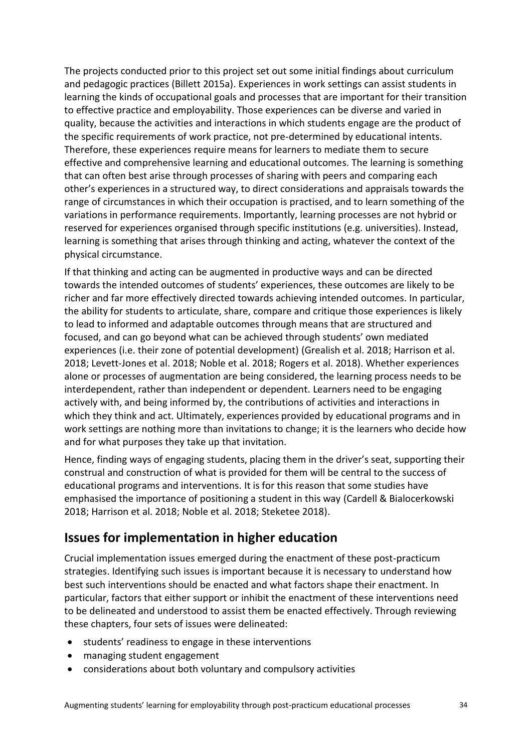The projects conducted prior to this project set out some initial findings about curriculum and pedagogic practices (Billett 2015a). Experiences in work settings can assist students in learning the kinds of occupational goals and processes that are important for their transition to effective practice and employability. Those experiences can be diverse and varied in quality, because the activities and interactions in which students engage are the product of the specific requirements of work practice, not pre-determined by educational intents. Therefore, these experiences require means for learners to mediate them to secure effective and comprehensive learning and educational outcomes. The learning is something that can often best arise through processes of sharing with peers and comparing each other's experiences in a structured way, to direct considerations and appraisals towards the range of circumstances in which their occupation is practised, and to learn something of the variations in performance requirements. Importantly, learning processes are not hybrid or reserved for experiences organised through specific institutions (e.g. universities). Instead, learning is something that arises through thinking and acting, whatever the context of the physical circumstance.

If that thinking and acting can be augmented in productive ways and can be directed towards the intended outcomes of students' experiences, these outcomes are likely to be richer and far more effectively directed towards achieving intended outcomes. In particular, the ability for students to articulate, share, compare and critique those experiences is likely to lead to informed and adaptable outcomes through means that are structured and focused, and can go beyond what can be achieved through students' own mediated experiences (i.e. their zone of potential development) (Grealish et al. 2018; Harrison et al. 2018; Levett-Jones et al. 2018; Noble et al. 2018; Rogers et al. 2018). Whether experiences alone or processes of augmentation are being considered, the learning process needs to be interdependent, rather than independent or dependent. Learners need to be engaging actively with, and being informed by, the contributions of activities and interactions in which they think and act. Ultimately, experiences provided by educational programs and in work settings are nothing more than invitations to change; it is the learners who decide how and for what purposes they take up that invitation.

Hence, finding ways of engaging students, placing them in the driver's seat, supporting their construal and construction of what is provided for them will be central to the success of educational programs and interventions. It is for this reason that some studies have emphasised the importance of positioning a student in this way (Cardell & Bialocerkowski 2018; Harrison et al. 2018; Noble et al. 2018; Steketee 2018).

# **Issues for implementation in higher education**

Crucial implementation issues emerged during the enactment of these post-practicum strategies. Identifying such issues is important because it is necessary to understand how best such interventions should be enacted and what factors shape their enactment. In particular, factors that either support or inhibit the enactment of these interventions need to be delineated and understood to assist them be enacted effectively. Through reviewing these chapters, four sets of issues were delineated:

- students' readiness to engage in these interventions
- managing student engagement
- considerations about both voluntary and compulsory activities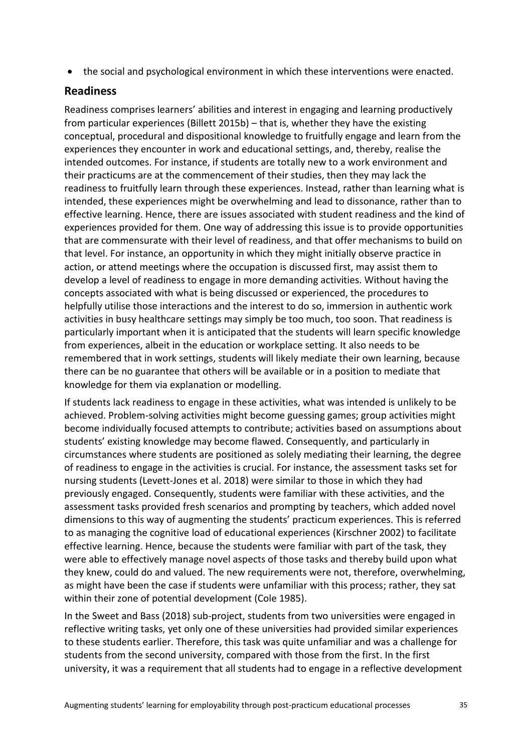• the social and psychological environment in which these interventions were enacted.

#### **Readiness**

Readiness comprises learners' abilities and interest in engaging and learning productively from particular experiences (Billett 2015b) – that is, whether they have the existing conceptual, procedural and dispositional knowledge to fruitfully engage and learn from the experiences they encounter in work and educational settings, and, thereby, realise the intended outcomes. For instance, if students are totally new to a work environment and their practicums are at the commencement of their studies, then they may lack the readiness to fruitfully learn through these experiences. Instead, rather than learning what is intended, these experiences might be overwhelming and lead to dissonance, rather than to effective learning. Hence, there are issues associated with student readiness and the kind of experiences provided for them. One way of addressing this issue is to provide opportunities that are commensurate with their level of readiness, and that offer mechanisms to build on that level. For instance, an opportunity in which they might initially observe practice in action, or attend meetings where the occupation is discussed first, may assist them to develop a level of readiness to engage in more demanding activities. Without having the concepts associated with what is being discussed or experienced, the procedures to helpfully utilise those interactions and the interest to do so, immersion in authentic work activities in busy healthcare settings may simply be too much, too soon. That readiness is particularly important when it is anticipated that the students will learn specific knowledge from experiences, albeit in the education or workplace setting. It also needs to be remembered that in work settings, students will likely mediate their own learning, because there can be no guarantee that others will be available or in a position to mediate that knowledge for them via explanation or modelling.

If students lack readiness to engage in these activities, what was intended is unlikely to be achieved. Problem-solving activities might become guessing games; group activities might become individually focused attempts to contribute; activities based on assumptions about students' existing knowledge may become flawed. Consequently, and particularly in circumstances where students are positioned as solely mediating their learning, the degree of readiness to engage in the activities is crucial. For instance, the assessment tasks set for nursing students (Levett-Jones et al. 2018) were similar to those in which they had previously engaged. Consequently, students were familiar with these activities, and the assessment tasks provided fresh scenarios and prompting by teachers, which added novel dimensions to this way of augmenting the students' practicum experiences. This is referred to as managing the cognitive load of educational experiences (Kirschner 2002) to facilitate effective learning. Hence, because the students were familiar with part of the task, they were able to effectively manage novel aspects of those tasks and thereby build upon what they knew, could do and valued. The new requirements were not, therefore, overwhelming, as might have been the case if students were unfamiliar with this process; rather, they sat within their zone of potential development (Cole 1985).

In the Sweet and Bass (2018) sub-project, students from two universities were engaged in reflective writing tasks, yet only one of these universities had provided similar experiences to these students earlier. Therefore, this task was quite unfamiliar and was a challenge for students from the second university, compared with those from the first. In the first university, it was a requirement that all students had to engage in a reflective development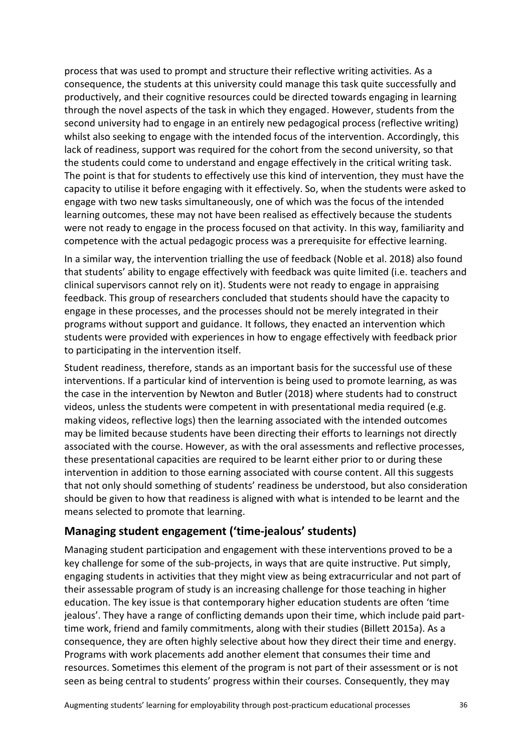process that was used to prompt and structure their reflective writing activities. As a consequence, the students at this university could manage this task quite successfully and productively, and their cognitive resources could be directed towards engaging in learning through the novel aspects of the task in which they engaged. However, students from the second university had to engage in an entirely new pedagogical process (reflective writing) whilst also seeking to engage with the intended focus of the intervention. Accordingly, this lack of readiness, support was required for the cohort from the second university, so that the students could come to understand and engage effectively in the critical writing task. The point is that for students to effectively use this kind of intervention, they must have the capacity to utilise it before engaging with it effectively. So, when the students were asked to engage with two new tasks simultaneously, one of which was the focus of the intended learning outcomes, these may not have been realised as effectively because the students were not ready to engage in the process focused on that activity. In this way, familiarity and competence with the actual pedagogic process was a prerequisite for effective learning.

In a similar way, the intervention trialling the use of feedback (Noble et al. 2018) also found that students' ability to engage effectively with feedback was quite limited (i.e. teachers and clinical supervisors cannot rely on it). Students were not ready to engage in appraising feedback. This group of researchers concluded that students should have the capacity to engage in these processes, and the processes should not be merely integrated in their programs without support and guidance. It follows, they enacted an intervention which students were provided with experiences in how to engage effectively with feedback prior to participating in the intervention itself.

Student readiness, therefore, stands as an important basis for the successful use of these interventions. If a particular kind of intervention is being used to promote learning, as was the case in the intervention by Newton and Butler (2018) where students had to construct videos, unless the students were competent in with presentational media required (e.g. making videos, reflective logs) then the learning associated with the intended outcomes may be limited because students have been directing their efforts to learnings not directly associated with the course. However, as with the oral assessments and reflective processes, these presentational capacities are required to be learnt either prior to or during these intervention in addition to those earning associated with course content. All this suggests that not only should something of students' readiness be understood, but also consideration should be given to how that readiness is aligned with what is intended to be learnt and the means selected to promote that learning.

### **Managing student engagement ('time-jealous' students)**

Managing student participation and engagement with these interventions proved to be a key challenge for some of the sub-projects, in ways that are quite instructive. Put simply, engaging students in activities that they might view as being extracurricular and not part of their assessable program of study is an increasing challenge for those teaching in higher education. The key issue is that contemporary higher education students are often 'time jealous'. They have a range of conflicting demands upon their time, which include paid parttime work, friend and family commitments, along with their studies (Billett 2015a). As a consequence, they are often highly selective about how they direct their time and energy. Programs with work placements add another element that consumes their time and resources. Sometimes this element of the program is not part of their assessment or is not seen as being central to students' progress within their courses. Consequently, they may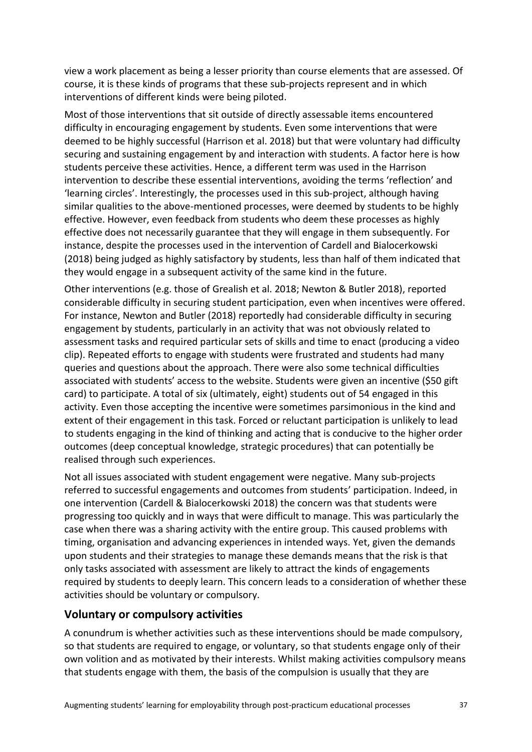view a work placement as being a lesser priority than course elements that are assessed. Of course, it is these kinds of programs that these sub-projects represent and in which interventions of different kinds were being piloted.

Most of those interventions that sit outside of directly assessable items encountered difficulty in encouraging engagement by students. Even some interventions that were deemed to be highly successful (Harrison et al. 2018) but that were voluntary had difficulty securing and sustaining engagement by and interaction with students. A factor here is how students perceive these activities. Hence, a different term was used in the Harrison intervention to describe these essential interventions, avoiding the terms 'reflection' and 'learning circles'. Interestingly, the processes used in this sub-project, although having similar qualities to the above-mentioned processes, were deemed by students to be highly effective. However, even feedback from students who deem these processes as highly effective does not necessarily guarantee that they will engage in them subsequently. For instance, despite the processes used in the intervention of Cardell and Bialocerkowski (2018) being judged as highly satisfactory by students, less than half of them indicated that they would engage in a subsequent activity of the same kind in the future.

Other interventions (e.g. those of Grealish et al. 2018; Newton & Butler 2018), reported considerable difficulty in securing student participation, even when incentives were offered. For instance, Newton and Butler (2018) reportedly had considerable difficulty in securing engagement by students, particularly in an activity that was not obviously related to assessment tasks and required particular sets of skills and time to enact (producing a video clip). Repeated efforts to engage with students were frustrated and students had many queries and questions about the approach. There were also some technical difficulties associated with students' access to the website. Students were given an incentive (\$50 gift card) to participate. A total of six (ultimately, eight) students out of 54 engaged in this activity. Even those accepting the incentive were sometimes parsimonious in the kind and extent of their engagement in this task. Forced or reluctant participation is unlikely to lead to students engaging in the kind of thinking and acting that is conducive to the higher order outcomes (deep conceptual knowledge, strategic procedures) that can potentially be realised through such experiences.

Not all issues associated with student engagement were negative. Many sub-projects referred to successful engagements and outcomes from students' participation. Indeed, in one intervention (Cardell & Bialocerkowski 2018) the concern was that students were progressing too quickly and in ways that were difficult to manage. This was particularly the case when there was a sharing activity with the entire group. This caused problems with timing, organisation and advancing experiences in intended ways. Yet, given the demands upon students and their strategies to manage these demands means that the risk is that only tasks associated with assessment are likely to attract the kinds of engagements required by students to deeply learn. This concern leads to a consideration of whether these activities should be voluntary or compulsory.

#### **Voluntary or compulsory activities**

A conundrum is whether activities such as these interventions should be made compulsory, so that students are required to engage, or voluntary, so that students engage only of their own volition and as motivated by their interests. Whilst making activities compulsory means that students engage with them, the basis of the compulsion is usually that they are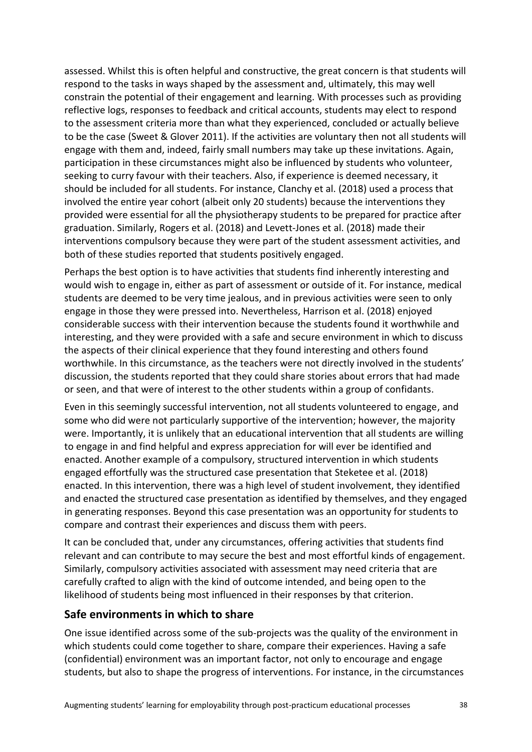assessed. Whilst this is often helpful and constructive, the great concern is that students will respond to the tasks in ways shaped by the assessment and, ultimately, this may well constrain the potential of their engagement and learning. With processes such as providing reflective logs, responses to feedback and critical accounts, students may elect to respond to the assessment criteria more than what they experienced, concluded or actually believe to be the case (Sweet & Glover 2011). If the activities are voluntary then not all students will engage with them and, indeed, fairly small numbers may take up these invitations. Again, participation in these circumstances might also be influenced by students who volunteer, seeking to curry favour with their teachers. Also, if experience is deemed necessary, it should be included for all students. For instance, Clanchy et al. (2018) used a process that involved the entire year cohort (albeit only 20 students) because the interventions they provided were essential for all the physiotherapy students to be prepared for practice after graduation. Similarly, Rogers et al. (2018) and Levett-Jones et al. (2018) made their interventions compulsory because they were part of the student assessment activities, and both of these studies reported that students positively engaged.

Perhaps the best option is to have activities that students find inherently interesting and would wish to engage in, either as part of assessment or outside of it. For instance, medical students are deemed to be very time jealous, and in previous activities were seen to only engage in those they were pressed into. Nevertheless, Harrison et al. (2018) enjoyed considerable success with their intervention because the students found it worthwhile and interesting, and they were provided with a safe and secure environment in which to discuss the aspects of their clinical experience that they found interesting and others found worthwhile. In this circumstance, as the teachers were not directly involved in the students' discussion, the students reported that they could share stories about errors that had made or seen, and that were of interest to the other students within a group of confidants.

Even in this seemingly successful intervention, not all students volunteered to engage, and some who did were not particularly supportive of the intervention; however, the majority were. Importantly, it is unlikely that an educational intervention that all students are willing to engage in and find helpful and express appreciation for will ever be identified and enacted. Another example of a compulsory, structured intervention in which students engaged effortfully was the structured case presentation that Steketee et al. (2018) enacted. In this intervention, there was a high level of student involvement, they identified and enacted the structured case presentation as identified by themselves, and they engaged in generating responses. Beyond this case presentation was an opportunity for students to compare and contrast their experiences and discuss them with peers.

It can be concluded that, under any circumstances, offering activities that students find relevant and can contribute to may secure the best and most effortful kinds of engagement. Similarly, compulsory activities associated with assessment may need criteria that are carefully crafted to align with the kind of outcome intended, and being open to the likelihood of students being most influenced in their responses by that criterion.

#### **Safe environments in which to share**

One issue identified across some of the sub-projects was the quality of the environment in which students could come together to share, compare their experiences. Having a safe (confidential) environment was an important factor, not only to encourage and engage students, but also to shape the progress of interventions. For instance, in the circumstances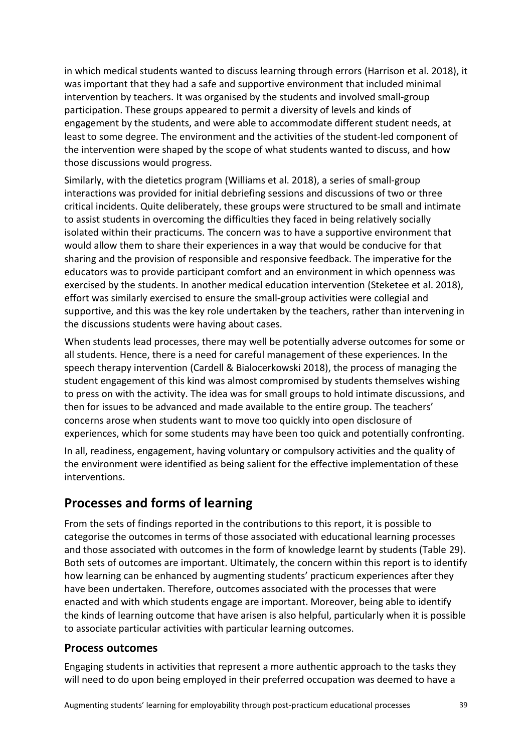in which medical students wanted to discuss learning through errors (Harrison et al. 2018), it was important that they had a safe and supportive environment that included minimal intervention by teachers. It was organised by the students and involved small-group participation. These groups appeared to permit a diversity of levels and kinds of engagement by the students, and were able to accommodate different student needs, at least to some degree. The environment and the activities of the student-led component of the intervention were shaped by the scope of what students wanted to discuss, and how those discussions would progress.

Similarly, with the dietetics program (Williams et al. 2018), a series of small-group interactions was provided for initial debriefing sessions and discussions of two or three critical incidents. Quite deliberately, these groups were structured to be small and intimate to assist students in overcoming the difficulties they faced in being relatively socially isolated within their practicums. The concern was to have a supportive environment that would allow them to share their experiences in a way that would be conducive for that sharing and the provision of responsible and responsive feedback. The imperative for the educators was to provide participant comfort and an environment in which openness was exercised by the students. In another medical education intervention (Steketee et al. 2018), effort was similarly exercised to ensure the small-group activities were collegial and supportive, and this was the key role undertaken by the teachers, rather than intervening in the discussions students were having about cases.

When students lead processes, there may well be potentially adverse outcomes for some or all students. Hence, there is a need for careful management of these experiences. In the speech therapy intervention (Cardell & Bialocerkowski 2018), the process of managing the student engagement of this kind was almost compromised by students themselves wishing to press on with the activity. The idea was for small groups to hold intimate discussions, and then for issues to be advanced and made available to the entire group. The teachers' concerns arose when students want to move too quickly into open disclosure of experiences, which for some students may have been too quick and potentially confronting.

In all, readiness, engagement, having voluntary or compulsory activities and the quality of the environment were identified as being salient for the effective implementation of these interventions.

# **Processes and forms of learning**

From the sets of findings reported in the contributions to this report, it is possible to categorise the outcomes in terms of those associated with educational learning processes and those associated with outcomes in the form of knowledge learnt by students (Table 29). Both sets of outcomes are important. Ultimately, the concern within this report is to identify how learning can be enhanced by augmenting students' practicum experiences after they have been undertaken. Therefore, outcomes associated with the processes that were enacted and with which students engage are important. Moreover, being able to identify the kinds of learning outcome that have arisen is also helpful, particularly when it is possible to associate particular activities with particular learning outcomes.

### **Process outcomes**

Engaging students in activities that represent a more authentic approach to the tasks they will need to do upon being employed in their preferred occupation was deemed to have a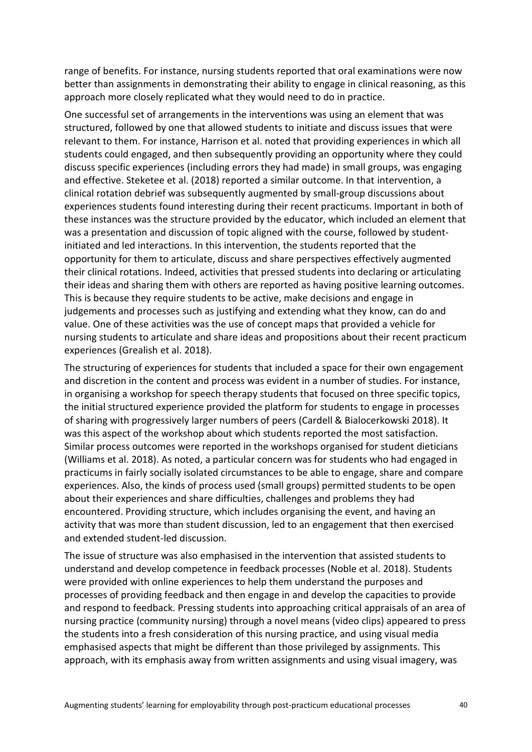range of benefits. For instance, nursing students reported that oral examinations were now better than assignments in demonstrating their ability to engage in clinical reasoning, as this approach more closely replicated what they would need to do in practice.

One successful set of arrangements in the interventions was using an element that was structured, followed by one that allowed students to initiate and discuss issues that were relevant to them. For instance, Harrison et al. noted that providing experiences in which all students could engaged, and then subsequently providing an opportunity where they could discuss specific experiences (including errors they had made) in small groups, was engaging and effective. Steketee et al. (2018) reported a similar outcome. In that intervention, a clinical rotation debrief was subsequently augmented by small-group discussions about experiences students found interesting during their recent practicums. Important in both of these instances was the structure provided by the educator, which included an element that was a presentation and discussion of topic aligned with the course, followed by studentinitiated and led interactions. In this intervention, the students reported that the opportunity for them to articulate, discuss and share perspectives effectively augmented their clinical rotations. Indeed, activities that pressed students into declaring or articulating their ideas and sharing them with others are reported as having positive learning outcomes. This is because they require students to be active, make decisions and engage in judgements and processes such as justifying and extending what they know, can do and value. One of these activities was the use of concept maps that provided a vehicle for nursing students to articulate and share ideas and propositions about their recent practicum experiences (Grealish et al. 2018).

The structuring of experiences for students that included a space for their own engagement and discretion in the content and process was evident in a number of studies. For instance, in organising a workshop for speech therapy students that focused on three specific topics, the initial structured experience provided the platform for students to engage in processes of sharing with progressively larger numbers of peers (Cardell & Bialocerkowski 2018). It was this aspect of the workshop about which students reported the most satisfaction. Similar process outcomes were reported in the workshops organised for student dieticians (Williams et al. 2018). As noted, a particular concern was for students who had engaged in practicums in fairly socially isolated circumstances to be able to engage, share and compare experiences. Also, the kinds of process used (small groups) permitted students to be open about their experiences and share difficulties, challenges and problems they had encountered. Providing structure, which includes organising the event, and having an activity that was more than student discussion, led to an engagement that then exercised and extended student-led discussion.

The issue of structure was also emphasised in the intervention that assisted students to understand and develop competence in feedback processes (Noble et al. 2018). Students were provided with online experiences to help them understand the purposes and processes of providing feedback and then engage in and develop the capacities to provide and respond to feedback. Pressing students into approaching critical appraisals of an area of nursing practice (community nursing) through a novel means (video clips) appeared to press the students into a fresh consideration of this nursing practice, and using visual media emphasised aspects that might be different than those privileged by assignments. This approach, with its emphasis away from written assignments and using visual imagery, was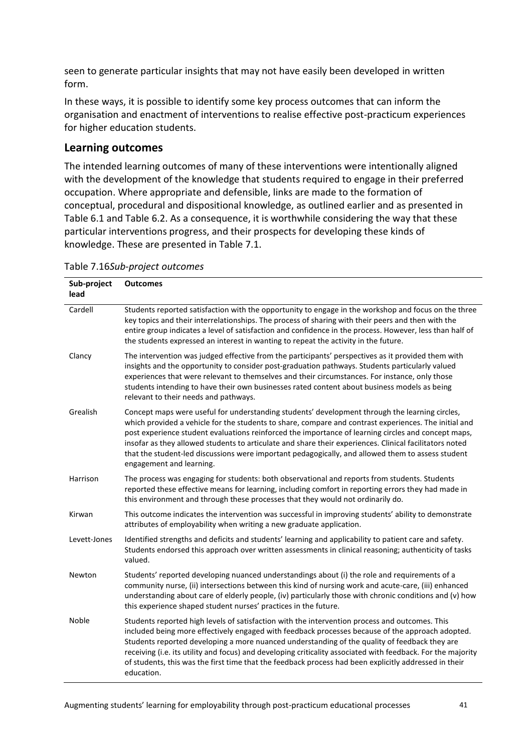seen to generate particular insights that may not have easily been developed in written form.

In these ways, it is possible to identify some key process outcomes that can inform the organisation and enactment of interventions to realise effective post-practicum experiences for higher education students.

### **Learning outcomes**

The intended learning outcomes of many of these interventions were intentionally aligned with the development of the knowledge that students required to engage in their preferred occupation. Where appropriate and defensible, links are made to the formation of conceptual, procedural and dispositional knowledge, as outlined earlier and as presented in Table 6.1 and Table 6.2. As a consequence, it is worthwhile considering the way that these particular interventions progress, and their prospects for developing these kinds of knowledge. These are presented in Table 7.1.

| Sub-project<br>lead | <b>Outcomes</b>                                                                                                                                                                                                                                                                                                                                                                                                                                                                                                                                            |
|---------------------|------------------------------------------------------------------------------------------------------------------------------------------------------------------------------------------------------------------------------------------------------------------------------------------------------------------------------------------------------------------------------------------------------------------------------------------------------------------------------------------------------------------------------------------------------------|
| Cardell             | Students reported satisfaction with the opportunity to engage in the workshop and focus on the three<br>key topics and their interrelationships. The process of sharing with their peers and then with the<br>entire group indicates a level of satisfaction and confidence in the process. However, less than half of<br>the students expressed an interest in wanting to repeat the activity in the future.                                                                                                                                              |
| Clancy              | The intervention was judged effective from the participants' perspectives as it provided them with<br>insights and the opportunity to consider post-graduation pathways. Students particularly valued<br>experiences that were relevant to themselves and their circumstances. For instance, only those<br>students intending to have their own businesses rated content about business models as being<br>relevant to their needs and pathways.                                                                                                           |
| Grealish            | Concept maps were useful for understanding students' development through the learning circles,<br>which provided a vehicle for the students to share, compare and contrast experiences. The initial and<br>post experience student evaluations reinforced the importance of learning circles and concept maps,<br>insofar as they allowed students to articulate and share their experiences. Clinical facilitators noted<br>that the student-led discussions were important pedagogically, and allowed them to assess student<br>engagement and learning. |
| Harrison            | The process was engaging for students: both observational and reports from students. Students<br>reported these effective means for learning, including comfort in reporting errors they had made in<br>this environment and through these processes that they would not ordinarily do.                                                                                                                                                                                                                                                                    |
| Kirwan              | This outcome indicates the intervention was successful in improving students' ability to demonstrate<br>attributes of employability when writing a new graduate application.                                                                                                                                                                                                                                                                                                                                                                               |
| Levett-Jones        | Identified strengths and deficits and students' learning and applicability to patient care and safety.<br>Students endorsed this approach over written assessments in clinical reasoning; authenticity of tasks<br>valued.                                                                                                                                                                                                                                                                                                                                 |
| Newton              | Students' reported developing nuanced understandings about (i) the role and requirements of a<br>community nurse, (ii) intersections between this kind of nursing work and acute-care, (iii) enhanced<br>understanding about care of elderly people, (iv) particularly those with chronic conditions and (v) how<br>this experience shaped student nurses' practices in the future.                                                                                                                                                                        |
| Noble               | Students reported high levels of satisfaction with the intervention process and outcomes. This<br>included being more effectively engaged with feedback processes because of the approach adopted.<br>Students reported developing a more nuanced understanding of the quality of feedback they are<br>receiving (i.e. its utility and focus) and developing criticality associated with feedback. For the majority<br>of students, this was the first time that the feedback process had been explicitly addressed in their<br>education.                 |

Table 7.16*Sub-project outcomes*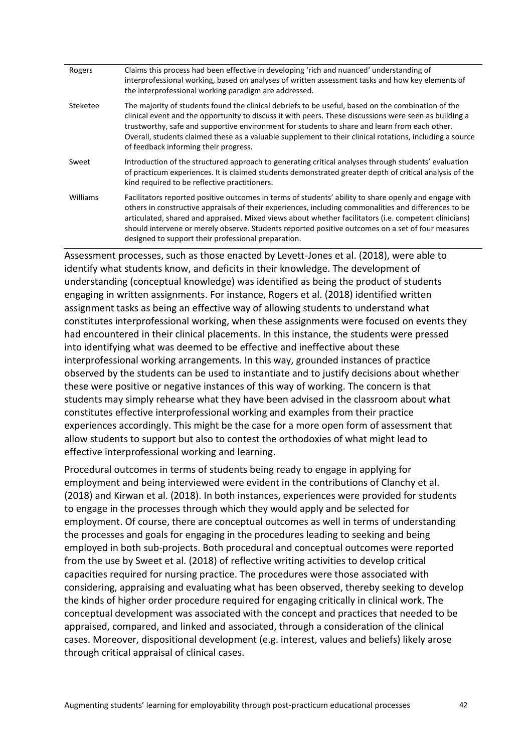| Rogers   | Claims this process had been effective in developing 'rich and nuanced' understanding of<br>interprofessional working, based on analyses of written assessment tasks and how key elements of<br>the interprofessional working paradigm are addressed.                                                                                                                                                                                                                               |
|----------|-------------------------------------------------------------------------------------------------------------------------------------------------------------------------------------------------------------------------------------------------------------------------------------------------------------------------------------------------------------------------------------------------------------------------------------------------------------------------------------|
| Steketee | The majority of students found the clinical debriefs to be useful, based on the combination of the<br>clinical event and the opportunity to discuss it with peers. These discussions were seen as building a<br>trustworthy, safe and supportive environment for students to share and learn from each other.<br>Overall, students claimed these as a valuable supplement to their clinical rotations, including a source<br>of feedback informing their progress.                  |
| Sweet    | Introduction of the structured approach to generating critical analyses through students' evaluation<br>of practicum experiences. It is claimed students demonstrated greater depth of critical analysis of the<br>kind required to be reflective practitioners.                                                                                                                                                                                                                    |
| Williams | Facilitators reported positive outcomes in terms of students' ability to share openly and engage with<br>others in constructive appraisals of their experiences, including commonalities and differences to be<br>articulated, shared and appraised. Mixed views about whether facilitators (i.e. competent clinicians)<br>should intervene or merely observe. Students reported positive outcomes on a set of four measures<br>designed to support their professional preparation. |

Assessment processes, such as those enacted by Levett-Jones et al. (2018), were able to identify what students know, and deficits in their knowledge. The development of understanding (conceptual knowledge) was identified as being the product of students engaging in written assignments. For instance, Rogers et al. (2018) identified written assignment tasks as being an effective way of allowing students to understand what constitutes interprofessional working, when these assignments were focused on events they had encountered in their clinical placements. In this instance, the students were pressed into identifying what was deemed to be effective and ineffective about these interprofessional working arrangements. In this way, grounded instances of practice observed by the students can be used to instantiate and to justify decisions about whether these were positive or negative instances of this way of working. The concern is that students may simply rehearse what they have been advised in the classroom about what constitutes effective interprofessional working and examples from their practice experiences accordingly. This might be the case for a more open form of assessment that allow students to support but also to contest the orthodoxies of what might lead to effective interprofessional working and learning.

Procedural outcomes in terms of students being ready to engage in applying for employment and being interviewed were evident in the contributions of Clanchy et al. (2018) and Kirwan et al. (2018). In both instances, experiences were provided for students to engage in the processes through which they would apply and be selected for employment. Of course, there are conceptual outcomes as well in terms of understanding the processes and goals for engaging in the procedures leading to seeking and being employed in both sub-projects. Both procedural and conceptual outcomes were reported from the use by Sweet et al. (2018) of reflective writing activities to develop critical capacities required for nursing practice. The procedures were those associated with considering, appraising and evaluating what has been observed, thereby seeking to develop the kinds of higher order procedure required for engaging critically in clinical work. The conceptual development was associated with the concept and practices that needed to be appraised, compared, and linked and associated, through a consideration of the clinical cases. Moreover, dispositional development (e.g. interest, values and beliefs) likely arose through critical appraisal of clinical cases.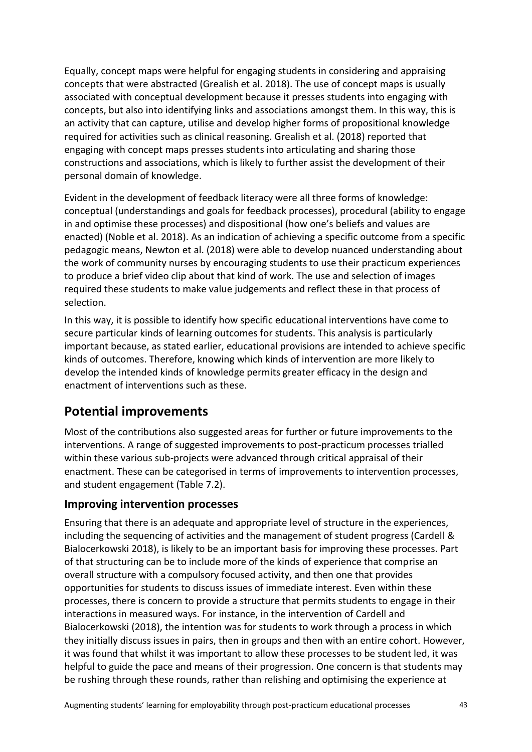Equally, concept maps were helpful for engaging students in considering and appraising concepts that were abstracted (Grealish et al. 2018). The use of concept maps is usually associated with conceptual development because it presses students into engaging with concepts, but also into identifying links and associations amongst them. In this way, this is an activity that can capture, utilise and develop higher forms of propositional knowledge required for activities such as clinical reasoning. Grealish et al. (2018) reported that engaging with concept maps presses students into articulating and sharing those constructions and associations, which is likely to further assist the development of their personal domain of knowledge.

Evident in the development of feedback literacy were all three forms of knowledge: conceptual (understandings and goals for feedback processes), procedural (ability to engage in and optimise these processes) and dispositional (how one's beliefs and values are enacted) (Noble et al. 2018). As an indication of achieving a specific outcome from a specific pedagogic means, Newton et al. (2018) were able to develop nuanced understanding about the work of community nurses by encouraging students to use their practicum experiences to produce a brief video clip about that kind of work. The use and selection of images required these students to make value judgements and reflect these in that process of selection.

In this way, it is possible to identify how specific educational interventions have come to secure particular kinds of learning outcomes for students. This analysis is particularly important because, as stated earlier, educational provisions are intended to achieve specific kinds of outcomes. Therefore, knowing which kinds of intervention are more likely to develop the intended kinds of knowledge permits greater efficacy in the design and enactment of interventions such as these.

# **Potential improvements**

Most of the contributions also suggested areas for further or future improvements to the interventions. A range of suggested improvements to post-practicum processes trialled within these various sub-projects were advanced through critical appraisal of their enactment. These can be categorised in terms of improvements to intervention processes, and student engagement (Table 7.2).

# **Improving intervention processes**

Ensuring that there is an adequate and appropriate level of structure in the experiences, including the sequencing of activities and the management of student progress (Cardell & Bialocerkowski 2018), is likely to be an important basis for improving these processes. Part of that structuring can be to include more of the kinds of experience that comprise an overall structure with a compulsory focused activity, and then one that provides opportunities for students to discuss issues of immediate interest. Even within these processes, there is concern to provide a structure that permits students to engage in their interactions in measured ways. For instance, in the intervention of Cardell and Bialocerkowski (2018), the intention was for students to work through a process in which they initially discuss issues in pairs, then in groups and then with an entire cohort. However, it was found that whilst it was important to allow these processes to be student led, it was helpful to guide the pace and means of their progression. One concern is that students may be rushing through these rounds, rather than relishing and optimising the experience at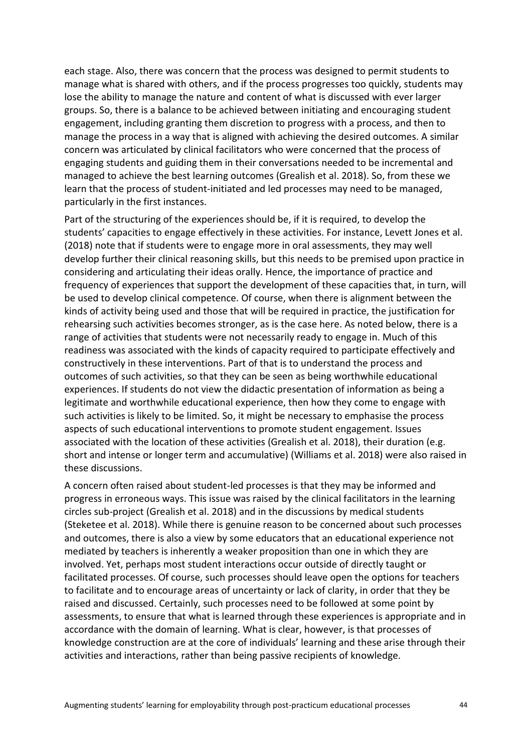each stage. Also, there was concern that the process was designed to permit students to manage what is shared with others, and if the process progresses too quickly, students may lose the ability to manage the nature and content of what is discussed with ever larger groups. So, there is a balance to be achieved between initiating and encouraging student engagement, including granting them discretion to progress with a process, and then to manage the process in a way that is aligned with achieving the desired outcomes. A similar concern was articulated by clinical facilitators who were concerned that the process of engaging students and guiding them in their conversations needed to be incremental and managed to achieve the best learning outcomes (Grealish et al. 2018). So, from these we learn that the process of student-initiated and led processes may need to be managed, particularly in the first instances.

Part of the structuring of the experiences should be, if it is required, to develop the students' capacities to engage effectively in these activities. For instance, Levett Jones et al. (2018) note that if students were to engage more in oral assessments, they may well develop further their clinical reasoning skills, but this needs to be premised upon practice in considering and articulating their ideas orally. Hence, the importance of practice and frequency of experiences that support the development of these capacities that, in turn, will be used to develop clinical competence. Of course, when there is alignment between the kinds of activity being used and those that will be required in practice, the justification for rehearsing such activities becomes stronger, as is the case here. As noted below, there is a range of activities that students were not necessarily ready to engage in. Much of this readiness was associated with the kinds of capacity required to participate effectively and constructively in these interventions. Part of that is to understand the process and outcomes of such activities, so that they can be seen as being worthwhile educational experiences. If students do not view the didactic presentation of information as being a legitimate and worthwhile educational experience, then how they come to engage with such activities is likely to be limited. So, it might be necessary to emphasise the process aspects of such educational interventions to promote student engagement. Issues associated with the location of these activities (Grealish et al. 2018), their duration (e.g. short and intense or longer term and accumulative) (Williams et al. 2018) were also raised in these discussions.

A concern often raised about student-led processes is that they may be informed and progress in erroneous ways. This issue was raised by the clinical facilitators in the learning circles sub-project (Grealish et al. 2018) and in the discussions by medical students (Steketee et al. 2018). While there is genuine reason to be concerned about such processes and outcomes, there is also a view by some educators that an educational experience not mediated by teachers is inherently a weaker proposition than one in which they are involved. Yet, perhaps most student interactions occur outside of directly taught or facilitated processes. Of course, such processes should leave open the options for teachers to facilitate and to encourage areas of uncertainty or lack of clarity, in order that they be raised and discussed. Certainly, such processes need to be followed at some point by assessments, to ensure that what is learned through these experiences is appropriate and in accordance with the domain of learning. What is clear, however, is that processes of knowledge construction are at the core of individuals' learning and these arise through their activities and interactions, rather than being passive recipients of knowledge.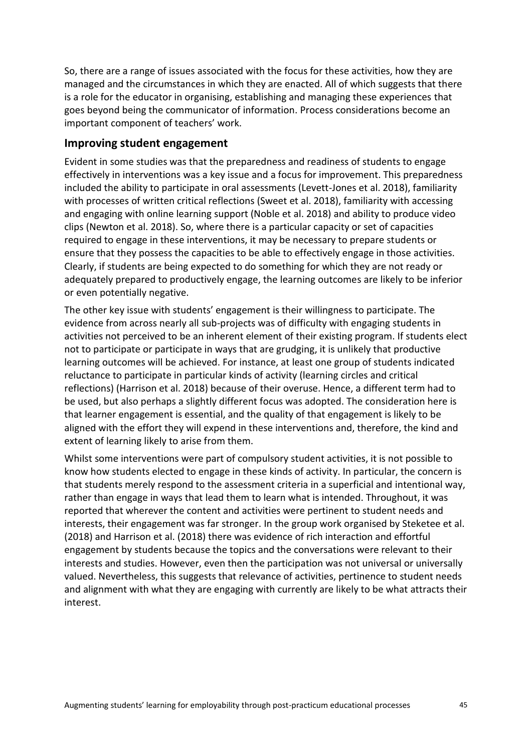So, there are a range of issues associated with the focus for these activities, how they are managed and the circumstances in which they are enacted. All of which suggests that there is a role for the educator in organising, establishing and managing these experiences that goes beyond being the communicator of information. Process considerations become an important component of teachers' work.

#### **Improving student engagement**

Evident in some studies was that the preparedness and readiness of students to engage effectively in interventions was a key issue and a focus for improvement. This preparedness included the ability to participate in oral assessments (Levett-Jones et al. 2018), familiarity with processes of written critical reflections (Sweet et al. 2018), familiarity with accessing and engaging with online learning support (Noble et al. 2018) and ability to produce video clips (Newton et al. 2018). So, where there is a particular capacity or set of capacities required to engage in these interventions, it may be necessary to prepare students or ensure that they possess the capacities to be able to effectively engage in those activities. Clearly, if students are being expected to do something for which they are not ready or adequately prepared to productively engage, the learning outcomes are likely to be inferior or even potentially negative.

The other key issue with students' engagement is their willingness to participate. The evidence from across nearly all sub-projects was of difficulty with engaging students in activities not perceived to be an inherent element of their existing program. If students elect not to participate or participate in ways that are grudging, it is unlikely that productive learning outcomes will be achieved. For instance, at least one group of students indicated reluctance to participate in particular kinds of activity (learning circles and critical reflections) (Harrison et al. 2018) because of their overuse. Hence, a different term had to be used, but also perhaps a slightly different focus was adopted. The consideration here is that learner engagement is essential, and the quality of that engagement is likely to be aligned with the effort they will expend in these interventions and, therefore, the kind and extent of learning likely to arise from them.

Whilst some interventions were part of compulsory student activities, it is not possible to know how students elected to engage in these kinds of activity. In particular, the concern is that students merely respond to the assessment criteria in a superficial and intentional way, rather than engage in ways that lead them to learn what is intended. Throughout, it was reported that wherever the content and activities were pertinent to student needs and interests, their engagement was far stronger. In the group work organised by Steketee et al. (2018) and Harrison et al. (2018) there was evidence of rich interaction and effortful engagement by students because the topics and the conversations were relevant to their interests and studies. However, even then the participation was not universal or universally valued. Nevertheless, this suggests that relevance of activities, pertinence to student needs and alignment with what they are engaging with currently are likely to be what attracts their interest.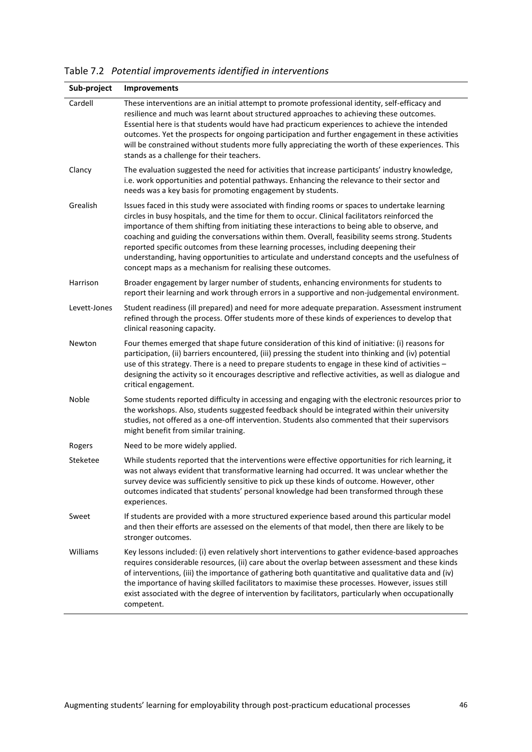Table 7.217*Potential improvements identified in interventions*

| Sub-project  | <b>Improvements</b>                                                                                                                                                                                                                                                                                                                                                                                                                                                                                                                                                                                                                                        |
|--------------|------------------------------------------------------------------------------------------------------------------------------------------------------------------------------------------------------------------------------------------------------------------------------------------------------------------------------------------------------------------------------------------------------------------------------------------------------------------------------------------------------------------------------------------------------------------------------------------------------------------------------------------------------------|
| Cardell      | These interventions are an initial attempt to promote professional identity, self-efficacy and<br>resilience and much was learnt about structured approaches to achieving these outcomes.<br>Essential here is that students would have had practicum experiences to achieve the intended<br>outcomes. Yet the prospects for ongoing participation and further engagement in these activities<br>will be constrained without students more fully appreciating the worth of these experiences. This<br>stands as a challenge for their teachers.                                                                                                            |
| Clancy       | The evaluation suggested the need for activities that increase participants' industry knowledge,<br>i.e. work opportunities and potential pathways. Enhancing the relevance to their sector and<br>needs was a key basis for promoting engagement by students.                                                                                                                                                                                                                                                                                                                                                                                             |
| Grealish     | Issues faced in this study were associated with finding rooms or spaces to undertake learning<br>circles in busy hospitals, and the time for them to occur. Clinical facilitators reinforced the<br>importance of them shifting from initiating these interactions to being able to observe, and<br>coaching and guiding the conversations within them. Overall, feasibility seems strong. Students<br>reported specific outcomes from these learning processes, including deepening their<br>understanding, having opportunities to articulate and understand concepts and the usefulness of<br>concept maps as a mechanism for realising these outcomes. |
| Harrison     | Broader engagement by larger number of students, enhancing environments for students to<br>report their learning and work through errors in a supportive and non-judgemental environment.                                                                                                                                                                                                                                                                                                                                                                                                                                                                  |
| Levett-Jones | Student readiness (ill prepared) and need for more adequate preparation. Assessment instrument<br>refined through the process. Offer students more of these kinds of experiences to develop that<br>clinical reasoning capacity.                                                                                                                                                                                                                                                                                                                                                                                                                           |
| Newton       | Four themes emerged that shape future consideration of this kind of initiative: (i) reasons for<br>participation, (ii) barriers encountered, (iii) pressing the student into thinking and (iv) potential<br>use of this strategy. There is a need to prepare students to engage in these kind of activities -<br>designing the activity so it encourages descriptive and reflective activities, as well as dialogue and<br>critical engagement.                                                                                                                                                                                                            |
| Noble        | Some students reported difficulty in accessing and engaging with the electronic resources prior to<br>the workshops. Also, students suggested feedback should be integrated within their university<br>studies, not offered as a one-off intervention. Students also commented that their supervisors<br>might benefit from similar training.                                                                                                                                                                                                                                                                                                              |
| Rogers       | Need to be more widely applied.                                                                                                                                                                                                                                                                                                                                                                                                                                                                                                                                                                                                                            |
| Steketee     | While students reported that the interventions were effective opportunities for rich learning, it<br>was not always evident that transformative learning had occurred. It was unclear whether the<br>survey device was sufficiently sensitive to pick up these kinds of outcome. However, other<br>outcomes indicated that students' personal knowledge had been transformed through these<br>experiences.                                                                                                                                                                                                                                                 |
| Sweet        | If students are provided with a more structured experience based around this particular model<br>and then their efforts are assessed on the elements of that model, then there are likely to be<br>stronger outcomes.                                                                                                                                                                                                                                                                                                                                                                                                                                      |
| Williams     | Key lessons included: (i) even relatively short interventions to gather evidence-based approaches<br>requires considerable resources, (ii) care about the overlap between assessment and these kinds<br>of interventions, (iii) the importance of gathering both quantitative and qualitative data and (iv)<br>the importance of having skilled facilitators to maximise these processes. However, issues still<br>exist associated with the degree of intervention by facilitators, particularly when occupationally<br>competent.                                                                                                                        |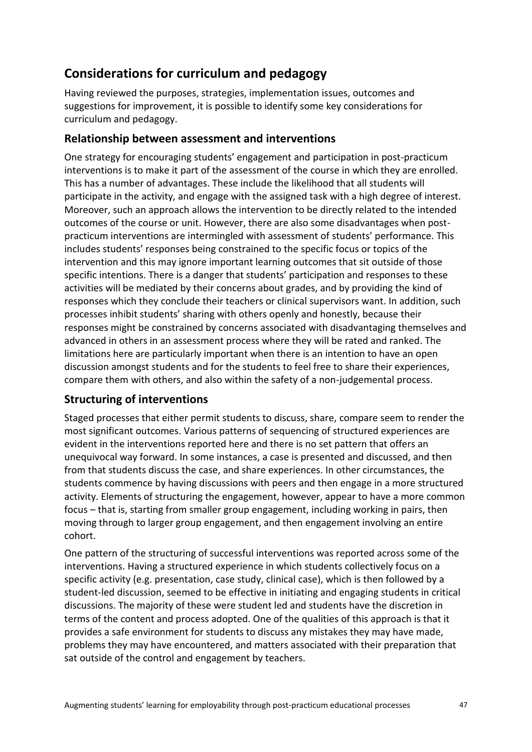# **Considerations for curriculum and pedagogy**

Having reviewed the purposes, strategies, implementation issues, outcomes and suggestions for improvement, it is possible to identify some key considerations for curriculum and pedagogy.

### **Relationship between assessment and interventions**

One strategy for encouraging students' engagement and participation in post-practicum interventions is to make it part of the assessment of the course in which they are enrolled. This has a number of advantages. These include the likelihood that all students will participate in the activity, and engage with the assigned task with a high degree of interest. Moreover, such an approach allows the intervention to be directly related to the intended outcomes of the course or unit. However, there are also some disadvantages when postpracticum interventions are intermingled with assessment of students' performance. This includes students' responses being constrained to the specific focus or topics of the intervention and this may ignore important learning outcomes that sit outside of those specific intentions. There is a danger that students' participation and responses to these activities will be mediated by their concerns about grades, and by providing the kind of responses which they conclude their teachers or clinical supervisors want. In addition, such processes inhibit students' sharing with others openly and honestly, because their responses might be constrained by concerns associated with disadvantaging themselves and advanced in others in an assessment process where they will be rated and ranked. The limitations here are particularly important when there is an intention to have an open discussion amongst students and for the students to feel free to share their experiences, compare them with others, and also within the safety of a non-judgemental process.

# **Structuring of interventions**

Staged processes that either permit students to discuss, share, compare seem to render the most significant outcomes. Various patterns of sequencing of structured experiences are evident in the interventions reported here and there is no set pattern that offers an unequivocal way forward. In some instances, a case is presented and discussed, and then from that students discuss the case, and share experiences. In other circumstances, the students commence by having discussions with peers and then engage in a more structured activity. Elements of structuring the engagement, however, appear to have a more common focus – that is, starting from smaller group engagement, including working in pairs, then moving through to larger group engagement, and then engagement involving an entire cohort.

One pattern of the structuring of successful interventions was reported across some of the interventions. Having a structured experience in which students collectively focus on a specific activity (e.g. presentation, case study, clinical case), which is then followed by a student-led discussion, seemed to be effective in initiating and engaging students in critical discussions. The majority of these were student led and students have the discretion in terms of the content and process adopted. One of the qualities of this approach is that it provides a safe environment for students to discuss any mistakes they may have made, problems they may have encountered, and matters associated with their preparation that sat outside of the control and engagement by teachers.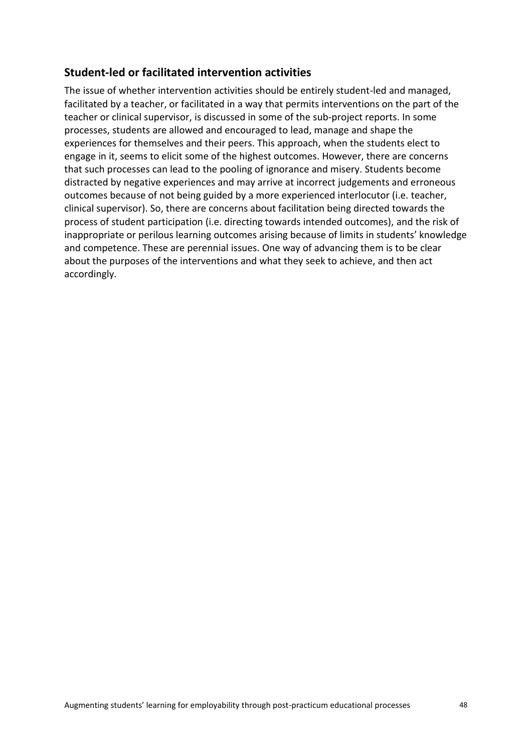### **Student-led or facilitated intervention activities**

The issue of whether intervention activities should be entirely student-led and managed, facilitated by a teacher, or facilitated in a way that permits interventions on the part of the teacher or clinical supervisor, is discussed in some of the sub-project reports. In some processes, students are allowed and encouraged to lead, manage and shape the experiences for themselves and their peers. This approach, when the students elect to engage in it, seems to elicit some of the highest outcomes. However, there are concerns that such processes can lead to the pooling of ignorance and misery. Students become distracted by negative experiences and may arrive at incorrect judgements and erroneous outcomes because of not being guided by a more experienced interlocutor (i.e. teacher, clinical supervisor). So, there are concerns about facilitation being directed towards the process of student participation (i.e. directing towards intended outcomes), and the risk of inappropriate or perilous learning outcomes arising because of limits in students' knowledge and competence. These are perennial issues. One way of advancing them is to be clear about the purposes of the interventions and what they seek to achieve, and then act accordingly.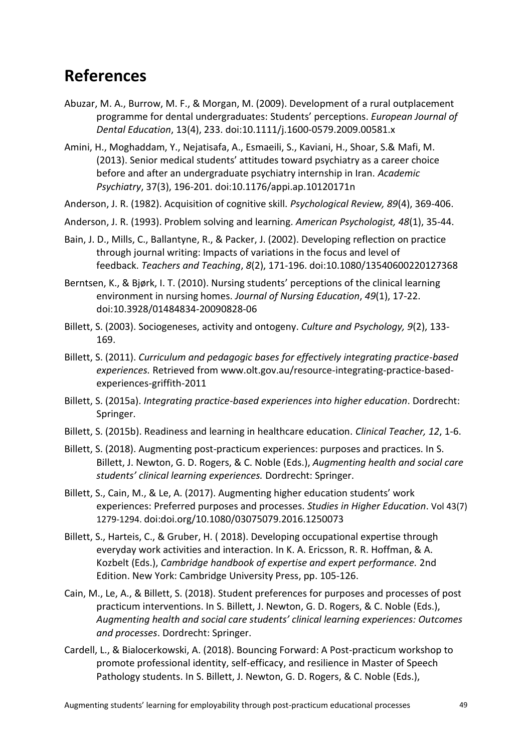# **References**

- Abuzar, M. A., Burrow, M. F., & Morgan, M. (2009). Development of a rural outplacement programme for dental undergraduates: Students' perceptions. *European Journal of Dental Education*, 13(4), 233. doi:10.1111/j.1600-0579.2009.00581.x
- Amini, H., Moghaddam, Y., Nejatisafa, A., Esmaeili, S., Kaviani, H., Shoar, S.& Mafi, M. (2013). Senior medical students' attitudes toward psychiatry as a career choice before and after an undergraduate psychiatry internship in Iran. *Academic Psychiatry*, 37(3), 196-201. doi:10.1176/appi.ap.10120171n
- Anderson, J. R. (1982). Acquisition of cognitive skill. *Psychological Review, 89*(4), 369-406.
- Anderson, J. R. (1993). Problem solving and learning. *American Psychologist, 48*(1), 35-44.
- Bain, J. D., Mills, C., Ballantyne, R., & Packer, J. (2002). Developing reflection on practice through journal writing: Impacts of variations in the focus and level of feedback. *Teachers and Teaching*, *8*(2), 171-196. doi:10.1080/13540600220127368
- Berntsen, K., & Bjørk, I. T. (2010). Nursing students' perceptions of the clinical learning environment in nursing homes. *Journal of Nursing Education*, *49*(1), 17-22. doi:10.3928/01484834-20090828-06
- Billett, S. (2003). Sociogeneses, activity and ontogeny. *Culture and Psychology, 9*(2), 133- 169.
- Billett, S. (2011). *Curriculum and pedagogic bases for effectively integrating practice-based experiences.* Retrieved from www.olt.gov.au/resource-integrating-practice-basedexperiences-griffith-2011
- Billett, S. (2015a). *Integrating practice-based experiences into higher education*. Dordrecht: Springer.
- Billett, S. (2015b). Readiness and learning in healthcare education. *Clinical Teacher, 12*, 1-6.
- Billett, S. (2018). Augmenting post-practicum experiences: purposes and practices. In S. Billett, J. Newton, G. D. Rogers, & C. Noble (Eds.), *Augmenting health and social care students' clinical learning experiences.* Dordrecht: Springer.
- Billett, S., Cain, M., & Le, A. (2017). Augmenting higher education students' work experiences: Preferred purposes and processes. *Studies in Higher Education*. Vol 43(7) 1279-1294. doi:doi.org/10.1080/03075079.2016.1250073
- Billett, S., Harteis, C., & Gruber, H. ( 2018). Developing occupational expertise through everyday work activities and interaction. In K. A. Ericsson, R. R. Hoffman, & A. Kozbelt (Eds.), *Cambridge handbook of expertise and expert performance.* 2nd Edition. New York: Cambridge University Press, pp. 105-126.
- Cain, M., Le, A., & Billett, S. (2018). Student preferences for purposes and processes of post practicum interventions. In S. Billett, J. Newton, G. D. Rogers, & C. Noble (Eds.), *Augmenting health and social care students' clinical learning experiences: Outcomes and processes*. Dordrecht: Springer.
- Cardell, L., & Bialocerkowski, A. (2018). Bouncing Forward: A Post-practicum workshop to promote professional identity, self-efficacy, and resilience in Master of Speech Pathology students. In S. Billett, J. Newton, G. D. Rogers, & C. Noble (Eds.),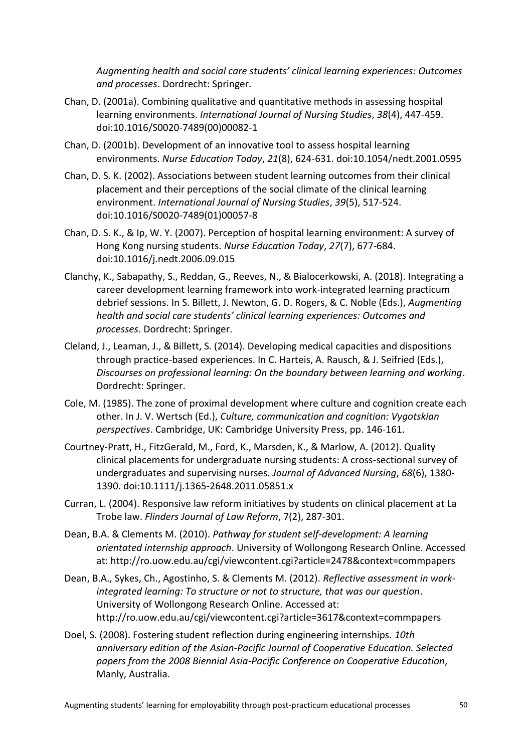*Augmenting health and social care students' clinical learning experiences: Outcomes and processes*. Dordrecht: Springer.

- Chan, D. (2001a). Combining qualitative and quantitative methods in assessing hospital learning environments. *International Journal of Nursing Studies*, *38*(4), 447-459. doi:10.1016/S0020-7489(00)00082-1
- Chan, D. (2001b). Development of an innovative tool to assess hospital learning environments. *Nurse Education Today*, *21*(8), 624-631. doi:10.1054/nedt.2001.0595
- Chan, D. S. K. (2002). Associations between student learning outcomes from their clinical placement and their perceptions of the social climate of the clinical learning environment. *International Journal of Nursing Studies*, *39*(5), 517-524. doi:10.1016/S0020-7489(01)00057-8
- Chan, D. S. K., & Ip, W. Y. (2007). Perception of hospital learning environment: A survey of Hong Kong nursing students. *Nurse Education Today*, *27*(7), 677-684. doi:10.1016/j.nedt.2006.09.015
- Clanchy, K., Sabapathy, S., Reddan, G., Reeves, N., & Bialocerkowski, A. (2018). Integrating a career development learning framework into work-integrated learning practicum debrief sessions. In S. Billett, J. Newton, G. D. Rogers, & C. Noble (Eds.), *Augmenting health and social care students' clinical learning experiences: Outcomes and processes*. Dordrecht: Springer.
- Cleland, J., Leaman, J., & Billett, S. (2014). Developing medical capacities and dispositions through practice-based experiences. In C. Harteis, A. Rausch, & J. Seifried (Eds.), *Discourses on professional learning: On the boundary between learning and working*. Dordrecht: Springer.
- Cole, M. (1985). The zone of proximal development where culture and cognition create each other. In J. V. Wertsch (Ed.), *Culture, communication and cognition: Vygotskian perspectives*. Cambridge, UK: Cambridge University Press, pp. 146-161.
- Courtney‐Pratt, H., FitzGerald, M., Ford, K., Marsden, K., & Marlow, A. (2012). Quality clinical placements for undergraduate nursing students: A cross‐sectional survey of undergraduates and supervising nurses. *Journal of Advanced Nursing*, *68*(6), 1380- 1390. doi:10.1111/j.1365-2648.2011.05851.x
- Curran, L. (2004). Responsive law reform initiatives by students on clinical placement at La Trobe law. *Flinders Journal of Law Reform*, 7(2), 287-301.
- Dean, B.A. & Clements M. (2010). *Pathway for student self-development: A learning orientated internship approach*. University of Wollongong Research Online. Accessed at: http://ro.uow.edu.au/cgi/viewcontent.cgi?article=2478&context=commpapers
- Dean, B.A., Sykes, Ch., Agostinho, S. & Clements M. (2012). *Reflective assessment in workintegrated learning: To structure or not to structure, that was our question*. University of Wollongong Research Online. Accessed at: http://ro.uow.edu.au/cgi/viewcontent.cgi?article=3617&context=commpapers
- Doel, S. (2008). Fostering student reflection during engineering internships. *10th anniversary edition of the Asian-Pacific Journal of Cooperative Education. Selected papers from the 2008 Biennial Asia-Pacific Conference on Cooperative Education*, Manly, Australia.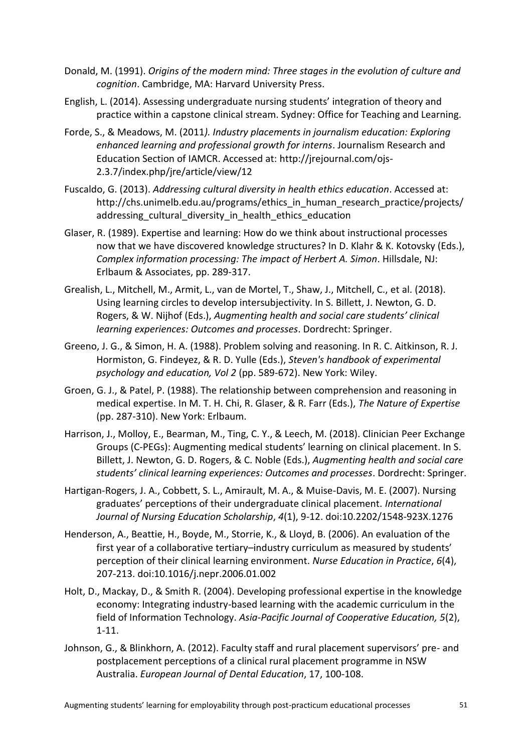- Donald, M. (1991). *Origins of the modern mind: Three stages in the evolution of culture and cognition*. Cambridge, MA: Harvard University Press.
- English, L. (2014). Assessing undergraduate nursing students' integration of theory and practice within a capstone clinical stream. Sydney: Office for Teaching and Learning.
- Forde, S., & Meadows, M. (2011*). Industry placements in journalism education: Exploring enhanced learning and professional growth for interns*. Journalism Research and Education Section of IAMCR. Accessed at: [http://jrejournal.com/ojs-](http://jrejournal.com/ojs-2.3.7/index.php/jre/article/view/12)[2.3.7/index.php/jre/article/view/12](http://jrejournal.com/ojs-2.3.7/index.php/jre/article/view/12)
- Fuscaldo, G. (2013). *Addressing cultural diversity in health ethics education*. Accessed at: http://chs.unimelb.edu.au/programs/ethics\_in\_human\_research\_practice/projects/ addressing cultural diversity in health ethics education
- Glaser, R. (1989). Expertise and learning: How do we think about instructional processes now that we have discovered knowledge structures? In D. Klahr & K. Kotovsky (Eds.), *Complex information processing: The impact of Herbert A. Simon*. Hillsdale, NJ: Erlbaum & Associates, pp. 289-317.
- Grealish, L., Mitchell, M., Armit, L., van de Mortel, T., Shaw, J., Mitchell, C., et al. (2018). Using learning circles to develop intersubjectivity. In S. Billett, J. Newton, G. D. Rogers, & W. Nijhof (Eds.), *Augmenting health and social care students' clinical learning experiences: Outcomes and processes*. Dordrecht: Springer.
- Greeno, J. G., & Simon, H. A. (1988). Problem solving and reasoning. In R. C. Aitkinson, R. J. Hormiston, G. Findeyez, & R. D. Yulle (Eds.), *Steven's handbook of experimental psychology and education, Vol 2* (pp. 589-672). New York: Wiley.
- Groen, G. J., & Patel, P. (1988). The relationship between comprehension and reasoning in medical expertise. In M. T. H. Chi, R. Glaser, & R. Farr (Eds.), *The Nature of Expertise* (pp. 287-310). New York: Erlbaum.
- Harrison, J., Molloy, E., Bearman, M., Ting, C. Y., & Leech, M. (2018). Clinician Peer Exchange Groups (C-PEGs): Augmenting medical students' learning on clinical placement. In S. Billett, J. Newton, G. D. Rogers, & C. Noble (Eds.), *Augmenting health and social care students' clinical learning experiences: Outcomes and processes*. Dordrecht: Springer.
- Hartigan-Rogers, J. A., Cobbett, S. L., Amirault, M. A., & Muise-Davis, M. E. (2007). Nursing graduates' perceptions of their undergraduate clinical placement. *International Journal of Nursing Education Scholarship*, *4*(1), 9-12. doi:10.2202/1548-923X.1276
- Henderson, A., Beattie, H., Boyde, M., Storrie, K., & Lloyd, B. (2006). An evaluation of the first year of a collaborative tertiary–industry curriculum as measured by students' perception of their clinical learning environment. *Nurse Education in Practice*, *6*(4), 207-213. doi:10.1016/j.nepr.2006.01.002
- Holt, D., Mackay, D., & Smith R. (2004). Developing professional expertise in the knowledge economy: Integrating industry-based learning with the academic curriculum in the field of Information Technology. *Asia-Pacific Journal of Cooperative Education, 5*(2), 1-11.
- Johnson, G., & Blinkhorn, A. (2012). Faculty staff and rural placement supervisors' pre- and postplacement perceptions of a clinical rural placement programme in NSW Australia. *European Journal of Dental Education*, 17, 100-108.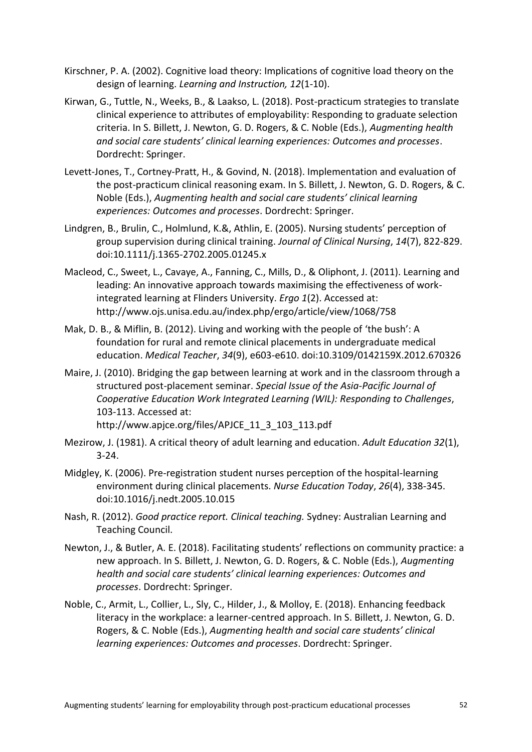- Kirschner, P. A. (2002). Cognitive load theory: Implications of cognitive load theory on the design of learning. *Learning and Instruction, 12*(1-10).
- Kirwan, G., Tuttle, N., Weeks, B., & Laakso, L. (2018). Post-practicum strategies to translate clinical experience to attributes of employability: Responding to graduate selection criteria. In S. Billett, J. Newton, G. D. Rogers, & C. Noble (Eds.), *Augmenting health and social care students' clinical learning experiences: Outcomes and processes*. Dordrecht: Springer.
- Levett-Jones, T., Cortney-Pratt, H., & Govind, N. (2018). Implementation and evaluation of the post-practicum clinical reasoning exam. In S. Billett, J. Newton, G. D. Rogers, & C. Noble (Eds.), *Augmenting health and social care students' clinical learning experiences: Outcomes and processes*. Dordrecht: Springer.
- Lindgren, B., Brulin, C., Holmlund, K.&, Athlin, E. (2005). Nursing students' perception of group supervision during clinical training. *Journal of Clinical Nursing*, *14*(7), 822-829. doi:10.1111/j.1365-2702.2005.01245.x
- Macleod, C., Sweet, L., Cavaye, A., Fanning, C., Mills, D., & Oliphont, J. (2011). Learning and leading: An innovative approach towards maximising the effectiveness of workintegrated learning at Flinders University. *Ergo 1*(2). Accessed at: http://www.ojs.unisa.edu.au/index.php/ergo/article/view/1068/758
- Mak, D. B., & Miflin, B. (2012). Living and working with the people of 'the bush': A foundation for rural and remote clinical placements in undergraduate medical education. *Medical Teacher*, *34*(9), e603-e610. doi:10.3109/0142159X.2012.670326
- Maire, J. (2010). Bridging the gap between learning at work and in the classroom through a structured post-placement seminar. *Special Issue of the Asia-Pacific Journal of Cooperative Education Work Integrated Learning (WIL): Responding to Challenges*, 103-113. Accessed at:

[http://www.apjce.org/files/APJCE\\_11\\_3\\_103\\_113.pdf](http://www.apjce.org/files/APJCE_11_3_103_113.pdf)

- Mezirow, J. (1981). A critical theory of adult learning and education. *Adult Education 32*(1), 3-24.
- Midgley, K. (2006). Pre-registration student nurses perception of the hospital-learning environment during clinical placements. *Nurse Education Today*, *26*(4), 338-345. doi:10.1016/j.nedt.2005.10.015
- Nash, R. (2012). *Good practice report. Clinical teaching.* Sydney: Australian Learning and Teaching Council.
- Newton, J., & Butler, A. E. (2018). Facilitating students' reflections on community practice: a new approach. In S. Billett, J. Newton, G. D. Rogers, & C. Noble (Eds.), *Augmenting health and social care students' clinical learning experiences: Outcomes and processes*. Dordrecht: Springer.
- Noble, C., Armit, L., Collier, L., Sly, C., Hilder, J., & Molloy, E. (2018). Enhancing feedback literacy in the workplace: a learner-centred approach. In S. Billett, J. Newton, G. D. Rogers, & C. Noble (Eds.), *Augmenting health and social care students' clinical learning experiences: Outcomes and processes*. Dordrecht: Springer.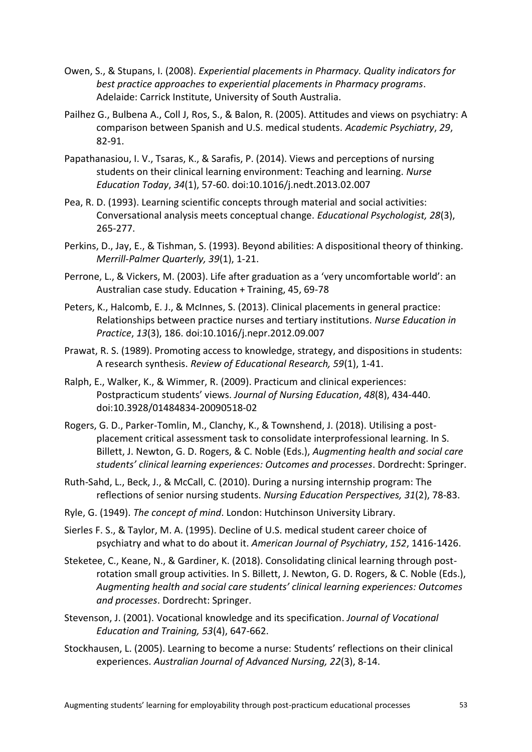- Owen, S., & Stupans, I. (2008). *Experiential placements in Pharmacy. Quality indicators for best practice approaches to experiential placements in Pharmacy programs*. Adelaide: Carrick Institute, University of South Australia.
- Pailhez G., Bulbena A., Coll J, Ros, S., & Balon, R. (2005). Attitudes and views on psychiatry: A comparison between Spanish and U.S. medical students. *Academic Psychiatry*, *29*, 82-91.
- Papathanasiou, I. V., Tsaras, K., & Sarafis, P. (2014). Views and perceptions of nursing students on their clinical learning environment: Teaching and learning. *Nurse Education Today*, *34*(1), 57-60. doi:10.1016/j.nedt.2013.02.007
- Pea, R. D. (1993). Learning scientific concepts through material and social activities: Conversational analysis meets conceptual change. *Educational Psychologist, 28*(3), 265-277.
- Perkins, D., Jay, E., & Tishman, S. (1993). Beyond abilities: A dispositional theory of thinking. *Merrill-Palmer Quarterly, 39*(1), 1-21.
- Perrone, L., & Vickers, M. (2003). Life after graduation as a 'very uncomfortable world': an Australian case study. Education + Training, 45, 69-78
- Peters, K., Halcomb, E. J., & McInnes, S. (2013). Clinical placements in general practice: Relationships between practice nurses and tertiary institutions. *Nurse Education in Practice*, *13*(3), 186. doi:10.1016/j.nepr.2012.09.007
- Prawat, R. S. (1989). Promoting access to knowledge, strategy, and dispositions in students: A research synthesis. *Review of Educational Research, 59*(1), 1-41.
- Ralph, E., Walker, K., & Wimmer, R. (2009). Practicum and clinical experiences: Postpracticum students' views. *Journal of Nursing Education*, *48*(8), 434-440. doi:10.3928/01484834-20090518-02
- Rogers, G. D., Parker-Tomlin, M., Clanchy, K., & Townshend, J. (2018). Utilising a postplacement critical assessment task to consolidate interprofessional learning. In S. Billett, J. Newton, G. D. Rogers, & C. Noble (Eds.), *Augmenting health and social care students' clinical learning experiences: Outcomes and processes*. Dordrecht: Springer.
- Ruth-Sahd, L., Beck, J., & McCall, C. (2010). During a nursing internship program: The reflections of senior nursing students. *Nursing Education Perspectives, 31*(2), 78-83.
- Ryle, G. (1949). *The concept of mind*. London: Hutchinson University Library.
- Sierles F. S., & Taylor, M. A. (1995). Decline of U.S. medical student career choice of psychiatry and what to do about it. *American Journal of Psychiatry*, *152*, 1416-1426.
- Steketee, C., Keane, N., & Gardiner, K. (2018). Consolidating clinical learning through postrotation small group activities. In S. Billett, J. Newton, G. D. Rogers, & C. Noble (Eds.), *Augmenting health and social care students' clinical learning experiences: Outcomes and processes*. Dordrecht: Springer.
- Stevenson, J. (2001). Vocational knowledge and its specification. *Journal of Vocational Education and Training, 53*(4), 647-662.
- Stockhausen, L. (2005). Learning to become a nurse: Students' reflections on their clinical experiences. *Australian Journal of Advanced Nursing, 22*(3), 8-14.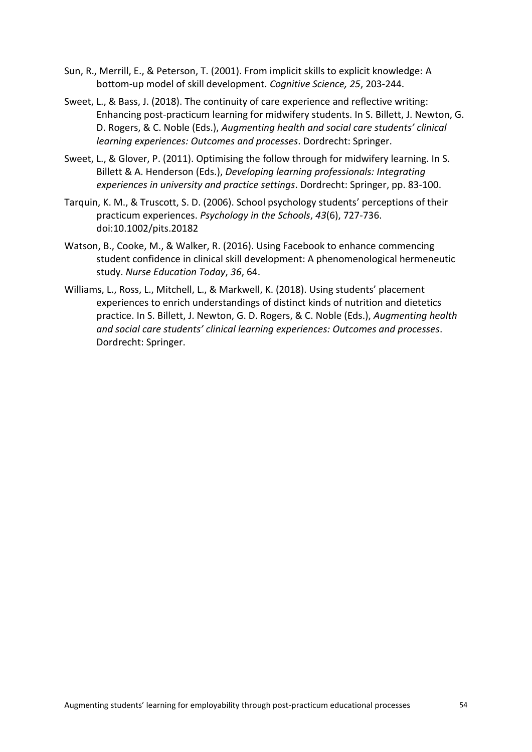- Sun, R., Merrill, E., & Peterson, T. (2001). From implicit skills to explicit knowledge: A bottom-up model of skill development. *Cognitive Science, 25*, 203-244.
- Sweet, L., & Bass, J. (2018). The continuity of care experience and reflective writing: Enhancing post-practicum learning for midwifery students. In S. Billett, J. Newton, G. D. Rogers, & C. Noble (Eds.), *Augmenting health and social care students' clinical learning experiences: Outcomes and processes*. Dordrecht: Springer.
- Sweet, L., & Glover, P. (2011). Optimising the follow through for midwifery learning. In S. Billett & A. Henderson (Eds.), *Developing learning professionals: Integrating experiences in university and practice settings*. Dordrecht: Springer, pp. 83-100.
- Tarquin, K. M., & Truscott, S. D. (2006). School psychology students' perceptions of their practicum experiences. *Psychology in the Schools*, *43*(6), 727-736. doi:10.1002/pits.20182
- Watson, B., Cooke, M., & Walker, R. (2016). Using Facebook to enhance commencing student confidence in clinical skill development: A phenomenological hermeneutic study. *Nurse Education Today*, *36*, 64.
- Williams, L., Ross, L., Mitchell, L., & Markwell, K. (2018). Using students' placement experiences to enrich understandings of distinct kinds of nutrition and dietetics practice. In S. Billett, J. Newton, G. D. Rogers, & C. Noble (Eds.), *Augmenting health and social care students' clinical learning experiences: Outcomes and processes*. Dordrecht: Springer.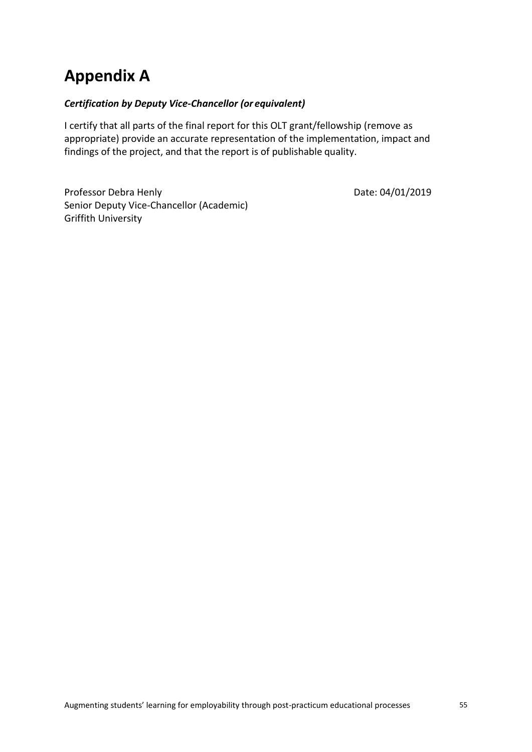# **Appendix A**

### *Certification by Deputy Vice-Chancellor (or equivalent)*

I certify that all parts of the final report for this OLT grant/fellowship (remove as appropriate) provide an accurate representation of the implementation, impact and findings of the project, and that the report is of publishable quality.

Professor Debra Henly Date: 04/01/2019 Senior Deputy Vice-Chancellor (Academic) Griffith University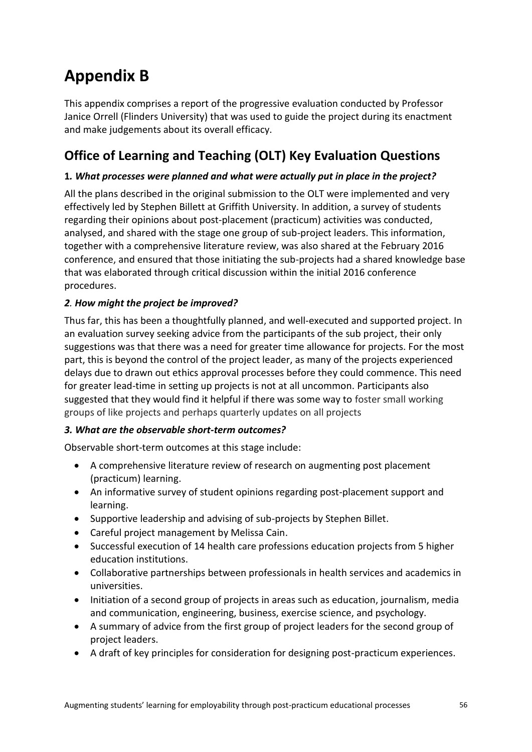# **Appendix B**

This appendix comprises a report of the progressive evaluation conducted by Professor Janice Orrell (Flinders University) that was used to guide the project during its enactment and make judgements about its overall efficacy.

# **Office of Learning and Teaching (OLT) Key Evaluation Questions**

### **1***. What processes were planned and what were actually put in place in the project?*

All the plans described in the original submission to the OLT were implemented and very effectively led by Stephen Billett at Griffith University. In addition, a survey of students regarding their opinions about post-placement (practicum) activities was conducted, analysed, and shared with the stage one group of sub-project leaders. This information, together with a comprehensive literature review, was also shared at the February 2016 conference, and ensured that those initiating the sub-projects had a shared knowledge base that was elaborated through critical discussion within the initial 2016 conference procedures.

### *2. How might the project be improved?*

Thus far, this has been a thoughtfully planned, and well-executed and supported project. In an evaluation survey seeking advice from the participants of the sub project, their only suggestions was that there was a need for greater time allowance for projects. For the most part, this is beyond the control of the project leader, as many of the projects experienced delays due to drawn out ethics approval processes before they could commence. This need for greater lead-time in setting up projects is not at all uncommon. Participants also suggested that they would find it helpful if there was some way to foster small working groups of like projects and perhaps quarterly updates on all projects

#### *3. What are the observable short-term outcomes?*

Observable short-term outcomes at this stage include:

- A comprehensive literature review of research on augmenting post placement (practicum) learning.
- An informative survey of student opinions regarding post-placement support and learning.
- Supportive leadership and advising of sub-projects by Stephen Billet.
- Careful project management by Melissa Cain.
- Successful execution of 14 health care professions education projects from 5 higher education institutions.
- Collaborative partnerships between professionals in health services and academics in universities.
- Initiation of a second group of projects in areas such as education, journalism, media and communication, engineering, business, exercise science, and psychology.
- A summary of advice from the first group of project leaders for the second group of project leaders.
- A draft of key principles for consideration for designing post-practicum experiences.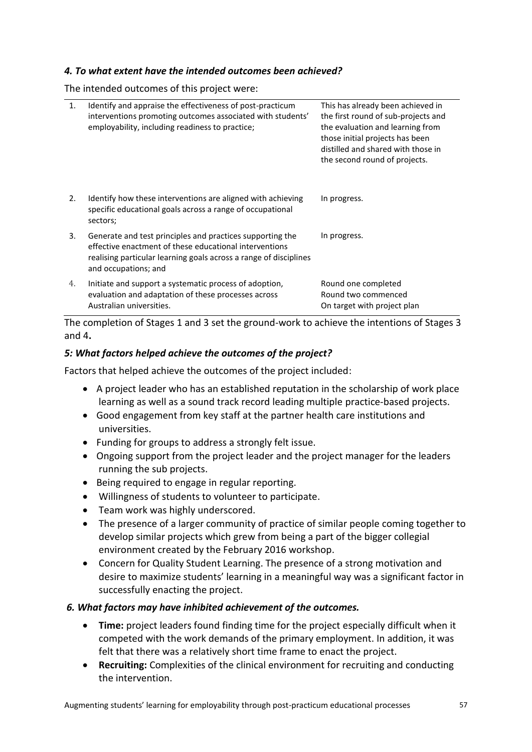#### *4. To what extent have the intended outcomes been achieved?*

The intended outcomes of this project were:

| 1. | Identify and appraise the effectiveness of post-practicum<br>interventions promoting outcomes associated with students'<br>employability, including readiness to practice;                                       | This has already been achieved in<br>the first round of sub-projects and<br>the evaluation and learning from<br>those initial projects has been<br>distilled and shared with those in<br>the second round of projects. |
|----|------------------------------------------------------------------------------------------------------------------------------------------------------------------------------------------------------------------|------------------------------------------------------------------------------------------------------------------------------------------------------------------------------------------------------------------------|
| 2. | Identify how these interventions are aligned with achieving<br>specific educational goals across a range of occupational<br>sectors;                                                                             | In progress.                                                                                                                                                                                                           |
| 3. | Generate and test principles and practices supporting the<br>effective enactment of these educational interventions<br>realising particular learning goals across a range of disciplines<br>and occupations; and | In progress.                                                                                                                                                                                                           |
| 4. | Initiate and support a systematic process of adoption,<br>evaluation and adaptation of these processes across<br>Australian universities.                                                                        | Round one completed<br>Round two commenced<br>On target with project plan                                                                                                                                              |

The completion of Stages 1 and 3 set the ground-work to achieve the intentions of Stages 3 and 4**.** 

#### *5: What factors helped achieve the outcomes of the project?*

Factors that helped achieve the outcomes of the project included:

- A project leader who has an established reputation in the scholarship of work place learning as well as a sound track record leading multiple practice-based projects.
- Good engagement from key staff at the partner health care institutions and universities.
- Funding for groups to address a strongly felt issue.
- Ongoing support from the project leader and the project manager for the leaders running the sub projects.
- Being required to engage in regular reporting.
- Willingness of students to volunteer to participate.
- Team work was highly underscored.
- The presence of a larger community of practice of similar people coming together to develop similar projects which grew from being a part of the bigger collegial environment created by the February 2016 workshop.
- Concern for Quality Student Learning. The presence of a strong motivation and desire to maximize students' learning in a meaningful way was a significant factor in successfully enacting the project.

#### *6. What factors may have inhibited achievement of the outcomes.*

- **Time:** project leaders found finding time for the project especially difficult when it competed with the work demands of the primary employment. In addition, it was felt that there was a relatively short time frame to enact the project.
- **Recruiting:** Complexities of the clinical environment for recruiting and conducting the intervention.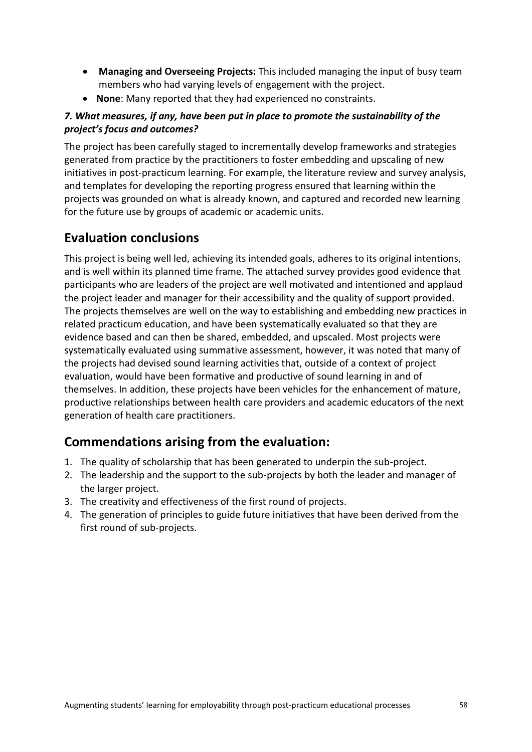- **Managing and Overseeing Projects:** This included managing the input of busy team members who had varying levels of engagement with the project.
- **None**: Many reported that they had experienced no constraints.

### *7. What measures, if any, have been put in place to promote the sustainability of the project's focus and outcomes?*

The project has been carefully staged to incrementally develop frameworks and strategies generated from practice by the practitioners to foster embedding and upscaling of new initiatives in post-practicum learning. For example, the literature review and survey analysis, and templates for developing the reporting progress ensured that learning within the projects was grounded on what is already known, and captured and recorded new learning for the future use by groups of academic or academic units.

# **Evaluation conclusions**

This project is being well led, achieving its intended goals, adheres to its original intentions, and is well within its planned time frame. The attached survey provides good evidence that participants who are leaders of the project are well motivated and intentioned and applaud the project leader and manager for their accessibility and the quality of support provided. The projects themselves are well on the way to establishing and embedding new practices in related practicum education, and have been systematically evaluated so that they are evidence based and can then be shared, embedded, and upscaled. Most projects were systematically evaluated using summative assessment, however, it was noted that many of the projects had devised sound learning activities that, outside of a context of project evaluation, would have been formative and productive of sound learning in and of themselves. In addition, these projects have been vehicles for the enhancement of mature, productive relationships between health care providers and academic educators of the next generation of health care practitioners.

# **Commendations arising from the evaluation:**

- 1. The quality of scholarship that has been generated to underpin the sub-project.
- 2. The leadership and the support to the sub-projects by both the leader and manager of the larger project.
- 3. The creativity and effectiveness of the first round of projects.
- 4. The generation of principles to guide future initiatives that have been derived from the first round of sub-projects.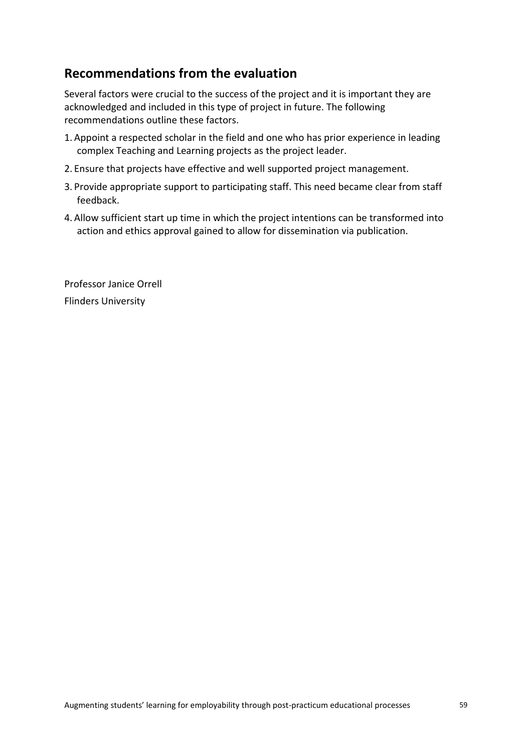# **Recommendations from the evaluation**

Several factors were crucial to the success of the project and it is important they are acknowledged and included in this type of project in future. The following recommendations outline these factors.

- 1. Appoint a respected scholar in the field and one who has prior experience in leading complex Teaching and Learning projects as the project leader.
- 2. Ensure that projects have effective and well supported project management.
- 3. Provide appropriate support to participating staff. This need became clear from staff feedback.
- 4. Allow sufficient start up time in which the project intentions can be transformed into action and ethics approval gained to allow for dissemination via publication.

Professor Janice Orrell Flinders University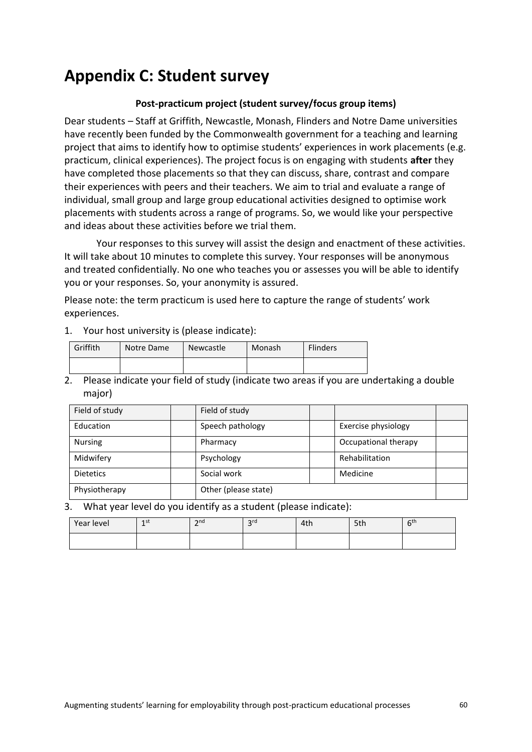# **Appendix C: Student survey**

#### **Post-practicum project (student survey/focus group items)**

Dear students – Staff at Griffith, Newcastle, Monash, Flinders and Notre Dame universities have recently been funded by the Commonwealth government for a teaching and learning project that aims to identify how to optimise students' experiences in work placements (e.g. practicum, clinical experiences). The project focus is on engaging with students **after** they have completed those placements so that they can discuss, share, contrast and compare their experiences with peers and their teachers. We aim to trial and evaluate a range of individual, small group and large group educational activities designed to optimise work placements with students across a range of programs. So, we would like your perspective and ideas about these activities before we trial them.

Your responses to this survey will assist the design and enactment of these activities. It will take about 10 minutes to complete this survey. Your responses will be anonymous and treated confidentially. No one who teaches you or assesses you will be able to identify you or your responses. So, your anonymity is assured.

Please note: the term practicum is used here to capture the range of students' work experiences.

- Griffith Notre Dame Newcastle Monash Flinders
- 1. Your host university is (please indicate):
- 2. Please indicate your field of study (indicate two areas if you are undertaking a double major)

| Field of study   | Field of study       |                      |  |
|------------------|----------------------|----------------------|--|
| Education        | Speech pathology     | Exercise physiology  |  |
| <b>Nursing</b>   | Pharmacy             | Occupational therapy |  |
| Midwifery        | Psychology           | Rehabilitation       |  |
| <b>Dietetics</b> | Social work          | Medicine             |  |
| Physiotherapy    | Other (please state) |                      |  |

3. What year level do you identify as a student (please indicate):

| Year level | 1 st<br>- | $\mathsf{and}$<br>- | $\mathsf{C}$ rd<br>- | 4th | $F+h$<br><b>JULI</b> | $f$ <sup>th</sup><br>ັບ |
|------------|-----------|---------------------|----------------------|-----|----------------------|-------------------------|
|            |           |                     |                      |     |                      |                         |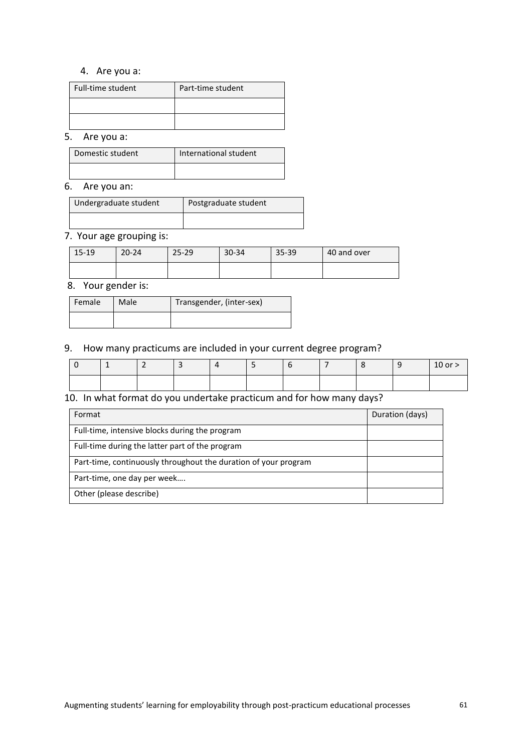#### 4. Are you a:

| Full-time student | Part-time student |
|-------------------|-------------------|
|                   |                   |
|                   |                   |

#### 5. Are you a:

| Domestic student | International student |
|------------------|-----------------------|
|                  |                       |

#### 6. Are you an:

| Undergraduate student | Postgraduate student |  |  |  |
|-----------------------|----------------------|--|--|--|
|                       |                      |  |  |  |

# |<br>T. Your age grouping is:

| 15-19 | $20 - 24$ | $25 - 29$ | 30-34 | 35-39 | 40 and over |  |
|-------|-----------|-----------|-------|-------|-------------|--|
|       |           |           |       |       |             |  |

### 8. Your gender is:

| Female | Male | Transgender, (inter-sex) |  |  |  |  |
|--------|------|--------------------------|--|--|--|--|
|        |      |                          |  |  |  |  |

### 9. How many practicums are included in your current degree program?

|  | - |  | - | . | $\overline{\phantom{0}}$ |  | 10 <sup>1</sup><br>τU<br>$\cup$ $\sim$ |
|--|---|--|---|---|--------------------------|--|----------------------------------------|
|  |   |  |   |   |                          |  |                                        |

### 10. In what format do you undertake practicum and for how many days?

| Format                                                          | Duration (days) |
|-----------------------------------------------------------------|-----------------|
| Full-time, intensive blocks during the program                  |                 |
| Full-time during the latter part of the program                 |                 |
| Part-time, continuously throughout the duration of your program |                 |
| Part-time, one day per week                                     |                 |
| Other (please describe)                                         |                 |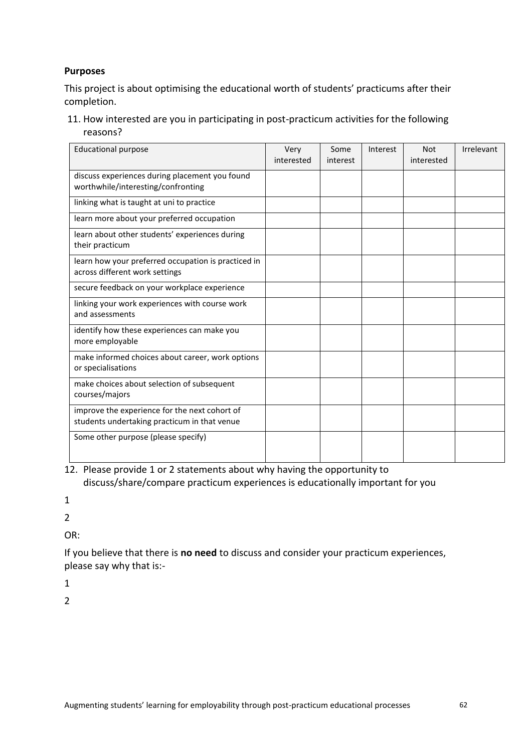#### **Purposes**

This project is about optimising the educational worth of students' practicums after their completion.

- 11. How interested are you in participating in post-practicum activities for the following
	- reasons?

| <b>Educational purpose</b>                                                                    | Very<br>interested | Some<br>interest | Interest | <b>Not</b><br>interested | Irrelevant |
|-----------------------------------------------------------------------------------------------|--------------------|------------------|----------|--------------------------|------------|
| discuss experiences during placement you found<br>worthwhile/interesting/confronting          |                    |                  |          |                          |            |
| linking what is taught at uni to practice                                                     |                    |                  |          |                          |            |
| learn more about your preferred occupation                                                    |                    |                  |          |                          |            |
| learn about other students' experiences during<br>their practicum                             |                    |                  |          |                          |            |
| learn how your preferred occupation is practiced in<br>across different work settings         |                    |                  |          |                          |            |
| secure feedback on your workplace experience                                                  |                    |                  |          |                          |            |
| linking your work experiences with course work<br>and assessments                             |                    |                  |          |                          |            |
| identify how these experiences can make you<br>more employable                                |                    |                  |          |                          |            |
| make informed choices about career, work options<br>or specialisations                        |                    |                  |          |                          |            |
| make choices about selection of subsequent<br>courses/majors                                  |                    |                  |          |                          |            |
| improve the experience for the next cohort of<br>students undertaking practicum in that venue |                    |                  |          |                          |            |
| Some other purpose (please specify)                                                           |                    |                  |          |                          |            |

12. Please provide 1 or 2 statements about why having the opportunity to discuss/share/compare practicum experiences is educationally important for you

1

2

OR:

If you believe that there is **no need** to discuss and consider your practicum experiences, please say why that is:-

1

2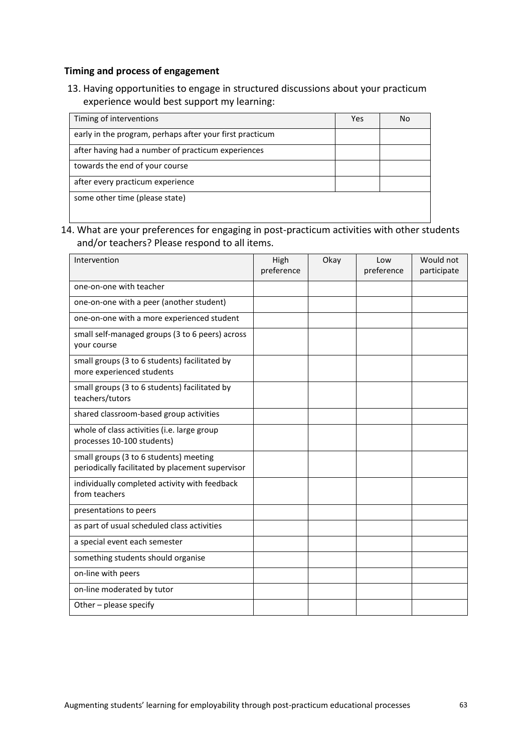#### **Timing and process of engagement**

13. Having opportunities to engage in structured discussions about your practicum experience would best support my learning:

| Timing of interventions                                  | Yes | No |
|----------------------------------------------------------|-----|----|
| early in the program, perhaps after your first practicum |     |    |
| after having had a number of practicum experiences       |     |    |
| towards the end of your course                           |     |    |
| after every practicum experience                         |     |    |
| some other time (please state)                           |     |    |
|                                                          |     |    |

14. What are your preferences for engaging in post-practicum activities with other students and/or teachers? Please respond to all items.

| Intervention                                                                               | High<br>preference | Okay | Low<br>preference | Would not<br>participate |
|--------------------------------------------------------------------------------------------|--------------------|------|-------------------|--------------------------|
| one-on-one with teacher                                                                    |                    |      |                   |                          |
| one-on-one with a peer (another student)                                                   |                    |      |                   |                          |
| one-on-one with a more experienced student                                                 |                    |      |                   |                          |
| small self-managed groups (3 to 6 peers) across<br>your course                             |                    |      |                   |                          |
| small groups (3 to 6 students) facilitated by<br>more experienced students                 |                    |      |                   |                          |
| small groups (3 to 6 students) facilitated by<br>teachers/tutors                           |                    |      |                   |                          |
| shared classroom-based group activities                                                    |                    |      |                   |                          |
| whole of class activities (i.e. large group<br>processes 10-100 students)                  |                    |      |                   |                          |
| small groups (3 to 6 students) meeting<br>periodically facilitated by placement supervisor |                    |      |                   |                          |
| individually completed activity with feedback<br>from teachers                             |                    |      |                   |                          |
| presentations to peers                                                                     |                    |      |                   |                          |
| as part of usual scheduled class activities                                                |                    |      |                   |                          |
| a special event each semester                                                              |                    |      |                   |                          |
| something students should organise                                                         |                    |      |                   |                          |
| on-line with peers                                                                         |                    |      |                   |                          |
| on-line moderated by tutor                                                                 |                    |      |                   |                          |
| Other - please specify                                                                     |                    |      |                   |                          |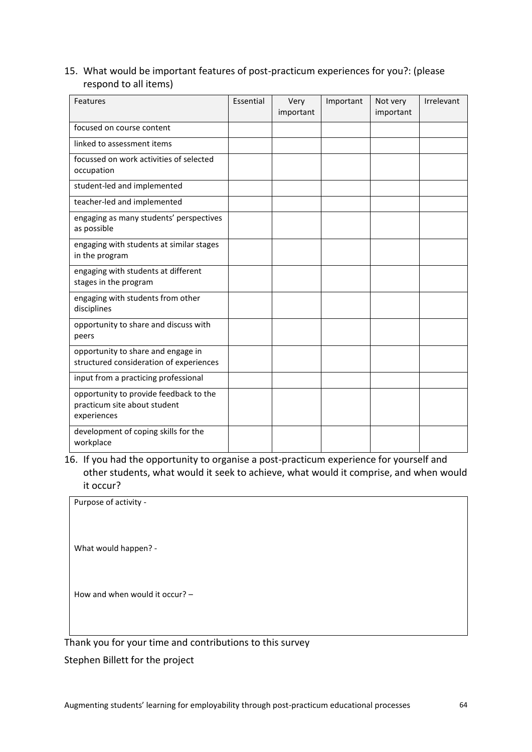### 15. What would be important features of post-practicum experiences for you?: (please respond to all items)

| Features                                                                              | Essential | Very<br>important | Important | Not very<br>important | Irrelevant |
|---------------------------------------------------------------------------------------|-----------|-------------------|-----------|-----------------------|------------|
| focused on course content                                                             |           |                   |           |                       |            |
| linked to assessment items                                                            |           |                   |           |                       |            |
| focussed on work activities of selected<br>occupation                                 |           |                   |           |                       |            |
| student-led and implemented                                                           |           |                   |           |                       |            |
| teacher-led and implemented                                                           |           |                   |           |                       |            |
| engaging as many students' perspectives<br>as possible                                |           |                   |           |                       |            |
| engaging with students at similar stages<br>in the program                            |           |                   |           |                       |            |
| engaging with students at different<br>stages in the program                          |           |                   |           |                       |            |
| engaging with students from other<br>disciplines                                      |           |                   |           |                       |            |
| opportunity to share and discuss with<br>peers                                        |           |                   |           |                       |            |
| opportunity to share and engage in<br>structured consideration of experiences         |           |                   |           |                       |            |
| input from a practicing professional                                                  |           |                   |           |                       |            |
| opportunity to provide feedback to the<br>practicum site about student<br>experiences |           |                   |           |                       |            |
| development of coping skills for the<br>workplace                                     |           |                   |           |                       |            |

16. If you had the opportunity to organise a post-practicum experience for yourself and other students, what would it seek to achieve, what would it comprise, and when would it occur?

Purpose of activity -

What would happen? -

How and when would it occur? –

Thank you for your time and contributions to this survey

Stephen Billett for the project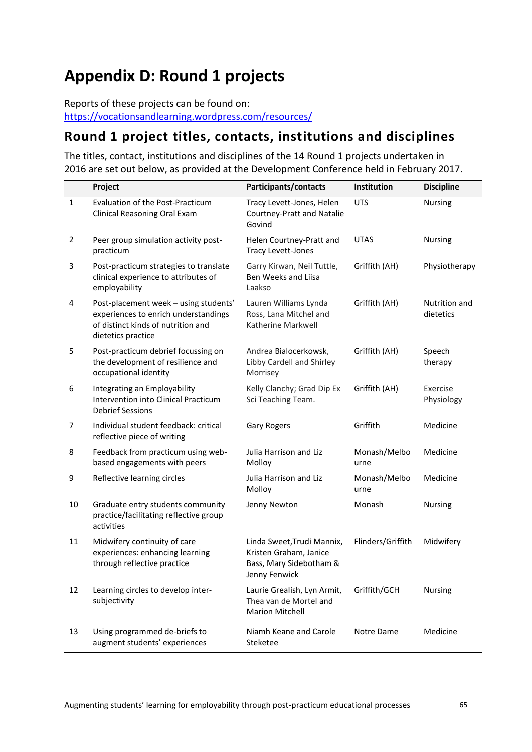# **Appendix D: Round 1 projects**

Reports of these projects can be found on: <https://vocationsandlearning.wordpress.com/resources/>

## **Round 1 project titles, contacts, institutions and disciplines**

The titles, contact, institutions and disciplines of the 14 Round 1 projects undertaken in 2016 are set out below, as provided at the Development Conference held in February 2017.

|    | Project                                                                                                                                   | Participants/contacts                                                                            | Institution          | <b>Discipline</b>          |
|----|-------------------------------------------------------------------------------------------------------------------------------------------|--------------------------------------------------------------------------------------------------|----------------------|----------------------------|
| 1  | Evaluation of the Post-Practicum<br>Clinical Reasoning Oral Exam                                                                          | Tracy Levett-Jones, Helen<br>Courtney-Pratt and Natalie<br>Govind                                | <b>UTS</b>           | <b>Nursing</b>             |
| 2  | Peer group simulation activity post-<br>practicum                                                                                         | Helen Courtney-Pratt and<br><b>Tracy Levett-Jones</b>                                            | <b>UTAS</b>          | <b>Nursing</b>             |
| 3  | Post-practicum strategies to translate<br>clinical experience to attributes of<br>employability                                           | Garry Kirwan, Neil Tuttle,<br>Ben Weeks and Liisa<br>Laakso                                      | Griffith (AH)        | Physiotherapy              |
| 4  | Post-placement week - using students'<br>experiences to enrich understandings<br>of distinct kinds of nutrition and<br>dietetics practice | Lauren Williams Lynda<br>Ross, Lana Mitchel and<br>Katherine Markwell                            | Griffith (AH)        | Nutrition and<br>dietetics |
| 5  | Post-practicum debrief focussing on<br>the development of resilience and<br>occupational identity                                         | Andrea Bialocerkowsk,<br>Libby Cardell and Shirley<br>Morrisey                                   | Griffith (AH)        | Speech<br>therapy          |
| 6  | Integrating an Employability<br>Intervention into Clinical Practicum<br><b>Debrief Sessions</b>                                           | Kelly Clanchy; Grad Dip Ex<br>Sci Teaching Team.                                                 | Griffith (AH)        | Exercise<br>Physiology     |
| 7  | Individual student feedback: critical<br>reflective piece of writing                                                                      | <b>Gary Rogers</b>                                                                               | Griffith             | Medicine                   |
| 8  | Feedback from practicum using web-<br>based engagements with peers                                                                        | Julia Harrison and Liz<br>Molloy                                                                 | Monash/Melbo<br>urne | Medicine                   |
| 9  | Reflective learning circles                                                                                                               | Julia Harrison and Liz<br>Molloy                                                                 | Monash/Melbo<br>urne | Medicine                   |
| 10 | Graduate entry students community<br>practice/facilitating reflective group<br>activities                                                 | Jenny Newton                                                                                     | Monash               | <b>Nursing</b>             |
| 11 | Midwifery continuity of care<br>experiences: enhancing learning<br>through reflective practice                                            | Linda Sweet, Trudi Mannix,<br>Kristen Graham, Janice<br>Bass, Mary Sidebotham &<br>Jenny Fenwick | Flinders/Griffith    | Midwifery                  |
| 12 | Learning circles to develop inter-<br>subjectivity                                                                                        | Laurie Grealish, Lyn Armit,<br>Thea van de Mortel and<br><b>Marion Mitchell</b>                  | Griffith/GCH         | <b>Nursing</b>             |
| 13 | Using programmed de-briefs to<br>augment students' experiences                                                                            | Niamh Keane and Carole<br>Steketee                                                               | Notre Dame           | Medicine                   |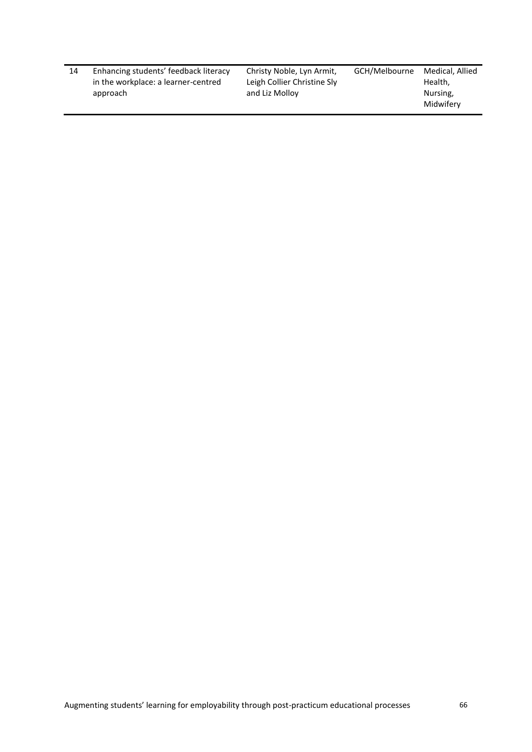| 14 | Enhancing students' feedback literacy | Christy Noble, Lyn Armit,   | GCH/Melbourne | Medical, Allied |
|----|---------------------------------------|-----------------------------|---------------|-----------------|
|    | in the workplace: a learner-centred   | Leigh Collier Christine Sly |               | Health,         |
|    | approach                              | and Liz Molloy              |               | Nursing,        |
|    |                                       |                             |               | Midwifery       |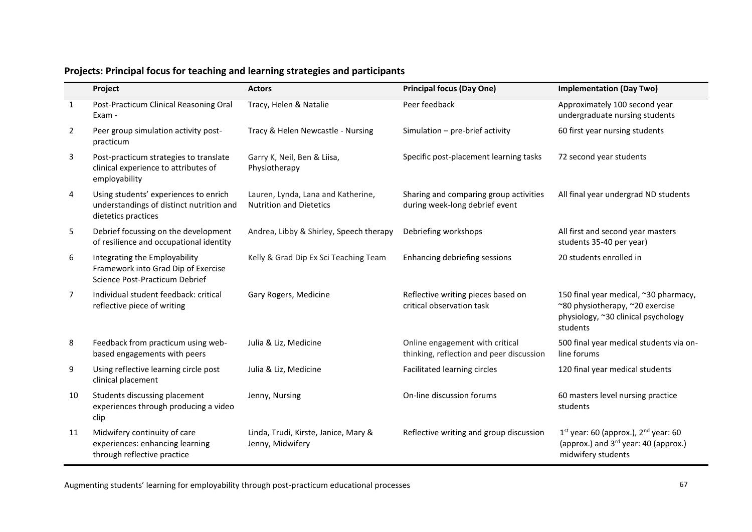|                | Project                                                                                                  | <b>Actors</b>                                                        | <b>Principal focus (Day One)</b>                                            | <b>Implementation (Day Two)</b>                                                                                             |
|----------------|----------------------------------------------------------------------------------------------------------|----------------------------------------------------------------------|-----------------------------------------------------------------------------|-----------------------------------------------------------------------------------------------------------------------------|
| $\mathbf{1}$   | Post-Practicum Clinical Reasoning Oral<br>Exam -                                                         | Tracy, Helen & Natalie                                               | Peer feedback                                                               | Approximately 100 second year<br>undergraduate nursing students                                                             |
| $\overline{2}$ | Peer group simulation activity post-<br>practicum                                                        | Tracy & Helen Newcastle - Nursing                                    | Simulation - pre-brief activity                                             | 60 first year nursing students                                                                                              |
| 3              | Post-practicum strategies to translate<br>clinical experience to attributes of<br>employability          | Garry K, Neil, Ben & Liisa,<br>Physiotherapy                         | Specific post-placement learning tasks                                      | 72 second year students                                                                                                     |
| 4              | Using students' experiences to enrich<br>understandings of distinct nutrition and<br>dietetics practices | Lauren, Lynda, Lana and Katherine,<br><b>Nutrition and Dietetics</b> | Sharing and comparing group activities<br>during week-long debrief event    | All final year undergrad ND students                                                                                        |
| 5              | Debrief focussing on the development<br>of resilience and occupational identity                          | Andrea, Libby & Shirley, Speech therapy                              | Debriefing workshops                                                        | All first and second year masters<br>students 35-40 per year)                                                               |
| 6              | Integrating the Employability<br>Framework into Grad Dip of Exercise<br>Science Post-Practicum Debrief   | Kelly & Grad Dip Ex Sci Teaching Team                                | Enhancing debriefing sessions                                               | 20 students enrolled in                                                                                                     |
| $\overline{7}$ | Individual student feedback: critical<br>reflective piece of writing                                     | Gary Rogers, Medicine                                                | Reflective writing pieces based on<br>critical observation task             | 150 final year medical, ~30 pharmacy,<br>~80 physiotherapy, ~20 exercise<br>physiology, ~30 clinical psychology<br>students |
| 8              | Feedback from practicum using web-<br>based engagements with peers                                       | Julia & Liz, Medicine                                                | Online engagement with critical<br>thinking, reflection and peer discussion | 500 final year medical students via on-<br>line forums                                                                      |
| 9              | Using reflective learning circle post<br>clinical placement                                              | Julia & Liz, Medicine                                                | Facilitated learning circles                                                | 120 final year medical students                                                                                             |
| 10             | Students discussing placement<br>experiences through producing a video<br>clip                           | Jenny, Nursing                                                       | On-line discussion forums                                                   | 60 masters level nursing practice<br>students                                                                               |
| 11             | Midwifery continuity of care<br>experiences: enhancing learning<br>through reflective practice           | Linda, Trudi, Kirste, Janice, Mary &<br>Jenny, Midwifery             | Reflective writing and group discussion                                     | $1st$ year: 60 (approx.), $2nd$ year: 60<br>(approx.) and 3 <sup>rd</sup> year: 40 (approx.)<br>midwifery students          |

### **Projects: Principal focus for teaching and learning strategies and participants**

Augmenting students' learning for employability through post-practicum educational processes 67 and 1992 and 19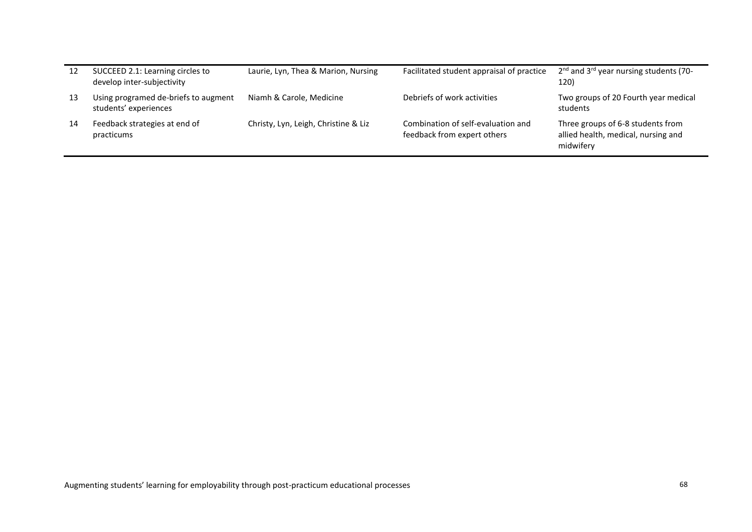| 12 | SUCCEED 2.1: Learning circles to<br>develop inter-subjectivity | Laurie, Lyn, Thea & Marion, Nursing  | Facilitated student appraisal of practice                         | $2nd$ and 3 <sup>rd</sup> year nursing students (70-<br>120)                          |
|----|----------------------------------------------------------------|--------------------------------------|-------------------------------------------------------------------|---------------------------------------------------------------------------------------|
| 13 | Using programed de-briefs to augment<br>students' experiences  | Niamh & Carole, Medicine             | Debriefs of work activities                                       | Two groups of 20 Fourth year medical<br>students                                      |
| 14 | Feedback strategies at end of<br>practicums                    | Christy, Lyn, Leigh, Christine & Liz | Combination of self-evaluation and<br>feedback from expert others | Three groups of 6-8 students from<br>allied health, medical, nursing and<br>midwifery |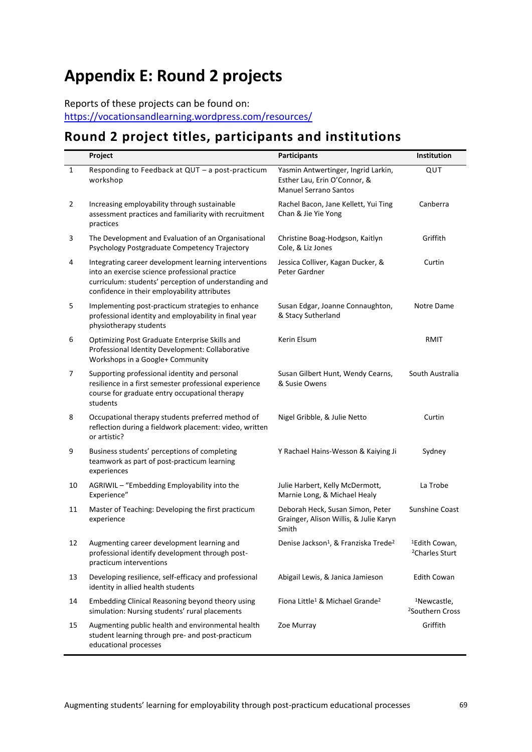## **Appendix E: Round 2 projects**

Reports of these projects can be found on:

<https://vocationsandlearning.wordpress.com/resources/>

## **Round 2 project titles, participants and institutions**

|                | Project                                                                                                                                                                                                          | <b>Participants</b>                                                                                 | Institution                                             |
|----------------|------------------------------------------------------------------------------------------------------------------------------------------------------------------------------------------------------------------|-----------------------------------------------------------------------------------------------------|---------------------------------------------------------|
| 1              | Responding to Feedback at QUT - a post-practicum<br>workshop                                                                                                                                                     | Yasmin Antwertinger, Ingrid Larkin,<br>Esther Lau, Erin O'Connor, &<br><b>Manuel Serrano Santos</b> | QUT                                                     |
| $\overline{2}$ | Increasing employability through sustainable<br>assessment practices and familiarity with recruitment<br>practices                                                                                               | Rachel Bacon, Jane Kellett, Yui Ting<br>Chan & Jie Yie Yong                                         | Canberra                                                |
| 3              | The Development and Evaluation of an Organisational<br>Psychology Postgraduate Competency Trajectory                                                                                                             | Christine Boag-Hodgson, Kaitlyn<br>Cole, & Liz Jones                                                | Griffith                                                |
| 4              | Integrating career development learning interventions<br>into an exercise science professional practice<br>curriculum: students' perception of understanding and<br>confidence in their employability attributes | Jessica Colliver, Kagan Ducker, &<br>Peter Gardner                                                  | Curtin                                                  |
| 5              | Implementing post-practicum strategies to enhance<br>professional identity and employability in final year<br>physiotherapy students                                                                             | Susan Edgar, Joanne Connaughton,<br>& Stacy Sutherland                                              | Notre Dame                                              |
| 6              | Optimizing Post Graduate Enterprise Skills and<br>Professional Identity Development: Collaborative<br>Workshops in a Google+ Community                                                                           | Kerin Elsum                                                                                         | RMIT                                                    |
| 7              | Supporting professional identity and personal<br>resilience in a first semester professional experience<br>course for graduate entry occupational therapy<br>students                                            | Susan Gilbert Hunt, Wendy Cearns,<br>& Susie Owens                                                  | South Australia                                         |
| 8              | Occupational therapy students preferred method of<br>reflection during a fieldwork placement: video, written<br>or artistic?                                                                                     | Nigel Gribble, & Julie Netto                                                                        | Curtin                                                  |
| 9              | Business students' perceptions of completing<br>teamwork as part of post-practicum learning<br>experiences                                                                                                       | Y Rachael Hains-Wesson & Kaiying Ji                                                                 | Sydney                                                  |
| 10             | AGRIWIL - "Embedding Employability into the<br>Experience"                                                                                                                                                       | Julie Harbert, Kelly McDermott,<br>Marnie Long, & Michael Healy                                     | La Trobe                                                |
| 11             | Master of Teaching: Developing the first practicum<br>experience                                                                                                                                                 | Deborah Heck, Susan Simon, Peter<br>Grainger, Alison Willis, & Julie Karyn<br>Smith                 | <b>Sunshine Coast</b>                                   |
| 12             | Augmenting career development learning and<br>professional identify development through post-<br>practicum interventions                                                                                         | Denise Jackson <sup>1</sup> , & Franziska Trede <sup>2</sup>                                        | <sup>1</sup> Edith Cowan,<br><sup>2</sup> Charles Sturt |
| 13             | Developing resilience, self-efficacy and professional<br>identity in allied health students                                                                                                                      | Abigail Lewis, & Janica Jamieson                                                                    | Edith Cowan                                             |
| 14             | Embedding Clinical Reasoning beyond theory using<br>simulation: Nursing students' rural placements                                                                                                               | Fiona Little <sup>1</sup> & Michael Grande <sup>2</sup>                                             | <sup>1</sup> Newcastle,<br><sup>2</sup> Southern Cross  |
| 15             | Augmenting public health and environmental health<br>student learning through pre- and post-practicum<br>educational processes                                                                                   | Zoe Murray                                                                                          | Griffith                                                |